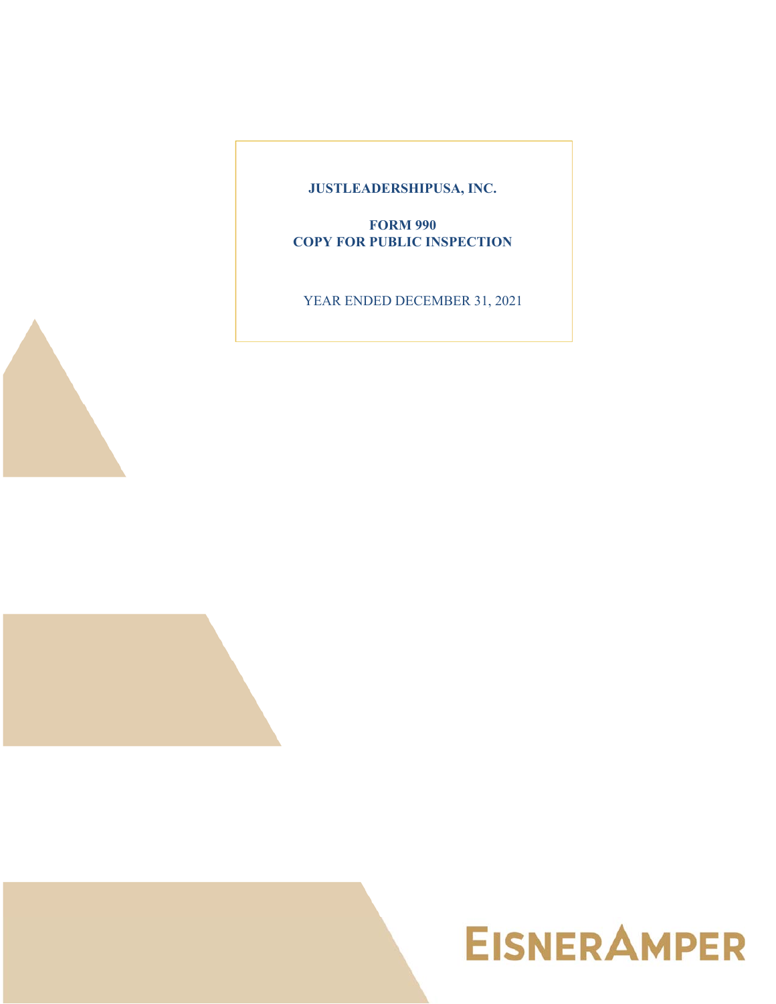**JUSTLEADERSHIPUSA, INC.**

**FORM 990 COPY FOR PUBLIC INSPECTION**

YEAR ENDED DECEMBER 31, 2021



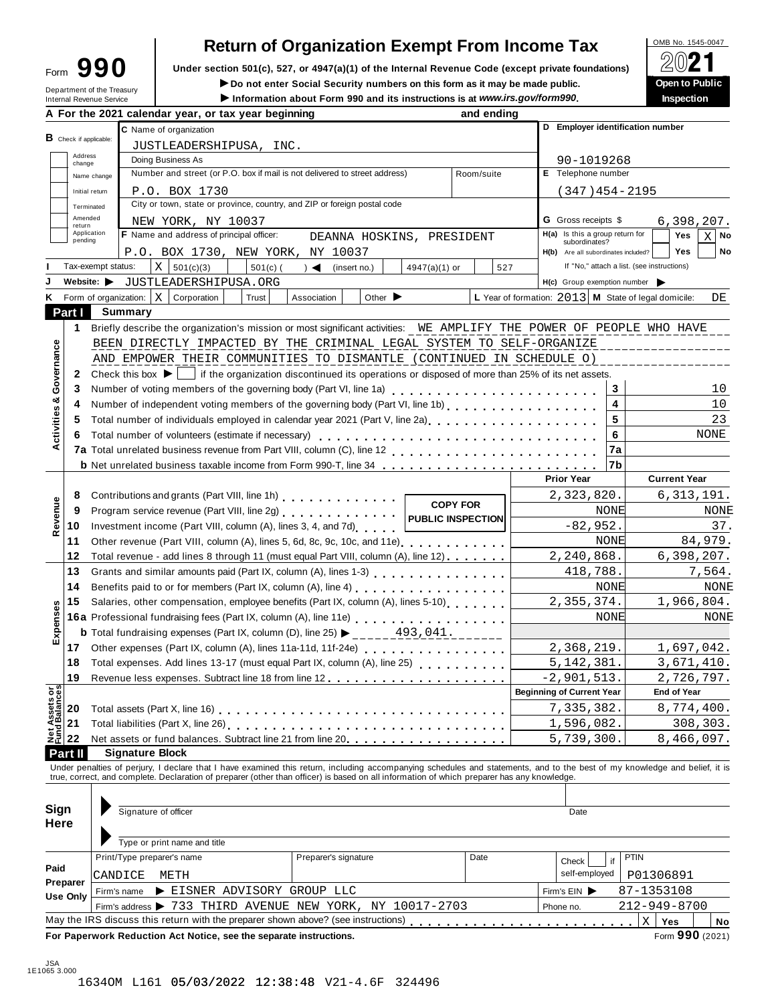| ∙orm | 990 |  |
|------|-----|--|
|      |     |  |

## **Return of Organization Exempt From Income Tax**

Form  $\mathbf{990}$  Under section 501(c), 527, or 4947(a)(1) of the Internal Revenue Code (except private foundations)  $\Box$   $\Box$  **CO/** 

**IDED INCORRET CONSTRESS IN STANDARY OF SOCIAL SECURITY NUMBERS ON this form as it may be made public. Open to Public internal Revenue Service <b>Construction about Form 990** and its instructions is at www.irs.gov/form990. I

| Information about Form 990 and its instructions is at www.irs.gov/form990.<br>Internal Revenue Service<br>A For the 2021 calendar year, or tax year beginning<br>C Name of organization<br>B Check if applicable:<br>JUSTLEADERSHIPUSA, INC.<br>Doing Business As<br>Number and street (or P.O. box if mail is not delivered to street address)<br>Name change<br>P.O. BOX 1730<br>Initial return<br>City or town, state or province, country, and ZIP or foreign postal code<br>Terminated<br>Amended<br>NEW YORK, NY 10037<br>Application<br>F Name and address of principal officer:<br>P.O. BOX 1730, NEW YORK, NY 10037<br>$\mathbf{x}$<br>Tax-exempt status:<br>501(c)(3)<br>$501(c)$ (<br>$\rightarrow$<br>(insert no.)<br>Website: JUSTLEADERSHIPUSA.ORG<br><b>K</b> Form of organization: $ X $<br>Corporation<br>Trust<br>Association<br>Summary<br>Briefly describe the organization's mission or most significant activities: WE AMPLIFY THE POWER OF PEOPLE WHO HAVE<br>BEEN DIRECTLY IMPACTED BY THE CRIMINAL LEGAL SYSTEM TO SELF-ORGANIZE<br>AND EMPOWER THEIR COMMUNITIES TO DISMANTLE (CONTINUED IN SCHEDULE O)<br>Check this box $\blacktriangleright$   if the organization discontinued its operations or disposed of more than 25% of its net assets.<br>Number of independent voting members of the governing body (Part VI, line 1b)<br>Total number of individuals employed in calendar year 2021 (Part V, line 2a)<br>Total number of volunteers (estimate if necessary)<br><b>b</b> Net unrelated business taxable income from Form 990-T, line 34 | DEANNA HOSKINS, PRESIDENT<br>4947(a)(1) or<br>Other $\blacktriangleright$                                                                                                                                | and ending<br>Room/suite<br>527                                                                                                                                                                                                                                                             | D Employer identification number<br>90-1019268<br>E Telephone number<br>$(347)454 - 2195$<br><b>G</b> Gross receipts \$<br>H(a) Is this a group return for<br>subordinates?<br>H(b) Are all subordinates included?<br>H(c) Group exemption number<br>L Year of formation: 2013 M State of legal domicile:<br>5<br>6                                                                                                                                                                                                                                                                                                                                      | <b>Inspection</b><br>6,398,207.<br>Yes<br>No<br>хI<br>Yes<br>No<br>If "No," attach a list. (see instructions)<br>DE<br>3<br>10<br>4<br>10<br>23<br>NONE                                                                                                                                                                                                                                                                                                                                                                                 |
|-------------------------------------------------------------------------------------------------------------------------------------------------------------------------------------------------------------------------------------------------------------------------------------------------------------------------------------------------------------------------------------------------------------------------------------------------------------------------------------------------------------------------------------------------------------------------------------------------------------------------------------------------------------------------------------------------------------------------------------------------------------------------------------------------------------------------------------------------------------------------------------------------------------------------------------------------------------------------------------------------------------------------------------------------------------------------------------------------------------------------------------------------------------------------------------------------------------------------------------------------------------------------------------------------------------------------------------------------------------------------------------------------------------------------------------------------------------------------------------------------------------------------------------------------------------------------------|----------------------------------------------------------------------------------------------------------------------------------------------------------------------------------------------------------|---------------------------------------------------------------------------------------------------------------------------------------------------------------------------------------------------------------------------------------------------------------------------------------------|----------------------------------------------------------------------------------------------------------------------------------------------------------------------------------------------------------------------------------------------------------------------------------------------------------------------------------------------------------------------------------------------------------------------------------------------------------------------------------------------------------------------------------------------------------------------------------------------------------------------------------------------------------|-----------------------------------------------------------------------------------------------------------------------------------------------------------------------------------------------------------------------------------------------------------------------------------------------------------------------------------------------------------------------------------------------------------------------------------------------------------------------------------------------------------------------------------------|
|                                                                                                                                                                                                                                                                                                                                                                                                                                                                                                                                                                                                                                                                                                                                                                                                                                                                                                                                                                                                                                                                                                                                                                                                                                                                                                                                                                                                                                                                                                                                                                               |                                                                                                                                                                                                          |                                                                                                                                                                                                                                                                                             |                                                                                                                                                                                                                                                                                                                                                                                                                                                                                                                                                                                                                                                          |                                                                                                                                                                                                                                                                                                                                                                                                                                                                                                                                         |
|                                                                                                                                                                                                                                                                                                                                                                                                                                                                                                                                                                                                                                                                                                                                                                                                                                                                                                                                                                                                                                                                                                                                                                                                                                                                                                                                                                                                                                                                                                                                                                               |                                                                                                                                                                                                          |                                                                                                                                                                                                                                                                                             |                                                                                                                                                                                                                                                                                                                                                                                                                                                                                                                                                                                                                                                          |                                                                                                                                                                                                                                                                                                                                                                                                                                                                                                                                         |
|                                                                                                                                                                                                                                                                                                                                                                                                                                                                                                                                                                                                                                                                                                                                                                                                                                                                                                                                                                                                                                                                                                                                                                                                                                                                                                                                                                                                                                                                                                                                                                               |                                                                                                                                                                                                          |                                                                                                                                                                                                                                                                                             |                                                                                                                                                                                                                                                                                                                                                                                                                                                                                                                                                                                                                                                          |                                                                                                                                                                                                                                                                                                                                                                                                                                                                                                                                         |
|                                                                                                                                                                                                                                                                                                                                                                                                                                                                                                                                                                                                                                                                                                                                                                                                                                                                                                                                                                                                                                                                                                                                                                                                                                                                                                                                                                                                                                                                                                                                                                               |                                                                                                                                                                                                          |                                                                                                                                                                                                                                                                                             |                                                                                                                                                                                                                                                                                                                                                                                                                                                                                                                                                                                                                                                          |                                                                                                                                                                                                                                                                                                                                                                                                                                                                                                                                         |
|                                                                                                                                                                                                                                                                                                                                                                                                                                                                                                                                                                                                                                                                                                                                                                                                                                                                                                                                                                                                                                                                                                                                                                                                                                                                                                                                                                                                                                                                                                                                                                               |                                                                                                                                                                                                          |                                                                                                                                                                                                                                                                                             |                                                                                                                                                                                                                                                                                                                                                                                                                                                                                                                                                                                                                                                          |                                                                                                                                                                                                                                                                                                                                                                                                                                                                                                                                         |
|                                                                                                                                                                                                                                                                                                                                                                                                                                                                                                                                                                                                                                                                                                                                                                                                                                                                                                                                                                                                                                                                                                                                                                                                                                                                                                                                                                                                                                                                                                                                                                               |                                                                                                                                                                                                          |                                                                                                                                                                                                                                                                                             |                                                                                                                                                                                                                                                                                                                                                                                                                                                                                                                                                                                                                                                          |                                                                                                                                                                                                                                                                                                                                                                                                                                                                                                                                         |
|                                                                                                                                                                                                                                                                                                                                                                                                                                                                                                                                                                                                                                                                                                                                                                                                                                                                                                                                                                                                                                                                                                                                                                                                                                                                                                                                                                                                                                                                                                                                                                               |                                                                                                                                                                                                          |                                                                                                                                                                                                                                                                                             |                                                                                                                                                                                                                                                                                                                                                                                                                                                                                                                                                                                                                                                          |                                                                                                                                                                                                                                                                                                                                                                                                                                                                                                                                         |
|                                                                                                                                                                                                                                                                                                                                                                                                                                                                                                                                                                                                                                                                                                                                                                                                                                                                                                                                                                                                                                                                                                                                                                                                                                                                                                                                                                                                                                                                                                                                                                               |                                                                                                                                                                                                          |                                                                                                                                                                                                                                                                                             |                                                                                                                                                                                                                                                                                                                                                                                                                                                                                                                                                                                                                                                          |                                                                                                                                                                                                                                                                                                                                                                                                                                                                                                                                         |
|                                                                                                                                                                                                                                                                                                                                                                                                                                                                                                                                                                                                                                                                                                                                                                                                                                                                                                                                                                                                                                                                                                                                                                                                                                                                                                                                                                                                                                                                                                                                                                               |                                                                                                                                                                                                          |                                                                                                                                                                                                                                                                                             |                                                                                                                                                                                                                                                                                                                                                                                                                                                                                                                                                                                                                                                          |                                                                                                                                                                                                                                                                                                                                                                                                                                                                                                                                         |
|                                                                                                                                                                                                                                                                                                                                                                                                                                                                                                                                                                                                                                                                                                                                                                                                                                                                                                                                                                                                                                                                                                                                                                                                                                                                                                                                                                                                                                                                                                                                                                               |                                                                                                                                                                                                          |                                                                                                                                                                                                                                                                                             |                                                                                                                                                                                                                                                                                                                                                                                                                                                                                                                                                                                                                                                          |                                                                                                                                                                                                                                                                                                                                                                                                                                                                                                                                         |
|                                                                                                                                                                                                                                                                                                                                                                                                                                                                                                                                                                                                                                                                                                                                                                                                                                                                                                                                                                                                                                                                                                                                                                                                                                                                                                                                                                                                                                                                                                                                                                               |                                                                                                                                                                                                          |                                                                                                                                                                                                                                                                                             |                                                                                                                                                                                                                                                                                                                                                                                                                                                                                                                                                                                                                                                          |                                                                                                                                                                                                                                                                                                                                                                                                                                                                                                                                         |
|                                                                                                                                                                                                                                                                                                                                                                                                                                                                                                                                                                                                                                                                                                                                                                                                                                                                                                                                                                                                                                                                                                                                                                                                                                                                                                                                                                                                                                                                                                                                                                               |                                                                                                                                                                                                          |                                                                                                                                                                                                                                                                                             |                                                                                                                                                                                                                                                                                                                                                                                                                                                                                                                                                                                                                                                          |                                                                                                                                                                                                                                                                                                                                                                                                                                                                                                                                         |
|                                                                                                                                                                                                                                                                                                                                                                                                                                                                                                                                                                                                                                                                                                                                                                                                                                                                                                                                                                                                                                                                                                                                                                                                                                                                                                                                                                                                                                                                                                                                                                               |                                                                                                                                                                                                          |                                                                                                                                                                                                                                                                                             |                                                                                                                                                                                                                                                                                                                                                                                                                                                                                                                                                                                                                                                          |                                                                                                                                                                                                                                                                                                                                                                                                                                                                                                                                         |
|                                                                                                                                                                                                                                                                                                                                                                                                                                                                                                                                                                                                                                                                                                                                                                                                                                                                                                                                                                                                                                                                                                                                                                                                                                                                                                                                                                                                                                                                                                                                                                               |                                                                                                                                                                                                          |                                                                                                                                                                                                                                                                                             |                                                                                                                                                                                                                                                                                                                                                                                                                                                                                                                                                                                                                                                          |                                                                                                                                                                                                                                                                                                                                                                                                                                                                                                                                         |
|                                                                                                                                                                                                                                                                                                                                                                                                                                                                                                                                                                                                                                                                                                                                                                                                                                                                                                                                                                                                                                                                                                                                                                                                                                                                                                                                                                                                                                                                                                                                                                               |                                                                                                                                                                                                          |                                                                                                                                                                                                                                                                                             |                                                                                                                                                                                                                                                                                                                                                                                                                                                                                                                                                                                                                                                          |                                                                                                                                                                                                                                                                                                                                                                                                                                                                                                                                         |
|                                                                                                                                                                                                                                                                                                                                                                                                                                                                                                                                                                                                                                                                                                                                                                                                                                                                                                                                                                                                                                                                                                                                                                                                                                                                                                                                                                                                                                                                                                                                                                               |                                                                                                                                                                                                          |                                                                                                                                                                                                                                                                                             |                                                                                                                                                                                                                                                                                                                                                                                                                                                                                                                                                                                                                                                          |                                                                                                                                                                                                                                                                                                                                                                                                                                                                                                                                         |
|                                                                                                                                                                                                                                                                                                                                                                                                                                                                                                                                                                                                                                                                                                                                                                                                                                                                                                                                                                                                                                                                                                                                                                                                                                                                                                                                                                                                                                                                                                                                                                               |                                                                                                                                                                                                          |                                                                                                                                                                                                                                                                                             |                                                                                                                                                                                                                                                                                                                                                                                                                                                                                                                                                                                                                                                          |                                                                                                                                                                                                                                                                                                                                                                                                                                                                                                                                         |
|                                                                                                                                                                                                                                                                                                                                                                                                                                                                                                                                                                                                                                                                                                                                                                                                                                                                                                                                                                                                                                                                                                                                                                                                                                                                                                                                                                                                                                                                                                                                                                               |                                                                                                                                                                                                          |                                                                                                                                                                                                                                                                                             |                                                                                                                                                                                                                                                                                                                                                                                                                                                                                                                                                                                                                                                          |                                                                                                                                                                                                                                                                                                                                                                                                                                                                                                                                         |
|                                                                                                                                                                                                                                                                                                                                                                                                                                                                                                                                                                                                                                                                                                                                                                                                                                                                                                                                                                                                                                                                                                                                                                                                                                                                                                                                                                                                                                                                                                                                                                               |                                                                                                                                                                                                          |                                                                                                                                                                                                                                                                                             |                                                                                                                                                                                                                                                                                                                                                                                                                                                                                                                                                                                                                                                          |                                                                                                                                                                                                                                                                                                                                                                                                                                                                                                                                         |
|                                                                                                                                                                                                                                                                                                                                                                                                                                                                                                                                                                                                                                                                                                                                                                                                                                                                                                                                                                                                                                                                                                                                                                                                                                                                                                                                                                                                                                                                                                                                                                               |                                                                                                                                                                                                          |                                                                                                                                                                                                                                                                                             |                                                                                                                                                                                                                                                                                                                                                                                                                                                                                                                                                                                                                                                          |                                                                                                                                                                                                                                                                                                                                                                                                                                                                                                                                         |
|                                                                                                                                                                                                                                                                                                                                                                                                                                                                                                                                                                                                                                                                                                                                                                                                                                                                                                                                                                                                                                                                                                                                                                                                                                                                                                                                                                                                                                                                                                                                                                               |                                                                                                                                                                                                          |                                                                                                                                                                                                                                                                                             |                                                                                                                                                                                                                                                                                                                                                                                                                                                                                                                                                                                                                                                          |                                                                                                                                                                                                                                                                                                                                                                                                                                                                                                                                         |
|                                                                                                                                                                                                                                                                                                                                                                                                                                                                                                                                                                                                                                                                                                                                                                                                                                                                                                                                                                                                                                                                                                                                                                                                                                                                                                                                                                                                                                                                                                                                                                               |                                                                                                                                                                                                          |                                                                                                                                                                                                                                                                                             |                                                                                                                                                                                                                                                                                                                                                                                                                                                                                                                                                                                                                                                          |                                                                                                                                                                                                                                                                                                                                                                                                                                                                                                                                         |
|                                                                                                                                                                                                                                                                                                                                                                                                                                                                                                                                                                                                                                                                                                                                                                                                                                                                                                                                                                                                                                                                                                                                                                                                                                                                                                                                                                                                                                                                                                                                                                               |                                                                                                                                                                                                          |                                                                                                                                                                                                                                                                                             |                                                                                                                                                                                                                                                                                                                                                                                                                                                                                                                                                                                                                                                          |                                                                                                                                                                                                                                                                                                                                                                                                                                                                                                                                         |
|                                                                                                                                                                                                                                                                                                                                                                                                                                                                                                                                                                                                                                                                                                                                                                                                                                                                                                                                                                                                                                                                                                                                                                                                                                                                                                                                                                                                                                                                                                                                                                               |                                                                                                                                                                                                          |                                                                                                                                                                                                                                                                                             |                                                                                                                                                                                                                                                                                                                                                                                                                                                                                                                                                                                                                                                          | 7a                                                                                                                                                                                                                                                                                                                                                                                                                                                                                                                                      |
|                                                                                                                                                                                                                                                                                                                                                                                                                                                                                                                                                                                                                                                                                                                                                                                                                                                                                                                                                                                                                                                                                                                                                                                                                                                                                                                                                                                                                                                                                                                                                                               |                                                                                                                                                                                                          |                                                                                                                                                                                                                                                                                             | l7b                                                                                                                                                                                                                                                                                                                                                                                                                                                                                                                                                                                                                                                      |                                                                                                                                                                                                                                                                                                                                                                                                                                                                                                                                         |
|                                                                                                                                                                                                                                                                                                                                                                                                                                                                                                                                                                                                                                                                                                                                                                                                                                                                                                                                                                                                                                                                                                                                                                                                                                                                                                                                                                                                                                                                                                                                                                               |                                                                                                                                                                                                          |                                                                                                                                                                                                                                                                                             |                                                                                                                                                                                                                                                                                                                                                                                                                                                                                                                                                                                                                                                          | <b>Current Year</b>                                                                                                                                                                                                                                                                                                                                                                                                                                                                                                                     |
|                                                                                                                                                                                                                                                                                                                                                                                                                                                                                                                                                                                                                                                                                                                                                                                                                                                                                                                                                                                                                                                                                                                                                                                                                                                                                                                                                                                                                                                                                                                                                                               |                                                                                                                                                                                                          |                                                                                                                                                                                                                                                                                             |                                                                                                                                                                                                                                                                                                                                                                                                                                                                                                                                                                                                                                                          | 6,313,191.                                                                                                                                                                                                                                                                                                                                                                                                                                                                                                                              |
|                                                                                                                                                                                                                                                                                                                                                                                                                                                                                                                                                                                                                                                                                                                                                                                                                                                                                                                                                                                                                                                                                                                                                                                                                                                                                                                                                                                                                                                                                                                                                                               |                                                                                                                                                                                                          |                                                                                                                                                                                                                                                                                             |                                                                                                                                                                                                                                                                                                                                                                                                                                                                                                                                                                                                                                                          | NONE                                                                                                                                                                                                                                                                                                                                                                                                                                                                                                                                    |
|                                                                                                                                                                                                                                                                                                                                                                                                                                                                                                                                                                                                                                                                                                                                                                                                                                                                                                                                                                                                                                                                                                                                                                                                                                                                                                                                                                                                                                                                                                                                                                               |                                                                                                                                                                                                          |                                                                                                                                                                                                                                                                                             |                                                                                                                                                                                                                                                                                                                                                                                                                                                                                                                                                                                                                                                          |                                                                                                                                                                                                                                                                                                                                                                                                                                                                                                                                         |
|                                                                                                                                                                                                                                                                                                                                                                                                                                                                                                                                                                                                                                                                                                                                                                                                                                                                                                                                                                                                                                                                                                                                                                                                                                                                                                                                                                                                                                                                                                                                                                               |                                                                                                                                                                                                          |                                                                                                                                                                                                                                                                                             |                                                                                                                                                                                                                                                                                                                                                                                                                                                                                                                                                                                                                                                          | 37.                                                                                                                                                                                                                                                                                                                                                                                                                                                                                                                                     |
|                                                                                                                                                                                                                                                                                                                                                                                                                                                                                                                                                                                                                                                                                                                                                                                                                                                                                                                                                                                                                                                                                                                                                                                                                                                                                                                                                                                                                                                                                                                                                                               |                                                                                                                                                                                                          |                                                                                                                                                                                                                                                                                             |                                                                                                                                                                                                                                                                                                                                                                                                                                                                                                                                                                                                                                                          | 84,979.                                                                                                                                                                                                                                                                                                                                                                                                                                                                                                                                 |
|                                                                                                                                                                                                                                                                                                                                                                                                                                                                                                                                                                                                                                                                                                                                                                                                                                                                                                                                                                                                                                                                                                                                                                                                                                                                                                                                                                                                                                                                                                                                                                               |                                                                                                                                                                                                          |                                                                                                                                                                                                                                                                                             |                                                                                                                                                                                                                                                                                                                                                                                                                                                                                                                                                                                                                                                          | 6,398,207.                                                                                                                                                                                                                                                                                                                                                                                                                                                                                                                              |
|                                                                                                                                                                                                                                                                                                                                                                                                                                                                                                                                                                                                                                                                                                                                                                                                                                                                                                                                                                                                                                                                                                                                                                                                                                                                                                                                                                                                                                                                                                                                                                               |                                                                                                                                                                                                          |                                                                                                                                                                                                                                                                                             |                                                                                                                                                                                                                                                                                                                                                                                                                                                                                                                                                                                                                                                          | 7,564.                                                                                                                                                                                                                                                                                                                                                                                                                                                                                                                                  |
|                                                                                                                                                                                                                                                                                                                                                                                                                                                                                                                                                                                                                                                                                                                                                                                                                                                                                                                                                                                                                                                                                                                                                                                                                                                                                                                                                                                                                                                                                                                                                                               |                                                                                                                                                                                                          |                                                                                                                                                                                                                                                                                             |                                                                                                                                                                                                                                                                                                                                                                                                                                                                                                                                                                                                                                                          | NONE                                                                                                                                                                                                                                                                                                                                                                                                                                                                                                                                    |
|                                                                                                                                                                                                                                                                                                                                                                                                                                                                                                                                                                                                                                                                                                                                                                                                                                                                                                                                                                                                                                                                                                                                                                                                                                                                                                                                                                                                                                                                                                                                                                               |                                                                                                                                                                                                          |                                                                                                                                                                                                                                                                                             |                                                                                                                                                                                                                                                                                                                                                                                                                                                                                                                                                                                                                                                          | 1,966,804.                                                                                                                                                                                                                                                                                                                                                                                                                                                                                                                              |
|                                                                                                                                                                                                                                                                                                                                                                                                                                                                                                                                                                                                                                                                                                                                                                                                                                                                                                                                                                                                                                                                                                                                                                                                                                                                                                                                                                                                                                                                                                                                                                               |                                                                                                                                                                                                          |                                                                                                                                                                                                                                                                                             |                                                                                                                                                                                                                                                                                                                                                                                                                                                                                                                                                                                                                                                          | NONE                                                                                                                                                                                                                                                                                                                                                                                                                                                                                                                                    |
|                                                                                                                                                                                                                                                                                                                                                                                                                                                                                                                                                                                                                                                                                                                                                                                                                                                                                                                                                                                                                                                                                                                                                                                                                                                                                                                                                                                                                                                                                                                                                                               |                                                                                                                                                                                                          |                                                                                                                                                                                                                                                                                             |                                                                                                                                                                                                                                                                                                                                                                                                                                                                                                                                                                                                                                                          |                                                                                                                                                                                                                                                                                                                                                                                                                                                                                                                                         |
|                                                                                                                                                                                                                                                                                                                                                                                                                                                                                                                                                                                                                                                                                                                                                                                                                                                                                                                                                                                                                                                                                                                                                                                                                                                                                                                                                                                                                                                                                                                                                                               |                                                                                                                                                                                                          |                                                                                                                                                                                                                                                                                             |                                                                                                                                                                                                                                                                                                                                                                                                                                                                                                                                                                                                                                                          | 1,697,042.                                                                                                                                                                                                                                                                                                                                                                                                                                                                                                                              |
|                                                                                                                                                                                                                                                                                                                                                                                                                                                                                                                                                                                                                                                                                                                                                                                                                                                                                                                                                                                                                                                                                                                                                                                                                                                                                                                                                                                                                                                                                                                                                                               |                                                                                                                                                                                                          |                                                                                                                                                                                                                                                                                             | 5, 142, 381.                                                                                                                                                                                                                                                                                                                                                                                                                                                                                                                                                                                                                                             | 3,671,410.                                                                                                                                                                                                                                                                                                                                                                                                                                                                                                                              |
|                                                                                                                                                                                                                                                                                                                                                                                                                                                                                                                                                                                                                                                                                                                                                                                                                                                                                                                                                                                                                                                                                                                                                                                                                                                                                                                                                                                                                                                                                                                                                                               |                                                                                                                                                                                                          |                                                                                                                                                                                                                                                                                             | $-2,901,513.$                                                                                                                                                                                                                                                                                                                                                                                                                                                                                                                                                                                                                                            | 2,726,797.                                                                                                                                                                                                                                                                                                                                                                                                                                                                                                                              |
|                                                                                                                                                                                                                                                                                                                                                                                                                                                                                                                                                                                                                                                                                                                                                                                                                                                                                                                                                                                                                                                                                                                                                                                                                                                                                                                                                                                                                                                                                                                                                                               |                                                                                                                                                                                                          |                                                                                                                                                                                                                                                                                             | <b>Beginning of Current Year</b>                                                                                                                                                                                                                                                                                                                                                                                                                                                                                                                                                                                                                         | <b>End of Year</b>                                                                                                                                                                                                                                                                                                                                                                                                                                                                                                                      |
|                                                                                                                                                                                                                                                                                                                                                                                                                                                                                                                                                                                                                                                                                                                                                                                                                                                                                                                                                                                                                                                                                                                                                                                                                                                                                                                                                                                                                                                                                                                                                                               |                                                                                                                                                                                                          |                                                                                                                                                                                                                                                                                             | 7,335,382.                                                                                                                                                                                                                                                                                                                                                                                                                                                                                                                                                                                                                                               | 8,774,400.                                                                                                                                                                                                                                                                                                                                                                                                                                                                                                                              |
|                                                                                                                                                                                                                                                                                                                                                                                                                                                                                                                                                                                                                                                                                                                                                                                                                                                                                                                                                                                                                                                                                                                                                                                                                                                                                                                                                                                                                                                                                                                                                                               |                                                                                                                                                                                                          |                                                                                                                                                                                                                                                                                             | 1,596,082.                                                                                                                                                                                                                                                                                                                                                                                                                                                                                                                                                                                                                                               | 308,303.                                                                                                                                                                                                                                                                                                                                                                                                                                                                                                                                |
|                                                                                                                                                                                                                                                                                                                                                                                                                                                                                                                                                                                                                                                                                                                                                                                                                                                                                                                                                                                                                                                                                                                                                                                                                                                                                                                                                                                                                                                                                                                                                                               |                                                                                                                                                                                                          |                                                                                                                                                                                                                                                                                             | 5,739,300                                                                                                                                                                                                                                                                                                                                                                                                                                                                                                                                                                                                                                                | 8,466,097.                                                                                                                                                                                                                                                                                                                                                                                                                                                                                                                              |
| <b>Signature Block</b>                                                                                                                                                                                                                                                                                                                                                                                                                                                                                                                                                                                                                                                                                                                                                                                                                                                                                                                                                                                                                                                                                                                                                                                                                                                                                                                                                                                                                                                                                                                                                        |                                                                                                                                                                                                          |                                                                                                                                                                                                                                                                                             |                                                                                                                                                                                                                                                                                                                                                                                                                                                                                                                                                                                                                                                          |                                                                                                                                                                                                                                                                                                                                                                                                                                                                                                                                         |
|                                                                                                                                                                                                                                                                                                                                                                                                                                                                                                                                                                                                                                                                                                                                                                                                                                                                                                                                                                                                                                                                                                                                                                                                                                                                                                                                                                                                                                                                                                                                                                               |                                                                                                                                                                                                          |                                                                                                                                                                                                                                                                                             |                                                                                                                                                                                                                                                                                                                                                                                                                                                                                                                                                                                                                                                          |                                                                                                                                                                                                                                                                                                                                                                                                                                                                                                                                         |
|                                                                                                                                                                                                                                                                                                                                                                                                                                                                                                                                                                                                                                                                                                                                                                                                                                                                                                                                                                                                                                                                                                                                                                                                                                                                                                                                                                                                                                                                                                                                                                               |                                                                                                                                                                                                          |                                                                                                                                                                                                                                                                                             |                                                                                                                                                                                                                                                                                                                                                                                                                                                                                                                                                                                                                                                          |                                                                                                                                                                                                                                                                                                                                                                                                                                                                                                                                         |
|                                                                                                                                                                                                                                                                                                                                                                                                                                                                                                                                                                                                                                                                                                                                                                                                                                                                                                                                                                                                                                                                                                                                                                                                                                                                                                                                                                                                                                                                                                                                                                               |                                                                                                                                                                                                          |                                                                                                                                                                                                                                                                                             |                                                                                                                                                                                                                                                                                                                                                                                                                                                                                                                                                                                                                                                          |                                                                                                                                                                                                                                                                                                                                                                                                                                                                                                                                         |
| Signature of officer                                                                                                                                                                                                                                                                                                                                                                                                                                                                                                                                                                                                                                                                                                                                                                                                                                                                                                                                                                                                                                                                                                                                                                                                                                                                                                                                                                                                                                                                                                                                                          |                                                                                                                                                                                                          |                                                                                                                                                                                                                                                                                             | Date                                                                                                                                                                                                                                                                                                                                                                                                                                                                                                                                                                                                                                                     |                                                                                                                                                                                                                                                                                                                                                                                                                                                                                                                                         |
|                                                                                                                                                                                                                                                                                                                                                                                                                                                                                                                                                                                                                                                                                                                                                                                                                                                                                                                                                                                                                                                                                                                                                                                                                                                                                                                                                                                                                                                                                                                                                                               |                                                                                                                                                                                                          |                                                                                                                                                                                                                                                                                             |                                                                                                                                                                                                                                                                                                                                                                                                                                                                                                                                                                                                                                                          |                                                                                                                                                                                                                                                                                                                                                                                                                                                                                                                                         |
|                                                                                                                                                                                                                                                                                                                                                                                                                                                                                                                                                                                                                                                                                                                                                                                                                                                                                                                                                                                                                                                                                                                                                                                                                                                                                                                                                                                                                                                                                                                                                                               |                                                                                                                                                                                                          |                                                                                                                                                                                                                                                                                             |                                                                                                                                                                                                                                                                                                                                                                                                                                                                                                                                                                                                                                                          |                                                                                                                                                                                                                                                                                                                                                                                                                                                                                                                                         |
|                                                                                                                                                                                                                                                                                                                                                                                                                                                                                                                                                                                                                                                                                                                                                                                                                                                                                                                                                                                                                                                                                                                                                                                                                                                                                                                                                                                                                                                                                                                                                                               |                                                                                                                                                                                                          |                                                                                                                                                                                                                                                                                             |                                                                                                                                                                                                                                                                                                                                                                                                                                                                                                                                                                                                                                                          | <b>PTIN</b>                                                                                                                                                                                                                                                                                                                                                                                                                                                                                                                             |
|                                                                                                                                                                                                                                                                                                                                                                                                                                                                                                                                                                                                                                                                                                                                                                                                                                                                                                                                                                                                                                                                                                                                                                                                                                                                                                                                                                                                                                                                                                                                                                               |                                                                                                                                                                                                          |                                                                                                                                                                                                                                                                                             |                                                                                                                                                                                                                                                                                                                                                                                                                                                                                                                                                                                                                                                          |                                                                                                                                                                                                                                                                                                                                                                                                                                                                                                                                         |
|                                                                                                                                                                                                                                                                                                                                                                                                                                                                                                                                                                                                                                                                                                                                                                                                                                                                                                                                                                                                                                                                                                                                                                                                                                                                                                                                                                                                                                                                                                                                                                               |                                                                                                                                                                                                          |                                                                                                                                                                                                                                                                                             |                                                                                                                                                                                                                                                                                                                                                                                                                                                                                                                                                                                                                                                          | P01306891                                                                                                                                                                                                                                                                                                                                                                                                                                                                                                                               |
| Firm's name                                                                                                                                                                                                                                                                                                                                                                                                                                                                                                                                                                                                                                                                                                                                                                                                                                                                                                                                                                                                                                                                                                                                                                                                                                                                                                                                                                                                                                                                                                                                                                   |                                                                                                                                                                                                          |                                                                                                                                                                                                                                                                                             | Firm's $EIN$                                                                                                                                                                                                                                                                                                                                                                                                                                                                                                                                                                                                                                             | 87-1353108                                                                                                                                                                                                                                                                                                                                                                                                                                                                                                                              |
|                                                                                                                                                                                                                                                                                                                                                                                                                                                                                                                                                                                                                                                                                                                                                                                                                                                                                                                                                                                                                                                                                                                                                                                                                                                                                                                                                                                                                                                                                                                                                                               |                                                                                                                                                                                                          |                                                                                                                                                                                                                                                                                             | Phone no.                                                                                                                                                                                                                                                                                                                                                                                                                                                                                                                                                                                                                                                | 212-949-8700                                                                                                                                                                                                                                                                                                                                                                                                                                                                                                                            |
|                                                                                                                                                                                                                                                                                                                                                                                                                                                                                                                                                                                                                                                                                                                                                                                                                                                                                                                                                                                                                                                                                                                                                                                                                                                                                                                                                                                                                                                                                                                                                                               |                                                                                                                                                                                                          |                                                                                                                                                                                                                                                                                             |                                                                                                                                                                                                                                                                                                                                                                                                                                                                                                                                                                                                                                                          | $\mathbf X$<br>Yes<br>No<br>Form 990 (2021)                                                                                                                                                                                                                                                                                                                                                                                                                                                                                             |
|                                                                                                                                                                                                                                                                                                                                                                                                                                                                                                                                                                                                                                                                                                                                                                                                                                                                                                                                                                                                                                                                                                                                                                                                                                                                                                                                                                                                                                                                                                                                                                               | Type or print name and title<br>Print/Type preparer's name<br>Preparer's signature<br>CANDICE<br>METH<br>EISNER ADVISORY GROUP LLC<br>For Paperwork Reduction Act Notice, see the separate instructions. | Contributions and grants (Part VIII, line 1h)<br>Investment income (Part VIII, column (A), lines 3, 4, and 7d)<br><b>b</b> Total fundraising expenses (Part IX, column (D), line 25) $\blacktriangleright$ ___ __ 493, 041.<br>Other expenses (Part IX, column (A), lines 11a-11d, 11f-24e) | <b>COPY FOR</b><br><b>PUBLIC INSPECTION</b><br>Other revenue (Part VIII, column (A), lines 5, 6d, 8c, 9c, 10c, and 11e)<br>Total revenue - add lines 8 through 11 (must equal Part VIII, column (A), line 12)<br>Grants and similar amounts paid (Part IX, column (A), lines 1-3)<br>Benefits paid to or for members (Part IX, column (A), line 4)<br>Salaries, other compensation, employee benefits (Part IX, column (A), lines 5-10)<br>Total expenses. Add lines 13-17 (must equal Part IX, column (A), line 25)<br>Net assets or fund balances. Subtract line 21 from line 20.<br>Date<br>Firm's address > 733 THIRD AVENUE NEW YORK, NY 10017-2703 | <b>Prior Year</b><br>2,323,820.<br>NONE<br>$-82,952.$<br>NONE<br>2,240,868.<br>418,788.<br>NONE<br>2,355,374.<br>NONE<br>2,368,219.<br>Under penalties of perjury, I declare that I have examined this return, including accompanying schedules and statements, and to the best of my knowledge and belief, it is<br>true, correct, and complete. Declaration of prepare<br>if<br>Check<br>self-employed<br>May the IRS discuss this return with the preparer shown above? (see instructions) entitleded in the URS discuss this return |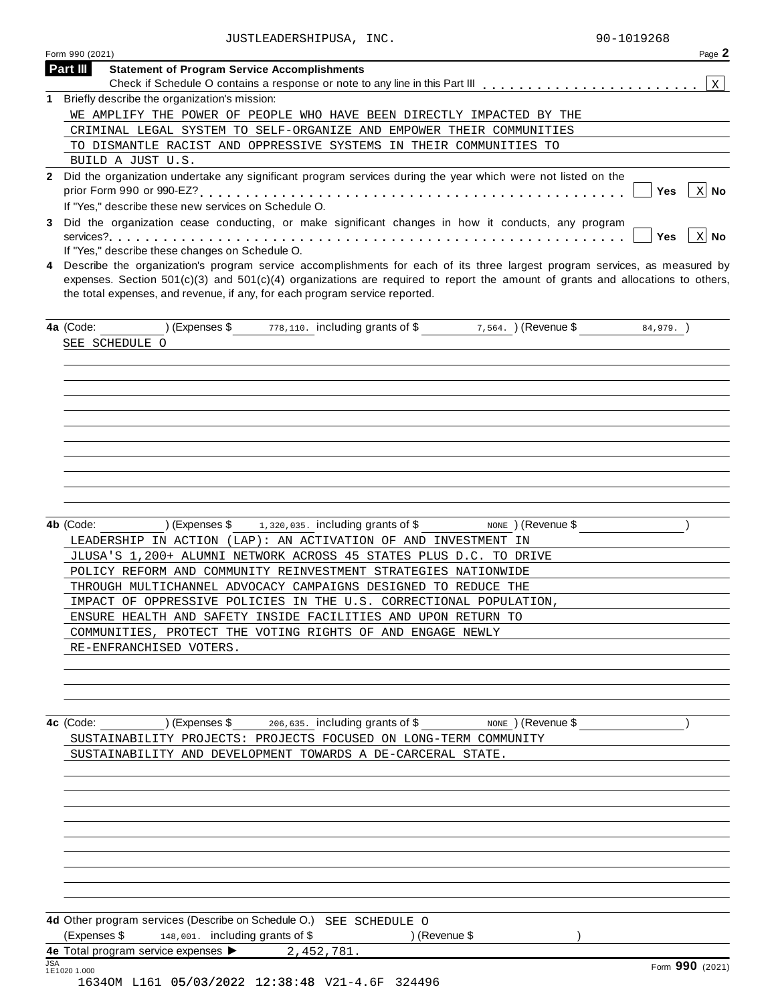|                 | JUSTLEADERSHIPUSA, INC.                                                                                                                                                                                                                                                                                                                              | 90-1019268                       |
|-----------------|------------------------------------------------------------------------------------------------------------------------------------------------------------------------------------------------------------------------------------------------------------------------------------------------------------------------------------------------------|----------------------------------|
| Form 990 (2021) |                                                                                                                                                                                                                                                                                                                                                      | Page 2                           |
| Part III        | <b>Statement of Program Service Accomplishments</b>                                                                                                                                                                                                                                                                                                  |                                  |
|                 |                                                                                                                                                                                                                                                                                                                                                      | $\vert$ x $\vert$                |
|                 | 1 Briefly describe the organization's mission:                                                                                                                                                                                                                                                                                                       |                                  |
|                 | WE AMPLIFY THE POWER OF PEOPLE WHO HAVE BEEN DIRECTLY IMPACTED BY THE                                                                                                                                                                                                                                                                                |                                  |
|                 | CRIMINAL LEGAL SYSTEM TO SELF-ORGANIZE AND EMPOWER THEIR COMMUNITIES                                                                                                                                                                                                                                                                                 |                                  |
|                 | TO DISMANTLE RACIST AND OPPRESSIVE SYSTEMS IN THEIR COMMUNITIES TO                                                                                                                                                                                                                                                                                   |                                  |
|                 | BUILD A JUST U.S.                                                                                                                                                                                                                                                                                                                                    |                                  |
| $\mathbf{2}$    | Did the organization undertake any significant program services during the year which were not listed on the                                                                                                                                                                                                                                         | $X$ No<br>Yes                    |
|                 | If "Yes," describe these new services on Schedule O.                                                                                                                                                                                                                                                                                                 |                                  |
| 3               | Did the organization cease conducting, or make significant changes in how it conducts, any program                                                                                                                                                                                                                                                   | $\vert x \vert$ No<br><b>Yes</b> |
|                 | If "Yes," describe these changes on Schedule O.                                                                                                                                                                                                                                                                                                      |                                  |
| 4               | Describe the organization's program service accomplishments for each of its three largest program services, as measured by<br>expenses. Section $501(c)(3)$ and $501(c)(4)$ organizations are required to report the amount of grants and allocations to others,<br>the total expenses, and revenue, if any, for each program service reported.      |                                  |
| 4a (Code:       | $778,110$ . including grants of \$ $7,564$ . $\sqrt{($ Revenue \$<br>) (Expenses \$                                                                                                                                                                                                                                                                  | $84,979.$ )                      |
| SEE SCHEDULE O  |                                                                                                                                                                                                                                                                                                                                                      |                                  |
|                 |                                                                                                                                                                                                                                                                                                                                                      |                                  |
|                 |                                                                                                                                                                                                                                                                                                                                                      |                                  |
|                 |                                                                                                                                                                                                                                                                                                                                                      |                                  |
|                 |                                                                                                                                                                                                                                                                                                                                                      |                                  |
|                 |                                                                                                                                                                                                                                                                                                                                                      |                                  |
|                 |                                                                                                                                                                                                                                                                                                                                                      |                                  |
|                 |                                                                                                                                                                                                                                                                                                                                                      |                                  |
| 4b (Code:       | 1,320,035. including grants of \$<br>) (Expenses \$<br>NONE ) (Revenue \$<br>LEADERSHIP IN ACTION (LAP): AN ACTIVATION OF AND INVESTMENT IN<br>JLUSA'S 1,200+ ALUMNI NETWORK ACROSS 45 STATES PLUS D.C. TO DRIVE<br>POLICY REFORM AND COMMUNITY REINVESTMENT STRATEGIES NATIONWIDE<br>THROUGH MULTICHANNEL ADVOCACY CAMPAIGNS DESIGNED TO REDUCE THE |                                  |
|                 | IMPACT OF OPPRESSIVE POLICIES IN THE U.S. CORRECTIONAL POPULATION,                                                                                                                                                                                                                                                                                   |                                  |
|                 | ENSURE HEALTH AND SAFETY INSIDE FACILITIES AND UPON RETURN TO                                                                                                                                                                                                                                                                                        |                                  |
|                 | COMMUNITIES, PROTECT THE VOTING RIGHTS OF AND ENGAGE NEWLY                                                                                                                                                                                                                                                                                           |                                  |
|                 | RE-ENFRANCHISED VOTERS.                                                                                                                                                                                                                                                                                                                              |                                  |
|                 |                                                                                                                                                                                                                                                                                                                                                      |                                  |
|                 |                                                                                                                                                                                                                                                                                                                                                      |                                  |
|                 |                                                                                                                                                                                                                                                                                                                                                      |                                  |
|                 | <b>4c</b> (Code: ) (Expenses \$ $_{206,635}$ . including grants of \$ $_{\text{NONE}}$ ) (Revenue \$                                                                                                                                                                                                                                                 |                                  |
|                 | SUSTAINABILITY PROJECTS: PROJECTS FOCUSED ON LONG-TERM COMMUNITY                                                                                                                                                                                                                                                                                     |                                  |
|                 | SUSTAINABILITY AND DEVELOPMENT TOWARDS A DE-CARCERAL STATE.                                                                                                                                                                                                                                                                                          |                                  |
|                 |                                                                                                                                                                                                                                                                                                                                                      |                                  |
|                 |                                                                                                                                                                                                                                                                                                                                                      |                                  |
|                 |                                                                                                                                                                                                                                                                                                                                                      |                                  |
|                 |                                                                                                                                                                                                                                                                                                                                                      |                                  |
|                 |                                                                                                                                                                                                                                                                                                                                                      |                                  |
|                 |                                                                                                                                                                                                                                                                                                                                                      |                                  |
|                 | 4d Other program services (Describe on Schedule O.) SEE SCHEDULE O<br>(Expenses \$148,001. including grants of \$<br>) (Revenue \$                                                                                                                                                                                                                   |                                  |
| <b>JSA</b>      | 4e Total program service expenses $\triangleright$ 2, 452, 781.                                                                                                                                                                                                                                                                                      |                                  |
| 1E1020 1.000    |                                                                                                                                                                                                                                                                                                                                                      | Form 990 (2021)                  |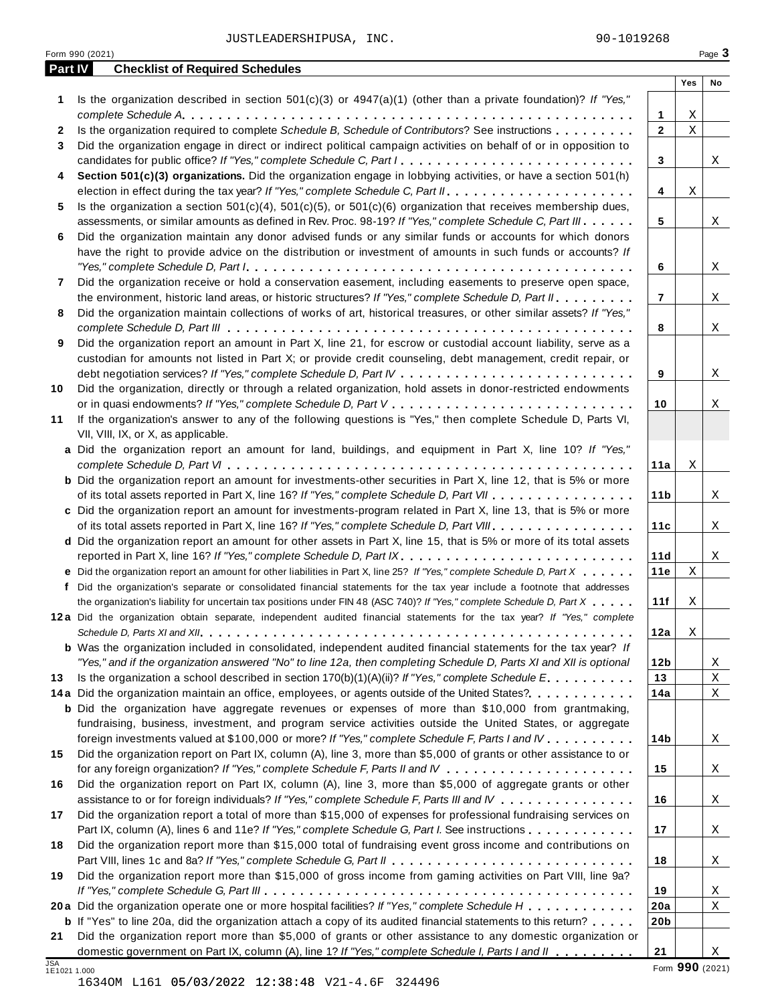JUSTLEADERSHIPUSA, INC. 200-1019268

|              | Form 990 (2021)                                                                                                                                                                      |                 |                  | Page 3          |
|--------------|--------------------------------------------------------------------------------------------------------------------------------------------------------------------------------------|-----------------|------------------|-----------------|
| Part IV      | <b>Checklist of Required Schedules</b>                                                                                                                                               |                 |                  |                 |
|              |                                                                                                                                                                                      |                 | Yes              | No              |
| 1            | Is the organization described in section $501(c)(3)$ or $4947(a)(1)$ (other than a private foundation)? If "Yes,"                                                                    |                 |                  |                 |
|              |                                                                                                                                                                                      | 1               | Χ<br>$\mathbf X$ |                 |
| 2            | Is the organization required to complete Schedule B, Schedule of Contributors? See instructions                                                                                      | $\mathbf{2}$    |                  |                 |
| 3            | Did the organization engage in direct or indirect political campaign activities on behalf of or in opposition to                                                                     |                 |                  |                 |
| 4            | candidates for public office? If "Yes," complete Schedule C, Part I<br>Section 501(c)(3) organizations. Did the organization engage in lobbying activities, or have a section 501(h) | 3               |                  | X               |
|              |                                                                                                                                                                                      | 4               | Χ                |                 |
| 5            | Is the organization a section $501(c)(4)$ , $501(c)(5)$ , or $501(c)(6)$ organization that receives membership dues,                                                                 |                 |                  |                 |
|              | assessments, or similar amounts as defined in Rev. Proc. 98-19? If "Yes," complete Schedule C, Part III                                                                              | 5               |                  | X               |
| 6            | Did the organization maintain any donor advised funds or any similar funds or accounts for which donors                                                                              |                 |                  |                 |
|              | have the right to provide advice on the distribution or investment of amounts in such funds or accounts? If                                                                          |                 |                  |                 |
|              |                                                                                                                                                                                      | 6               |                  | Χ               |
| 7            | Did the organization receive or hold a conservation easement, including easements to preserve open space,                                                                            |                 |                  |                 |
|              | the environment, historic land areas, or historic structures? If "Yes," complete Schedule D, Part II.                                                                                | 7               |                  | X               |
| 8            | Did the organization maintain collections of works of art, historical treasures, or other similar assets? If "Yes,"                                                                  |                 |                  |                 |
|              |                                                                                                                                                                                      | 8               |                  | X               |
| 9            | Did the organization report an amount in Part X, line 21, for escrow or custodial account liability, serve as a                                                                      |                 |                  |                 |
|              | custodian for amounts not listed in Part X; or provide credit counseling, debt management, credit repair, or                                                                         |                 |                  |                 |
|              |                                                                                                                                                                                      | 9               |                  | Χ               |
| 10           | Did the organization, directly or through a related organization, hold assets in donor-restricted endowments                                                                         |                 |                  |                 |
|              |                                                                                                                                                                                      | 10              |                  | Χ               |
| 11           | If the organization's answer to any of the following questions is "Yes," then complete Schedule D, Parts VI,                                                                         |                 |                  |                 |
|              | VII, VIII, IX, or X, as applicable.                                                                                                                                                  |                 |                  |                 |
|              | a Did the organization report an amount for land, buildings, and equipment in Part X, line 10? If "Yes,"                                                                             |                 |                  |                 |
|              |                                                                                                                                                                                      | 11a             | Χ                |                 |
|              | <b>b</b> Did the organization report an amount for investments-other securities in Part X, line 12, that is 5% or more                                                               |                 |                  |                 |
|              | of its total assets reported in Part X, line 16? If "Yes," complete Schedule D, Part VII                                                                                             | 11 <sub>b</sub> |                  | X               |
|              | c Did the organization report an amount for investments-program related in Part X, line 13, that is 5% or more                                                                       |                 |                  |                 |
|              | of its total assets reported in Part X, line 16? If "Yes," complete Schedule D, Part VIII                                                                                            | 11c             |                  | X               |
|              | d Did the organization report an amount for other assets in Part X, line 15, that is 5% or more of its total assets                                                                  |                 |                  |                 |
|              | reported in Part X, line 16? If "Yes," complete Schedule D, Part IX.                                                                                                                 | 11d             |                  | X               |
|              | e Did the organization report an amount for other liabilities in Part X, line 25? If "Yes," complete Schedule D, Part X                                                              | 11e             | Χ                |                 |
|              | f Did the organization's separate or consolidated financial statements for the tax year include a footnote that addresses                                                            |                 |                  |                 |
|              | the organization's liability for uncertain tax positions under FIN 48 (ASC 740)? If "Yes," complete Schedule D, Part X                                                               | 11f             | X                |                 |
|              | 12a Did the organization obtain separate, independent audited financial statements for the tax year? If "Yes," complete                                                              |                 |                  |                 |
|              |                                                                                                                                                                                      | 12a             | Χ                |                 |
|              | <b>b</b> Was the organization included in consolidated, independent audited financial statements for the tax year? If                                                                |                 |                  |                 |
|              | "Yes," and if the organization answered "No" to line 12a, then completing Schedule D, Parts XI and XII is optional                                                                   | 12 <sub>b</sub> |                  | X               |
| 13           | Is the organization a school described in section $170(b)(1)(A)(ii)?$ If "Yes," complete Schedule E.                                                                                 | 13              |                  | Χ               |
|              | 14a Did the organization maintain an office, employees, or agents outside of the United States?.                                                                                     | 14a             |                  | Χ               |
|              | <b>b</b> Did the organization have aggregate revenues or expenses of more than \$10,000 from grantmaking,                                                                            |                 |                  |                 |
|              | fundraising, business, investment, and program service activities outside the United States, or aggregate                                                                            |                 |                  |                 |
|              | foreign investments valued at \$100,000 or more? If "Yes," complete Schedule F, Parts I and IV                                                                                       | 14 <sub>b</sub> |                  | X               |
| 15           | Did the organization report on Part IX, column (A), line 3, more than \$5,000 of grants or other assistance to or                                                                    |                 |                  |                 |
|              |                                                                                                                                                                                      | 15              |                  | X               |
| 16           | Did the organization report on Part IX, column (A), line 3, more than \$5,000 of aggregate grants or other                                                                           |                 |                  |                 |
|              | assistance to or for foreign individuals? If "Yes," complete Schedule F, Parts III and IV                                                                                            | 16              |                  | X               |
| 17           | Did the organization report a total of more than \$15,000 of expenses for professional fundraising services on                                                                       |                 |                  |                 |
|              | Part IX, column (A), lines 6 and 11e? If "Yes," complete Schedule G, Part I. See instructions                                                                                        | 17              |                  | X               |
| 18           | Did the organization report more than \$15,000 total of fundraising event gross income and contributions on                                                                          |                 |                  |                 |
|              |                                                                                                                                                                                      | 18              |                  | X               |
| 19           | Did the organization report more than \$15,000 of gross income from gaming activities on Part VIII, line 9a?                                                                         |                 |                  |                 |
|              |                                                                                                                                                                                      | 19              |                  | X               |
|              | 20a Did the organization operate one or more hospital facilities? If "Yes," complete Schedule H                                                                                      | 20a             |                  | Χ               |
|              | <b>b</b> If "Yes" to line 20a, did the organization attach a copy of its audited financial statements to this return?                                                                | 20 <sub>b</sub> |                  |                 |
| 21           | Did the organization report more than \$5,000 of grants or other assistance to any domestic organization or                                                                          |                 |                  |                 |
| JSA          | domestic government on Part IX, column (A), line 1? If "Yes," complete Schedule I, Parts I and II                                                                                    | 21              |                  | X               |
| 1E1021 1.000 |                                                                                                                                                                                      |                 |                  | Form 990 (2021) |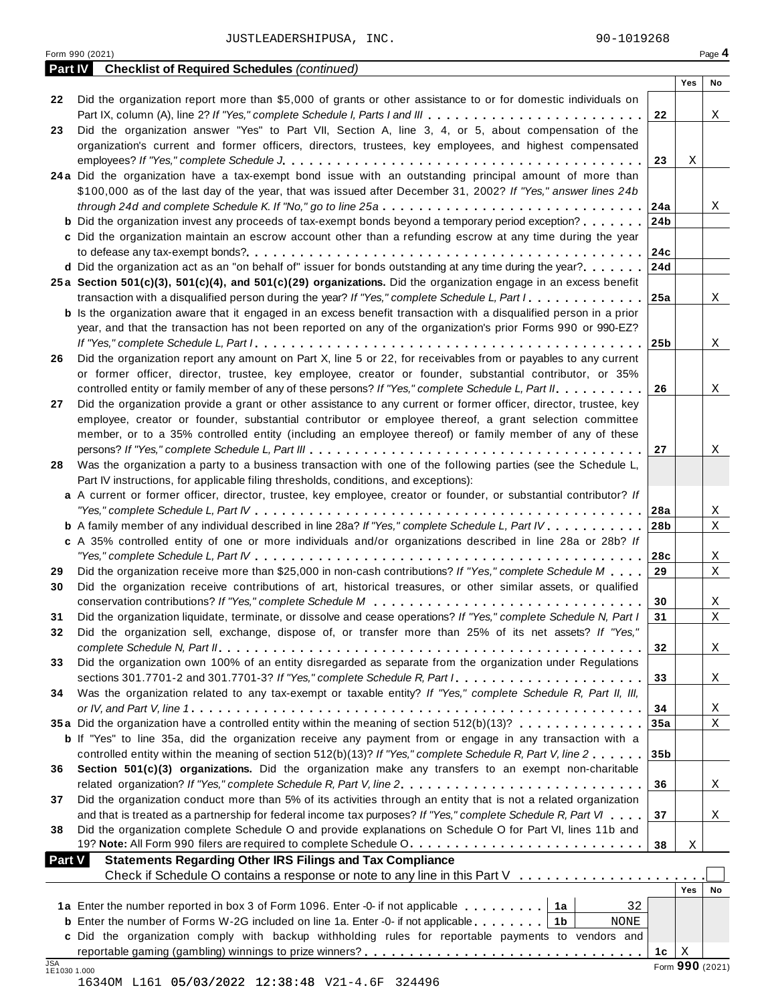|                     | 90-1019268<br>JUSTLEADERSHIPUSA, INC.                                                                                                                                                                                       |                 |     |                 |
|---------------------|-----------------------------------------------------------------------------------------------------------------------------------------------------------------------------------------------------------------------------|-----------------|-----|-----------------|
| <b>Part IV</b>      | Form 990 (2021)<br><b>Checklist of Required Schedules (continued)</b>                                                                                                                                                       |                 |     | Page 4          |
|                     |                                                                                                                                                                                                                             |                 | Yes | <b>No</b>       |
| 22                  | Did the organization report more than \$5,000 of grants or other assistance to or for domestic individuals on                                                                                                               | 22              |     | X               |
| 23                  | Did the organization answer "Yes" to Part VII, Section A, line 3, 4, or 5, about compensation of the                                                                                                                        |                 |     |                 |
|                     | organization's current and former officers, directors, trustees, key employees, and highest compensated                                                                                                                     |                 |     |                 |
|                     |                                                                                                                                                                                                                             | 23              | Χ   |                 |
|                     | 24a Did the organization have a tax-exempt bond issue with an outstanding principal amount of more than                                                                                                                     |                 |     |                 |
|                     | \$100,000 as of the last day of the year, that was issued after December 31, 2002? If "Yes," answer lines 24b                                                                                                               |                 |     |                 |
|                     | through 24d and complete Schedule K. If "No," go to line 25a $\dots \dots \dots \dots \dots \dots \dots \dots \dots \dots \dots$                                                                                            | 24a             |     | X               |
|                     | <b>b</b> Did the organization invest any proceeds of tax-exempt bonds beyond a temporary period exception?                                                                                                                  | 24b             |     |                 |
|                     | c Did the organization maintain an escrow account other than a refunding escrow at any time during the year                                                                                                                 | 24c             |     |                 |
|                     | d Did the organization act as an "on behalf of" issuer for bonds outstanding at any time during the year? $ 24d$                                                                                                            |                 |     |                 |
|                     | 25a Section 501(c)(3), 501(c)(4), and 501(c)(29) organizations. Did the organization engage in an excess benefit                                                                                                            |                 |     |                 |
|                     | transaction with a disqualified person during the year? If "Yes," complete Schedule L, Part $1, \ldots, \ldots, \ldots, \ldots$                                                                                             | 25a             |     | X               |
|                     | <b>b</b> Is the organization aware that it engaged in an excess benefit transaction with a disqualified person in a prior                                                                                                   |                 |     |                 |
|                     | year, and that the transaction has not been reported on any of the organization's prior Forms 990 or 990-EZ?                                                                                                                |                 |     |                 |
|                     |                                                                                                                                                                                                                             | 25 <sub>b</sub> |     | X               |
| 26                  | Did the organization report any amount on Part X, line 5 or 22, for receivables from or payables to any current                                                                                                             |                 |     |                 |
|                     | or former officer, director, trustee, key employee, creator or founder, substantial contributor, or 35%                                                                                                                     |                 |     |                 |
|                     | controlled entity or family member of any of these persons? If "Yes," complete Schedule L, Part II.                                                                                                                         | 26              |     | X               |
| 27                  | Did the organization provide a grant or other assistance to any current or former officer, director, trustee, key<br>employee, creator or founder, substantial contributor or employee thereof, a grant selection committee |                 |     |                 |
|                     | member, or to a 35% controlled entity (including an employee thereof) or family member of any of these                                                                                                                      |                 |     |                 |
|                     |                                                                                                                                                                                                                             | 27              |     | Χ               |
| 28                  | Was the organization a party to a business transaction with one of the following parties (see the Schedule L,                                                                                                               |                 |     |                 |
|                     | Part IV instructions, for applicable filing thresholds, conditions, and exceptions):                                                                                                                                        |                 |     |                 |
|                     | a A current or former officer, director, trustee, key employee, creator or founder, or substantial contributor? If                                                                                                          |                 |     |                 |
|                     |                                                                                                                                                                                                                             | 28a             |     | X               |
|                     | <b>b</b> A family member of any individual described in line 28a? If "Yes," complete Schedule L, Part IV.                                                                                                                   | 28b             |     | X               |
|                     | c A 35% controlled entity of one or more individuals and/or organizations described in line 28a or 28b? If                                                                                                                  |                 |     |                 |
| 29                  | Did the organization receive more than \$25,000 in non-cash contributions? If "Yes," complete Schedule M                                                                                                                    | 28c<br>29       |     | X<br>X          |
| 30                  | Did the organization receive contributions of art, historical treasures, or other similar assets, or qualified                                                                                                              |                 |     |                 |
|                     |                                                                                                                                                                                                                             | 30              |     | X               |
| 31                  | Did the organization liquidate, terminate, or dissolve and cease operations? If "Yes," complete Schedule N, Part I                                                                                                          | 31              |     | X               |
| 32                  | Did the organization sell, exchange, dispose of, or transfer more than 25% of its net assets? If "Yes,"                                                                                                                     |                 |     |                 |
|                     |                                                                                                                                                                                                                             | 32              |     | X               |
| 33                  | Did the organization own 100% of an entity disregarded as separate from the organization under Regulations                                                                                                                  |                 |     |                 |
|                     |                                                                                                                                                                                                                             | 33              |     | X               |
| 34                  | Was the organization related to any tax-exempt or taxable entity? If "Yes," complete Schedule R, Part II, III,                                                                                                              |                 |     |                 |
|                     |                                                                                                                                                                                                                             | 34              |     | X               |
|                     | 35a Did the organization have a controlled entity within the meaning of section 512(b)(13)?<br><b>b</b> If "Yes" to line 35a, did the organization receive any payment from or engage in any transaction with a             | 35a             |     | X               |
|                     | controlled entity within the meaning of section 512(b)(13)? If "Yes," complete Schedule R, Part V, line 2                                                                                                                   | 35 <sub>b</sub> |     |                 |
| 36                  | Section 501(c)(3) organizations. Did the organization make any transfers to an exempt non-charitable                                                                                                                        |                 |     |                 |
|                     | related organization? If "Yes," complete Schedule R, Part V, line 2.                                                                                                                                                        | 36              |     | X               |
| 37                  | Did the organization conduct more than 5% of its activities through an entity that is not a related organization                                                                                                            |                 |     |                 |
|                     | and that is treated as a partnership for federal income tax purposes? If "Yes," complete Schedule R, Part VI                                                                                                                | 37              |     | X               |
| 38                  | Did the organization complete Schedule O and provide explanations on Schedule O for Part VI, lines 11b and                                                                                                                  |                 |     |                 |
|                     | 19? Note: All Form 990 filers are required to complete Schedule O.                                                                                                                                                          | 38              | Χ   |                 |
| <b>Part V</b>       | <b>Statements Regarding Other IRS Filings and Tax Compliance</b>                                                                                                                                                            |                 |     |                 |
|                     | Check if Schedule O contains a response or note to any line in this Part V                                                                                                                                                  |                 | Yes | No              |
|                     | 1a<br>32                                                                                                                                                                                                                    |                 |     |                 |
|                     | <b>b</b> Enter the number of Forms W-2G included on line 1a. Enter -0- if not applicable.   1b<br>NONE                                                                                                                      |                 |     |                 |
|                     | c Did the organization comply with backup withholding rules for reportable payments to vendors and                                                                                                                          |                 |     |                 |
|                     |                                                                                                                                                                                                                             | 1c              | Χ   |                 |
| JSA<br>1E1030 1.000 |                                                                                                                                                                                                                             |                 |     | Form 990 (2021) |

1634OM L161 05/03/2022 12:38:48 V21-4.6F 324496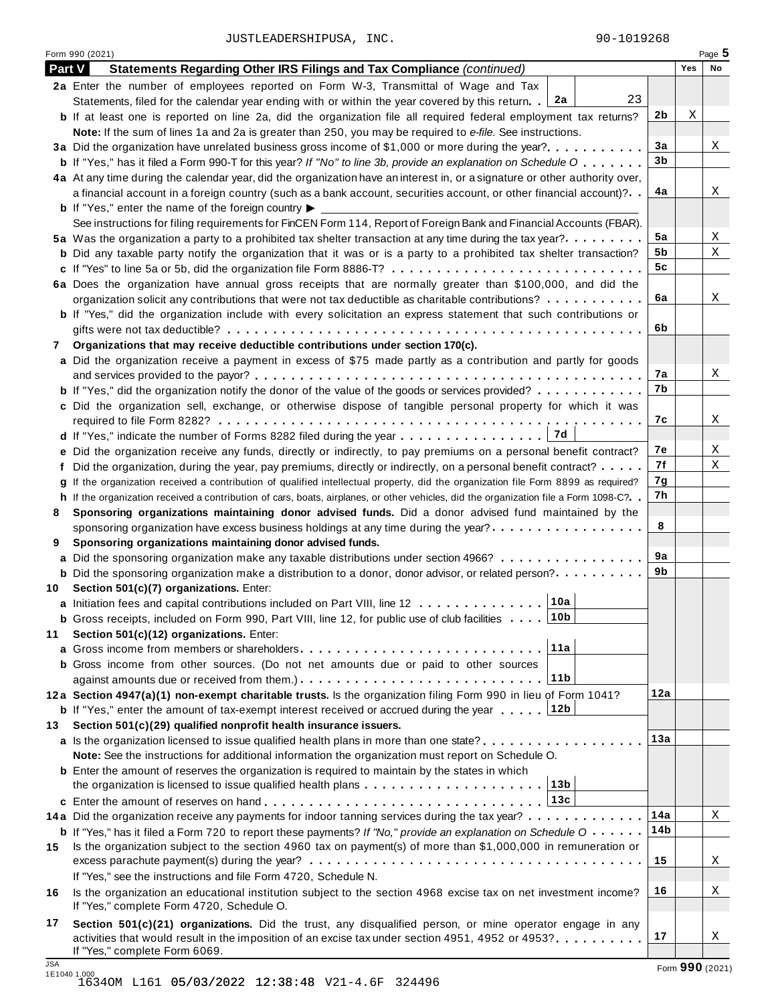JUSTLEADERSHIPUSA, INC. 200-1019268

Form <sup>990</sup> (2021) Page **5**

| 2a Enter the number of employees reported on Form W-3, Transmittal of Wage and Tax<br>23<br>2a<br>Statements, filed for the calendar year ending with or within the year covered by this return.<br>Χ<br>2b<br><b>b</b> If at least one is reported on line 2a, did the organization file all required federal employment tax returns?<br>Note: If the sum of lines 1a and 2a is greater than 250, you may be required to e-file. See instructions.<br>3a<br>3 <sub>b</sub><br><b>b</b> If "Yes," has it filed a Form 990-T for this year? If "No" to line 3b, provide an explanation on Schedule O<br>4a At any time during the calendar year, did the organization have an interest in, or a signature or other authority over,<br>4a<br>a financial account in a foreign country (such as a bank account, securities account, or other financial account)?<br><b>b</b> If "Yes," enter the name of the foreign country $\blacktriangleright$<br>See instructions for filing requirements for FinCEN Form 114, Report of Foreign Bank and Financial Accounts (FBAR).<br>5a<br>5a Was the organization a party to a prohibited tax shelter transaction at any time during the tax year?<br>5b<br><b>b</b> Did any taxable party notify the organization that it was or is a party to a prohibited tax shelter transaction?<br>5 <sub>c</sub><br>6a Does the organization have annual gross receipts that are normally greater than \$100,000, and did the<br>6a<br>organization solicit any contributions that were not tax deductible as charitable contributions?<br>b If "Yes," did the organization include with every solicitation an express statement that such contributions or<br>6b<br>Organizations that may receive deductible contributions under section 170(c).<br>7<br>a Did the organization receive a payment in excess of \$75 made partly as a contribution and partly for goods<br>7а<br>7b<br><b>b</b> If "Yes," did the organization notify the donor of the value of the goods or services provided?<br>c Did the organization sell, exchange, or otherwise dispose of tangible personal property for which it was<br>7c<br>7d<br>7e<br>e Did the organization receive any funds, directly or indirectly, to pay premiums on a personal benefit contract?<br>7f<br>f Did the organization, during the year, pay premiums, directly or indirectly, on a personal benefit contract?<br>7g<br>g If the organization received a contribution of qualified intellectual property, did the organization file Form 8899 as required?<br>7h<br>h If the organization received a contribution of cars, boats, airplanes, or other vehicles, did the organization file a Form 1098-C?. .<br>Sponsoring organizations maintaining donor advised funds. Did a donor advised fund maintained by the<br>8<br>8<br>sponsoring organization have excess business holdings at any time during the year?<br>Sponsoring organizations maintaining donor advised funds.<br>9<br>9a<br>a Did the sponsoring organization make any taxable distributions under section 4966?<br>9b<br><b>b</b> Did the sponsoring organization make a distribution to a donor, donor advisor, or related person?<br>Section 501(c)(7) organizations. Enter:<br>10<br>10a<br>a Initiation fees and capital contributions included on Part VIII, line 12<br>10b<br><b>b</b> Gross receipts, included on Form 990, Part VIII, line 12, for public use of club facilities<br>Section 501(c)(12) organizations. Enter:<br>11a<br><b>b</b> Gross income from other sources. (Do not net amounts due or paid to other sources<br>11b<br>12a<br>12a Section 4947(a)(1) non-exempt charitable trusts. Is the organization filing Form 990 in lieu of Form 1041? | X<br>Χ<br>Χ<br>X<br>X<br>X<br>Χ |
|-------------------------------------------------------------------------------------------------------------------------------------------------------------------------------------------------------------------------------------------------------------------------------------------------------------------------------------------------------------------------------------------------------------------------------------------------------------------------------------------------------------------------------------------------------------------------------------------------------------------------------------------------------------------------------------------------------------------------------------------------------------------------------------------------------------------------------------------------------------------------------------------------------------------------------------------------------------------------------------------------------------------------------------------------------------------------------------------------------------------------------------------------------------------------------------------------------------------------------------------------------------------------------------------------------------------------------------------------------------------------------------------------------------------------------------------------------------------------------------------------------------------------------------------------------------------------------------------------------------------------------------------------------------------------------------------------------------------------------------------------------------------------------------------------------------------------------------------------------------------------------------------------------------------------------------------------------------------------------------------------------------------------------------------------------------------------------------------------------------------------------------------------------------------------------------------------------------------------------------------------------------------------------------------------------------------------------------------------------------------------------------------------------------------------------------------------------------------------------------------------------------------------------------------------------------------------------------------------------------------------------------------------------------------------------------------------------------------------------------------------------------------------------------------------------------------------------------------------------------------------------------------------------------------------------------------------------------------------------------------------------------------------------------------------------------------------------------------------------------------------------------------------------------------------------------------------------------------------------------------------------------------------------------------------------------------------------------------------------------------------------------------------------------------------------------------------------------------------------------------------------------------------------------------------------------------------------------------------------------------------------------------------------------------------------------------------------------------------------------------|---------------------------------|
|                                                                                                                                                                                                                                                                                                                                                                                                                                                                                                                                                                                                                                                                                                                                                                                                                                                                                                                                                                                                                                                                                                                                                                                                                                                                                                                                                                                                                                                                                                                                                                                                                                                                                                                                                                                                                                                                                                                                                                                                                                                                                                                                                                                                                                                                                                                                                                                                                                                                                                                                                                                                                                                                                                                                                                                                                                                                                                                                                                                                                                                                                                                                                                                                                                                                                                                                                                                                                                                                                                                                                                                                                                                                                                                                           |                                 |
|                                                                                                                                                                                                                                                                                                                                                                                                                                                                                                                                                                                                                                                                                                                                                                                                                                                                                                                                                                                                                                                                                                                                                                                                                                                                                                                                                                                                                                                                                                                                                                                                                                                                                                                                                                                                                                                                                                                                                                                                                                                                                                                                                                                                                                                                                                                                                                                                                                                                                                                                                                                                                                                                                                                                                                                                                                                                                                                                                                                                                                                                                                                                                                                                                                                                                                                                                                                                                                                                                                                                                                                                                                                                                                                                           |                                 |
|                                                                                                                                                                                                                                                                                                                                                                                                                                                                                                                                                                                                                                                                                                                                                                                                                                                                                                                                                                                                                                                                                                                                                                                                                                                                                                                                                                                                                                                                                                                                                                                                                                                                                                                                                                                                                                                                                                                                                                                                                                                                                                                                                                                                                                                                                                                                                                                                                                                                                                                                                                                                                                                                                                                                                                                                                                                                                                                                                                                                                                                                                                                                                                                                                                                                                                                                                                                                                                                                                                                                                                                                                                                                                                                                           |                                 |
|                                                                                                                                                                                                                                                                                                                                                                                                                                                                                                                                                                                                                                                                                                                                                                                                                                                                                                                                                                                                                                                                                                                                                                                                                                                                                                                                                                                                                                                                                                                                                                                                                                                                                                                                                                                                                                                                                                                                                                                                                                                                                                                                                                                                                                                                                                                                                                                                                                                                                                                                                                                                                                                                                                                                                                                                                                                                                                                                                                                                                                                                                                                                                                                                                                                                                                                                                                                                                                                                                                                                                                                                                                                                                                                                           |                                 |
|                                                                                                                                                                                                                                                                                                                                                                                                                                                                                                                                                                                                                                                                                                                                                                                                                                                                                                                                                                                                                                                                                                                                                                                                                                                                                                                                                                                                                                                                                                                                                                                                                                                                                                                                                                                                                                                                                                                                                                                                                                                                                                                                                                                                                                                                                                                                                                                                                                                                                                                                                                                                                                                                                                                                                                                                                                                                                                                                                                                                                                                                                                                                                                                                                                                                                                                                                                                                                                                                                                                                                                                                                                                                                                                                           |                                 |
|                                                                                                                                                                                                                                                                                                                                                                                                                                                                                                                                                                                                                                                                                                                                                                                                                                                                                                                                                                                                                                                                                                                                                                                                                                                                                                                                                                                                                                                                                                                                                                                                                                                                                                                                                                                                                                                                                                                                                                                                                                                                                                                                                                                                                                                                                                                                                                                                                                                                                                                                                                                                                                                                                                                                                                                                                                                                                                                                                                                                                                                                                                                                                                                                                                                                                                                                                                                                                                                                                                                                                                                                                                                                                                                                           |                                 |
|                                                                                                                                                                                                                                                                                                                                                                                                                                                                                                                                                                                                                                                                                                                                                                                                                                                                                                                                                                                                                                                                                                                                                                                                                                                                                                                                                                                                                                                                                                                                                                                                                                                                                                                                                                                                                                                                                                                                                                                                                                                                                                                                                                                                                                                                                                                                                                                                                                                                                                                                                                                                                                                                                                                                                                                                                                                                                                                                                                                                                                                                                                                                                                                                                                                                                                                                                                                                                                                                                                                                                                                                                                                                                                                                           |                                 |
|                                                                                                                                                                                                                                                                                                                                                                                                                                                                                                                                                                                                                                                                                                                                                                                                                                                                                                                                                                                                                                                                                                                                                                                                                                                                                                                                                                                                                                                                                                                                                                                                                                                                                                                                                                                                                                                                                                                                                                                                                                                                                                                                                                                                                                                                                                                                                                                                                                                                                                                                                                                                                                                                                                                                                                                                                                                                                                                                                                                                                                                                                                                                                                                                                                                                                                                                                                                                                                                                                                                                                                                                                                                                                                                                           |                                 |
|                                                                                                                                                                                                                                                                                                                                                                                                                                                                                                                                                                                                                                                                                                                                                                                                                                                                                                                                                                                                                                                                                                                                                                                                                                                                                                                                                                                                                                                                                                                                                                                                                                                                                                                                                                                                                                                                                                                                                                                                                                                                                                                                                                                                                                                                                                                                                                                                                                                                                                                                                                                                                                                                                                                                                                                                                                                                                                                                                                                                                                                                                                                                                                                                                                                                                                                                                                                                                                                                                                                                                                                                                                                                                                                                           |                                 |
|                                                                                                                                                                                                                                                                                                                                                                                                                                                                                                                                                                                                                                                                                                                                                                                                                                                                                                                                                                                                                                                                                                                                                                                                                                                                                                                                                                                                                                                                                                                                                                                                                                                                                                                                                                                                                                                                                                                                                                                                                                                                                                                                                                                                                                                                                                                                                                                                                                                                                                                                                                                                                                                                                                                                                                                                                                                                                                                                                                                                                                                                                                                                                                                                                                                                                                                                                                                                                                                                                                                                                                                                                                                                                                                                           |                                 |
|                                                                                                                                                                                                                                                                                                                                                                                                                                                                                                                                                                                                                                                                                                                                                                                                                                                                                                                                                                                                                                                                                                                                                                                                                                                                                                                                                                                                                                                                                                                                                                                                                                                                                                                                                                                                                                                                                                                                                                                                                                                                                                                                                                                                                                                                                                                                                                                                                                                                                                                                                                                                                                                                                                                                                                                                                                                                                                                                                                                                                                                                                                                                                                                                                                                                                                                                                                                                                                                                                                                                                                                                                                                                                                                                           |                                 |
|                                                                                                                                                                                                                                                                                                                                                                                                                                                                                                                                                                                                                                                                                                                                                                                                                                                                                                                                                                                                                                                                                                                                                                                                                                                                                                                                                                                                                                                                                                                                                                                                                                                                                                                                                                                                                                                                                                                                                                                                                                                                                                                                                                                                                                                                                                                                                                                                                                                                                                                                                                                                                                                                                                                                                                                                                                                                                                                                                                                                                                                                                                                                                                                                                                                                                                                                                                                                                                                                                                                                                                                                                                                                                                                                           |                                 |
|                                                                                                                                                                                                                                                                                                                                                                                                                                                                                                                                                                                                                                                                                                                                                                                                                                                                                                                                                                                                                                                                                                                                                                                                                                                                                                                                                                                                                                                                                                                                                                                                                                                                                                                                                                                                                                                                                                                                                                                                                                                                                                                                                                                                                                                                                                                                                                                                                                                                                                                                                                                                                                                                                                                                                                                                                                                                                                                                                                                                                                                                                                                                                                                                                                                                                                                                                                                                                                                                                                                                                                                                                                                                                                                                           |                                 |
|                                                                                                                                                                                                                                                                                                                                                                                                                                                                                                                                                                                                                                                                                                                                                                                                                                                                                                                                                                                                                                                                                                                                                                                                                                                                                                                                                                                                                                                                                                                                                                                                                                                                                                                                                                                                                                                                                                                                                                                                                                                                                                                                                                                                                                                                                                                                                                                                                                                                                                                                                                                                                                                                                                                                                                                                                                                                                                                                                                                                                                                                                                                                                                                                                                                                                                                                                                                                                                                                                                                                                                                                                                                                                                                                           |                                 |
|                                                                                                                                                                                                                                                                                                                                                                                                                                                                                                                                                                                                                                                                                                                                                                                                                                                                                                                                                                                                                                                                                                                                                                                                                                                                                                                                                                                                                                                                                                                                                                                                                                                                                                                                                                                                                                                                                                                                                                                                                                                                                                                                                                                                                                                                                                                                                                                                                                                                                                                                                                                                                                                                                                                                                                                                                                                                                                                                                                                                                                                                                                                                                                                                                                                                                                                                                                                                                                                                                                                                                                                                                                                                                                                                           |                                 |
|                                                                                                                                                                                                                                                                                                                                                                                                                                                                                                                                                                                                                                                                                                                                                                                                                                                                                                                                                                                                                                                                                                                                                                                                                                                                                                                                                                                                                                                                                                                                                                                                                                                                                                                                                                                                                                                                                                                                                                                                                                                                                                                                                                                                                                                                                                                                                                                                                                                                                                                                                                                                                                                                                                                                                                                                                                                                                                                                                                                                                                                                                                                                                                                                                                                                                                                                                                                                                                                                                                                                                                                                                                                                                                                                           |                                 |
|                                                                                                                                                                                                                                                                                                                                                                                                                                                                                                                                                                                                                                                                                                                                                                                                                                                                                                                                                                                                                                                                                                                                                                                                                                                                                                                                                                                                                                                                                                                                                                                                                                                                                                                                                                                                                                                                                                                                                                                                                                                                                                                                                                                                                                                                                                                                                                                                                                                                                                                                                                                                                                                                                                                                                                                                                                                                                                                                                                                                                                                                                                                                                                                                                                                                                                                                                                                                                                                                                                                                                                                                                                                                                                                                           |                                 |
|                                                                                                                                                                                                                                                                                                                                                                                                                                                                                                                                                                                                                                                                                                                                                                                                                                                                                                                                                                                                                                                                                                                                                                                                                                                                                                                                                                                                                                                                                                                                                                                                                                                                                                                                                                                                                                                                                                                                                                                                                                                                                                                                                                                                                                                                                                                                                                                                                                                                                                                                                                                                                                                                                                                                                                                                                                                                                                                                                                                                                                                                                                                                                                                                                                                                                                                                                                                                                                                                                                                                                                                                                                                                                                                                           |                                 |
|                                                                                                                                                                                                                                                                                                                                                                                                                                                                                                                                                                                                                                                                                                                                                                                                                                                                                                                                                                                                                                                                                                                                                                                                                                                                                                                                                                                                                                                                                                                                                                                                                                                                                                                                                                                                                                                                                                                                                                                                                                                                                                                                                                                                                                                                                                                                                                                                                                                                                                                                                                                                                                                                                                                                                                                                                                                                                                                                                                                                                                                                                                                                                                                                                                                                                                                                                                                                                                                                                                                                                                                                                                                                                                                                           |                                 |
|                                                                                                                                                                                                                                                                                                                                                                                                                                                                                                                                                                                                                                                                                                                                                                                                                                                                                                                                                                                                                                                                                                                                                                                                                                                                                                                                                                                                                                                                                                                                                                                                                                                                                                                                                                                                                                                                                                                                                                                                                                                                                                                                                                                                                                                                                                                                                                                                                                                                                                                                                                                                                                                                                                                                                                                                                                                                                                                                                                                                                                                                                                                                                                                                                                                                                                                                                                                                                                                                                                                                                                                                                                                                                                                                           |                                 |
|                                                                                                                                                                                                                                                                                                                                                                                                                                                                                                                                                                                                                                                                                                                                                                                                                                                                                                                                                                                                                                                                                                                                                                                                                                                                                                                                                                                                                                                                                                                                                                                                                                                                                                                                                                                                                                                                                                                                                                                                                                                                                                                                                                                                                                                                                                                                                                                                                                                                                                                                                                                                                                                                                                                                                                                                                                                                                                                                                                                                                                                                                                                                                                                                                                                                                                                                                                                                                                                                                                                                                                                                                                                                                                                                           |                                 |
|                                                                                                                                                                                                                                                                                                                                                                                                                                                                                                                                                                                                                                                                                                                                                                                                                                                                                                                                                                                                                                                                                                                                                                                                                                                                                                                                                                                                                                                                                                                                                                                                                                                                                                                                                                                                                                                                                                                                                                                                                                                                                                                                                                                                                                                                                                                                                                                                                                                                                                                                                                                                                                                                                                                                                                                                                                                                                                                                                                                                                                                                                                                                                                                                                                                                                                                                                                                                                                                                                                                                                                                                                                                                                                                                           |                                 |
|                                                                                                                                                                                                                                                                                                                                                                                                                                                                                                                                                                                                                                                                                                                                                                                                                                                                                                                                                                                                                                                                                                                                                                                                                                                                                                                                                                                                                                                                                                                                                                                                                                                                                                                                                                                                                                                                                                                                                                                                                                                                                                                                                                                                                                                                                                                                                                                                                                                                                                                                                                                                                                                                                                                                                                                                                                                                                                                                                                                                                                                                                                                                                                                                                                                                                                                                                                                                                                                                                                                                                                                                                                                                                                                                           |                                 |
|                                                                                                                                                                                                                                                                                                                                                                                                                                                                                                                                                                                                                                                                                                                                                                                                                                                                                                                                                                                                                                                                                                                                                                                                                                                                                                                                                                                                                                                                                                                                                                                                                                                                                                                                                                                                                                                                                                                                                                                                                                                                                                                                                                                                                                                                                                                                                                                                                                                                                                                                                                                                                                                                                                                                                                                                                                                                                                                                                                                                                                                                                                                                                                                                                                                                                                                                                                                                                                                                                                                                                                                                                                                                                                                                           |                                 |
|                                                                                                                                                                                                                                                                                                                                                                                                                                                                                                                                                                                                                                                                                                                                                                                                                                                                                                                                                                                                                                                                                                                                                                                                                                                                                                                                                                                                                                                                                                                                                                                                                                                                                                                                                                                                                                                                                                                                                                                                                                                                                                                                                                                                                                                                                                                                                                                                                                                                                                                                                                                                                                                                                                                                                                                                                                                                                                                                                                                                                                                                                                                                                                                                                                                                                                                                                                                                                                                                                                                                                                                                                                                                                                                                           | X                               |
|                                                                                                                                                                                                                                                                                                                                                                                                                                                                                                                                                                                                                                                                                                                                                                                                                                                                                                                                                                                                                                                                                                                                                                                                                                                                                                                                                                                                                                                                                                                                                                                                                                                                                                                                                                                                                                                                                                                                                                                                                                                                                                                                                                                                                                                                                                                                                                                                                                                                                                                                                                                                                                                                                                                                                                                                                                                                                                                                                                                                                                                                                                                                                                                                                                                                                                                                                                                                                                                                                                                                                                                                                                                                                                                                           | X                               |
|                                                                                                                                                                                                                                                                                                                                                                                                                                                                                                                                                                                                                                                                                                                                                                                                                                                                                                                                                                                                                                                                                                                                                                                                                                                                                                                                                                                                                                                                                                                                                                                                                                                                                                                                                                                                                                                                                                                                                                                                                                                                                                                                                                                                                                                                                                                                                                                                                                                                                                                                                                                                                                                                                                                                                                                                                                                                                                                                                                                                                                                                                                                                                                                                                                                                                                                                                                                                                                                                                                                                                                                                                                                                                                                                           |                                 |
|                                                                                                                                                                                                                                                                                                                                                                                                                                                                                                                                                                                                                                                                                                                                                                                                                                                                                                                                                                                                                                                                                                                                                                                                                                                                                                                                                                                                                                                                                                                                                                                                                                                                                                                                                                                                                                                                                                                                                                                                                                                                                                                                                                                                                                                                                                                                                                                                                                                                                                                                                                                                                                                                                                                                                                                                                                                                                                                                                                                                                                                                                                                                                                                                                                                                                                                                                                                                                                                                                                                                                                                                                                                                                                                                           |                                 |
|                                                                                                                                                                                                                                                                                                                                                                                                                                                                                                                                                                                                                                                                                                                                                                                                                                                                                                                                                                                                                                                                                                                                                                                                                                                                                                                                                                                                                                                                                                                                                                                                                                                                                                                                                                                                                                                                                                                                                                                                                                                                                                                                                                                                                                                                                                                                                                                                                                                                                                                                                                                                                                                                                                                                                                                                                                                                                                                                                                                                                                                                                                                                                                                                                                                                                                                                                                                                                                                                                                                                                                                                                                                                                                                                           |                                 |
|                                                                                                                                                                                                                                                                                                                                                                                                                                                                                                                                                                                                                                                                                                                                                                                                                                                                                                                                                                                                                                                                                                                                                                                                                                                                                                                                                                                                                                                                                                                                                                                                                                                                                                                                                                                                                                                                                                                                                                                                                                                                                                                                                                                                                                                                                                                                                                                                                                                                                                                                                                                                                                                                                                                                                                                                                                                                                                                                                                                                                                                                                                                                                                                                                                                                                                                                                                                                                                                                                                                                                                                                                                                                                                                                           |                                 |
|                                                                                                                                                                                                                                                                                                                                                                                                                                                                                                                                                                                                                                                                                                                                                                                                                                                                                                                                                                                                                                                                                                                                                                                                                                                                                                                                                                                                                                                                                                                                                                                                                                                                                                                                                                                                                                                                                                                                                                                                                                                                                                                                                                                                                                                                                                                                                                                                                                                                                                                                                                                                                                                                                                                                                                                                                                                                                                                                                                                                                                                                                                                                                                                                                                                                                                                                                                                                                                                                                                                                                                                                                                                                                                                                           |                                 |
|                                                                                                                                                                                                                                                                                                                                                                                                                                                                                                                                                                                                                                                                                                                                                                                                                                                                                                                                                                                                                                                                                                                                                                                                                                                                                                                                                                                                                                                                                                                                                                                                                                                                                                                                                                                                                                                                                                                                                                                                                                                                                                                                                                                                                                                                                                                                                                                                                                                                                                                                                                                                                                                                                                                                                                                                                                                                                                                                                                                                                                                                                                                                                                                                                                                                                                                                                                                                                                                                                                                                                                                                                                                                                                                                           |                                 |
|                                                                                                                                                                                                                                                                                                                                                                                                                                                                                                                                                                                                                                                                                                                                                                                                                                                                                                                                                                                                                                                                                                                                                                                                                                                                                                                                                                                                                                                                                                                                                                                                                                                                                                                                                                                                                                                                                                                                                                                                                                                                                                                                                                                                                                                                                                                                                                                                                                                                                                                                                                                                                                                                                                                                                                                                                                                                                                                                                                                                                                                                                                                                                                                                                                                                                                                                                                                                                                                                                                                                                                                                                                                                                                                                           |                                 |
|                                                                                                                                                                                                                                                                                                                                                                                                                                                                                                                                                                                                                                                                                                                                                                                                                                                                                                                                                                                                                                                                                                                                                                                                                                                                                                                                                                                                                                                                                                                                                                                                                                                                                                                                                                                                                                                                                                                                                                                                                                                                                                                                                                                                                                                                                                                                                                                                                                                                                                                                                                                                                                                                                                                                                                                                                                                                                                                                                                                                                                                                                                                                                                                                                                                                                                                                                                                                                                                                                                                                                                                                                                                                                                                                           |                                 |
|                                                                                                                                                                                                                                                                                                                                                                                                                                                                                                                                                                                                                                                                                                                                                                                                                                                                                                                                                                                                                                                                                                                                                                                                                                                                                                                                                                                                                                                                                                                                                                                                                                                                                                                                                                                                                                                                                                                                                                                                                                                                                                                                                                                                                                                                                                                                                                                                                                                                                                                                                                                                                                                                                                                                                                                                                                                                                                                                                                                                                                                                                                                                                                                                                                                                                                                                                                                                                                                                                                                                                                                                                                                                                                                                           |                                 |
|                                                                                                                                                                                                                                                                                                                                                                                                                                                                                                                                                                                                                                                                                                                                                                                                                                                                                                                                                                                                                                                                                                                                                                                                                                                                                                                                                                                                                                                                                                                                                                                                                                                                                                                                                                                                                                                                                                                                                                                                                                                                                                                                                                                                                                                                                                                                                                                                                                                                                                                                                                                                                                                                                                                                                                                                                                                                                                                                                                                                                                                                                                                                                                                                                                                                                                                                                                                                                                                                                                                                                                                                                                                                                                                                           |                                 |
|                                                                                                                                                                                                                                                                                                                                                                                                                                                                                                                                                                                                                                                                                                                                                                                                                                                                                                                                                                                                                                                                                                                                                                                                                                                                                                                                                                                                                                                                                                                                                                                                                                                                                                                                                                                                                                                                                                                                                                                                                                                                                                                                                                                                                                                                                                                                                                                                                                                                                                                                                                                                                                                                                                                                                                                                                                                                                                                                                                                                                                                                                                                                                                                                                                                                                                                                                                                                                                                                                                                                                                                                                                                                                                                                           |                                 |
|                                                                                                                                                                                                                                                                                                                                                                                                                                                                                                                                                                                                                                                                                                                                                                                                                                                                                                                                                                                                                                                                                                                                                                                                                                                                                                                                                                                                                                                                                                                                                                                                                                                                                                                                                                                                                                                                                                                                                                                                                                                                                                                                                                                                                                                                                                                                                                                                                                                                                                                                                                                                                                                                                                                                                                                                                                                                                                                                                                                                                                                                                                                                                                                                                                                                                                                                                                                                                                                                                                                                                                                                                                                                                                                                           |                                 |
|                                                                                                                                                                                                                                                                                                                                                                                                                                                                                                                                                                                                                                                                                                                                                                                                                                                                                                                                                                                                                                                                                                                                                                                                                                                                                                                                                                                                                                                                                                                                                                                                                                                                                                                                                                                                                                                                                                                                                                                                                                                                                                                                                                                                                                                                                                                                                                                                                                                                                                                                                                                                                                                                                                                                                                                                                                                                                                                                                                                                                                                                                                                                                                                                                                                                                                                                                                                                                                                                                                                                                                                                                                                                                                                                           |                                 |
|                                                                                                                                                                                                                                                                                                                                                                                                                                                                                                                                                                                                                                                                                                                                                                                                                                                                                                                                                                                                                                                                                                                                                                                                                                                                                                                                                                                                                                                                                                                                                                                                                                                                                                                                                                                                                                                                                                                                                                                                                                                                                                                                                                                                                                                                                                                                                                                                                                                                                                                                                                                                                                                                                                                                                                                                                                                                                                                                                                                                                                                                                                                                                                                                                                                                                                                                                                                                                                                                                                                                                                                                                                                                                                                                           |                                 |
|                                                                                                                                                                                                                                                                                                                                                                                                                                                                                                                                                                                                                                                                                                                                                                                                                                                                                                                                                                                                                                                                                                                                                                                                                                                                                                                                                                                                                                                                                                                                                                                                                                                                                                                                                                                                                                                                                                                                                                                                                                                                                                                                                                                                                                                                                                                                                                                                                                                                                                                                                                                                                                                                                                                                                                                                                                                                                                                                                                                                                                                                                                                                                                                                                                                                                                                                                                                                                                                                                                                                                                                                                                                                                                                                           |                                 |
| 12b<br><b>b</b> If "Yes," enter the amount of tax-exempt interest received or accrued during the year                                                                                                                                                                                                                                                                                                                                                                                                                                                                                                                                                                                                                                                                                                                                                                                                                                                                                                                                                                                                                                                                                                                                                                                                                                                                                                                                                                                                                                                                                                                                                                                                                                                                                                                                                                                                                                                                                                                                                                                                                                                                                                                                                                                                                                                                                                                                                                                                                                                                                                                                                                                                                                                                                                                                                                                                                                                                                                                                                                                                                                                                                                                                                                                                                                                                                                                                                                                                                                                                                                                                                                                                                                     |                                 |
| Section 501(c)(29) qualified nonprofit health insurance issuers.<br>13                                                                                                                                                                                                                                                                                                                                                                                                                                                                                                                                                                                                                                                                                                                                                                                                                                                                                                                                                                                                                                                                                                                                                                                                                                                                                                                                                                                                                                                                                                                                                                                                                                                                                                                                                                                                                                                                                                                                                                                                                                                                                                                                                                                                                                                                                                                                                                                                                                                                                                                                                                                                                                                                                                                                                                                                                                                                                                                                                                                                                                                                                                                                                                                                                                                                                                                                                                                                                                                                                                                                                                                                                                                                    |                                 |
| 13a<br>a Is the organization licensed to issue qualified health plans in more than one state?                                                                                                                                                                                                                                                                                                                                                                                                                                                                                                                                                                                                                                                                                                                                                                                                                                                                                                                                                                                                                                                                                                                                                                                                                                                                                                                                                                                                                                                                                                                                                                                                                                                                                                                                                                                                                                                                                                                                                                                                                                                                                                                                                                                                                                                                                                                                                                                                                                                                                                                                                                                                                                                                                                                                                                                                                                                                                                                                                                                                                                                                                                                                                                                                                                                                                                                                                                                                                                                                                                                                                                                                                                             |                                 |
| Note: See the instructions for additional information the organization must report on Schedule O.                                                                                                                                                                                                                                                                                                                                                                                                                                                                                                                                                                                                                                                                                                                                                                                                                                                                                                                                                                                                                                                                                                                                                                                                                                                                                                                                                                                                                                                                                                                                                                                                                                                                                                                                                                                                                                                                                                                                                                                                                                                                                                                                                                                                                                                                                                                                                                                                                                                                                                                                                                                                                                                                                                                                                                                                                                                                                                                                                                                                                                                                                                                                                                                                                                                                                                                                                                                                                                                                                                                                                                                                                                         |                                 |
| <b>b</b> Enter the amount of reserves the organization is required to maintain by the states in which                                                                                                                                                                                                                                                                                                                                                                                                                                                                                                                                                                                                                                                                                                                                                                                                                                                                                                                                                                                                                                                                                                                                                                                                                                                                                                                                                                                                                                                                                                                                                                                                                                                                                                                                                                                                                                                                                                                                                                                                                                                                                                                                                                                                                                                                                                                                                                                                                                                                                                                                                                                                                                                                                                                                                                                                                                                                                                                                                                                                                                                                                                                                                                                                                                                                                                                                                                                                                                                                                                                                                                                                                                     |                                 |
| 13 <sub>b</sub><br>the organization is licensed to issue qualified health plans $\ldots \ldots \ldots \ldots \ldots \ldots \ldots$                                                                                                                                                                                                                                                                                                                                                                                                                                                                                                                                                                                                                                                                                                                                                                                                                                                                                                                                                                                                                                                                                                                                                                                                                                                                                                                                                                                                                                                                                                                                                                                                                                                                                                                                                                                                                                                                                                                                                                                                                                                                                                                                                                                                                                                                                                                                                                                                                                                                                                                                                                                                                                                                                                                                                                                                                                                                                                                                                                                                                                                                                                                                                                                                                                                                                                                                                                                                                                                                                                                                                                                                        |                                 |
| 13с                                                                                                                                                                                                                                                                                                                                                                                                                                                                                                                                                                                                                                                                                                                                                                                                                                                                                                                                                                                                                                                                                                                                                                                                                                                                                                                                                                                                                                                                                                                                                                                                                                                                                                                                                                                                                                                                                                                                                                                                                                                                                                                                                                                                                                                                                                                                                                                                                                                                                                                                                                                                                                                                                                                                                                                                                                                                                                                                                                                                                                                                                                                                                                                                                                                                                                                                                                                                                                                                                                                                                                                                                                                                                                                                       |                                 |
| 14a<br>14a Did the organization receive any payments for indoor tanning services during the tax year?                                                                                                                                                                                                                                                                                                                                                                                                                                                                                                                                                                                                                                                                                                                                                                                                                                                                                                                                                                                                                                                                                                                                                                                                                                                                                                                                                                                                                                                                                                                                                                                                                                                                                                                                                                                                                                                                                                                                                                                                                                                                                                                                                                                                                                                                                                                                                                                                                                                                                                                                                                                                                                                                                                                                                                                                                                                                                                                                                                                                                                                                                                                                                                                                                                                                                                                                                                                                                                                                                                                                                                                                                                     | Χ                               |
| 14b<br><b>b</b> If "Yes," has it filed a Form 720 to report these payments? If "No," provide an explanation on Schedule $0 \cdot \cdot \cdot \cdot$                                                                                                                                                                                                                                                                                                                                                                                                                                                                                                                                                                                                                                                                                                                                                                                                                                                                                                                                                                                                                                                                                                                                                                                                                                                                                                                                                                                                                                                                                                                                                                                                                                                                                                                                                                                                                                                                                                                                                                                                                                                                                                                                                                                                                                                                                                                                                                                                                                                                                                                                                                                                                                                                                                                                                                                                                                                                                                                                                                                                                                                                                                                                                                                                                                                                                                                                                                                                                                                                                                                                                                                       |                                 |
| Is the organization subject to the section 4960 tax on payment(s) of more than \$1,000,000 in remuneration or<br>15                                                                                                                                                                                                                                                                                                                                                                                                                                                                                                                                                                                                                                                                                                                                                                                                                                                                                                                                                                                                                                                                                                                                                                                                                                                                                                                                                                                                                                                                                                                                                                                                                                                                                                                                                                                                                                                                                                                                                                                                                                                                                                                                                                                                                                                                                                                                                                                                                                                                                                                                                                                                                                                                                                                                                                                                                                                                                                                                                                                                                                                                                                                                                                                                                                                                                                                                                                                                                                                                                                                                                                                                                       |                                 |
| 15                                                                                                                                                                                                                                                                                                                                                                                                                                                                                                                                                                                                                                                                                                                                                                                                                                                                                                                                                                                                                                                                                                                                                                                                                                                                                                                                                                                                                                                                                                                                                                                                                                                                                                                                                                                                                                                                                                                                                                                                                                                                                                                                                                                                                                                                                                                                                                                                                                                                                                                                                                                                                                                                                                                                                                                                                                                                                                                                                                                                                                                                                                                                                                                                                                                                                                                                                                                                                                                                                                                                                                                                                                                                                                                                        | Χ                               |
| If "Yes," see the instructions and file Form 4720, Schedule N.                                                                                                                                                                                                                                                                                                                                                                                                                                                                                                                                                                                                                                                                                                                                                                                                                                                                                                                                                                                                                                                                                                                                                                                                                                                                                                                                                                                                                                                                                                                                                                                                                                                                                                                                                                                                                                                                                                                                                                                                                                                                                                                                                                                                                                                                                                                                                                                                                                                                                                                                                                                                                                                                                                                                                                                                                                                                                                                                                                                                                                                                                                                                                                                                                                                                                                                                                                                                                                                                                                                                                                                                                                                                            |                                 |
| 16<br>Is the organization an educational institution subject to the section 4968 excise tax on net investment income?<br>16                                                                                                                                                                                                                                                                                                                                                                                                                                                                                                                                                                                                                                                                                                                                                                                                                                                                                                                                                                                                                                                                                                                                                                                                                                                                                                                                                                                                                                                                                                                                                                                                                                                                                                                                                                                                                                                                                                                                                                                                                                                                                                                                                                                                                                                                                                                                                                                                                                                                                                                                                                                                                                                                                                                                                                                                                                                                                                                                                                                                                                                                                                                                                                                                                                                                                                                                                                                                                                                                                                                                                                                                               | Χ                               |
| If "Yes," complete Form 4720, Schedule O.                                                                                                                                                                                                                                                                                                                                                                                                                                                                                                                                                                                                                                                                                                                                                                                                                                                                                                                                                                                                                                                                                                                                                                                                                                                                                                                                                                                                                                                                                                                                                                                                                                                                                                                                                                                                                                                                                                                                                                                                                                                                                                                                                                                                                                                                                                                                                                                                                                                                                                                                                                                                                                                                                                                                                                                                                                                                                                                                                                                                                                                                                                                                                                                                                                                                                                                                                                                                                                                                                                                                                                                                                                                                                                 |                                 |
|                                                                                                                                                                                                                                                                                                                                                                                                                                                                                                                                                                                                                                                                                                                                                                                                                                                                                                                                                                                                                                                                                                                                                                                                                                                                                                                                                                                                                                                                                                                                                                                                                                                                                                                                                                                                                                                                                                                                                                                                                                                                                                                                                                                                                                                                                                                                                                                                                                                                                                                                                                                                                                                                                                                                                                                                                                                                                                                                                                                                                                                                                                                                                                                                                                                                                                                                                                                                                                                                                                                                                                                                                                                                                                                                           |                                 |
| Section 501(c)(21) organizations. Did the trust, any disqualified person, or mine operator engage in any<br>17<br>17<br>activities that would result in the imposition of an excise tax under section 4951, 4952 or 4953?                                                                                                                                                                                                                                                                                                                                                                                                                                                                                                                                                                                                                                                                                                                                                                                                                                                                                                                                                                                                                                                                                                                                                                                                                                                                                                                                                                                                                                                                                                                                                                                                                                                                                                                                                                                                                                                                                                                                                                                                                                                                                                                                                                                                                                                                                                                                                                                                                                                                                                                                                                                                                                                                                                                                                                                                                                                                                                                                                                                                                                                                                                                                                                                                                                                                                                                                                                                                                                                                                                                 | Χ                               |
| If "Yes," complete Form 6069.                                                                                                                                                                                                                                                                                                                                                                                                                                                                                                                                                                                                                                                                                                                                                                                                                                                                                                                                                                                                                                                                                                                                                                                                                                                                                                                                                                                                                                                                                                                                                                                                                                                                                                                                                                                                                                                                                                                                                                                                                                                                                                                                                                                                                                                                                                                                                                                                                                                                                                                                                                                                                                                                                                                                                                                                                                                                                                                                                                                                                                                                                                                                                                                                                                                                                                                                                                                                                                                                                                                                                                                                                                                                                                             |                                 |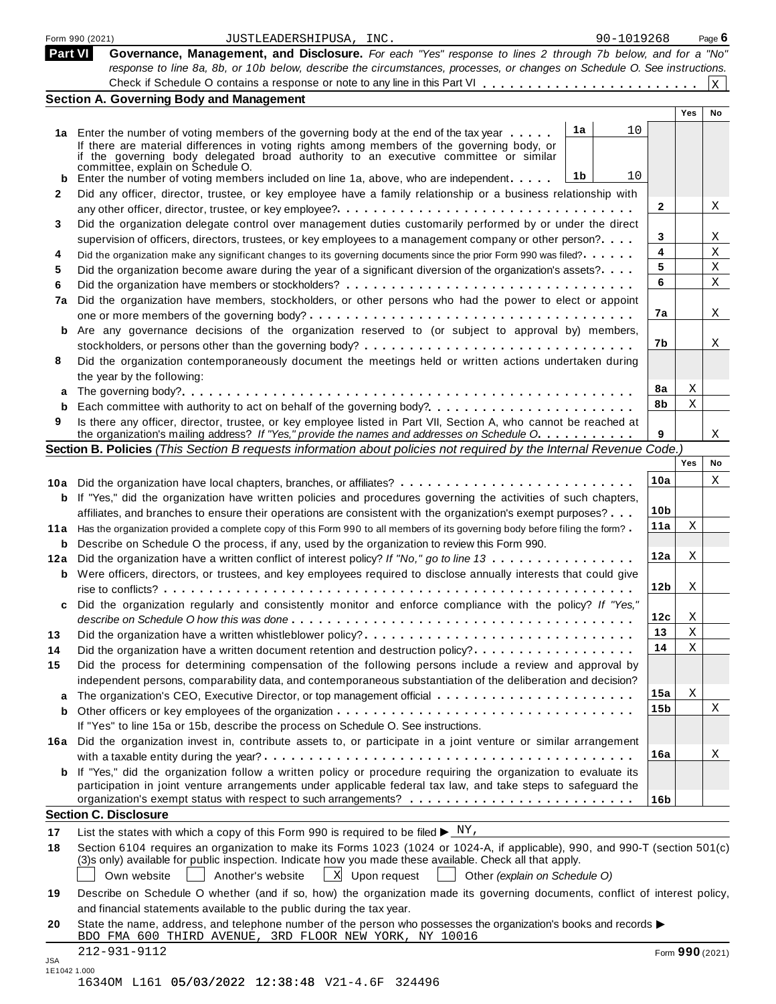|                | Form 990 (2021)<br>JUSTLEADERSHIPUSA, INC.                                                                                                                                                                                                                                                                                      | 90-1019268 |                 |                 | Page 6       |
|----------------|---------------------------------------------------------------------------------------------------------------------------------------------------------------------------------------------------------------------------------------------------------------------------------------------------------------------------------|------------|-----------------|-----------------|--------------|
| <b>Part VI</b> | Governance, Management, and Disclosure. For each "Yes" response to lines 2 through 7b below, and for a "No"<br>response to line 8a, 8b, or 10b below, describe the circumstances, processes, or changes on Schedule O. See instructions.                                                                                        |            |                 |                 |              |
|                |                                                                                                                                                                                                                                                                                                                                 |            |                 |                 | $\mathbf{x}$ |
|                | <b>Section A. Governing Body and Management</b>                                                                                                                                                                                                                                                                                 |            |                 |                 |              |
|                |                                                                                                                                                                                                                                                                                                                                 |            |                 | Yes             | No           |
|                | 1a<br>1a Enter the number of voting members of the governing body at the end of the tax year<br>If there are material differences in voting rights among members of the governing body, or<br>if the governing body delegated broad authority to an executive committee or similar<br>committee, explain on Schedule O.         | 10         |                 |                 |              |
| b              | 1b<br>Enter the number of voting members included on line 1a, above, who are independent                                                                                                                                                                                                                                        | 10         |                 |                 |              |
| 2              | Did any officer, director, trustee, or key employee have a family relationship or a business relationship with                                                                                                                                                                                                                  |            |                 |                 |              |
|                |                                                                                                                                                                                                                                                                                                                                 |            | $\mathbf{2}$    |                 | Χ            |
| 3              | Did the organization delegate control over management duties customarily performed by or under the direct                                                                                                                                                                                                                       |            |                 |                 |              |
|                | supervision of officers, directors, trustees, or key employees to a management company or other person?                                                                                                                                                                                                                         |            | 3               |                 | Χ            |
| 4              | Did the organization make any significant changes to its governing documents since the prior Form 990 was filed?.                                                                                                                                                                                                               |            | 4               |                 | Χ            |
| 5              | Did the organization become aware during the year of a significant diversion of the organization's assets?                                                                                                                                                                                                                      |            | 5               |                 | X            |
| 6              |                                                                                                                                                                                                                                                                                                                                 | 6          |                 |                 | Χ            |
| 7a             | Did the organization have members, stockholders, or other persons who had the power to elect or appoint                                                                                                                                                                                                                         |            |                 |                 |              |
|                |                                                                                                                                                                                                                                                                                                                                 |            | 7а              |                 | X            |
| b              | Are any governance decisions of the organization reserved to (or subject to approval by) members,                                                                                                                                                                                                                               |            |                 |                 |              |
|                |                                                                                                                                                                                                                                                                                                                                 | 7b         |                 |                 | Χ            |
| 8              | Did the organization contemporaneously document the meetings held or written actions undertaken during                                                                                                                                                                                                                          |            |                 |                 |              |
|                | the year by the following:                                                                                                                                                                                                                                                                                                      |            |                 |                 |              |
| a              |                                                                                                                                                                                                                                                                                                                                 |            | 8a              | Χ               |              |
| b              |                                                                                                                                                                                                                                                                                                                                 |            | 8b              | $\mathbf X$     |              |
| 9              | Is there any officer, director, trustee, or key employee listed in Part VII, Section A, who cannot be reached at                                                                                                                                                                                                                |            |                 |                 |              |
|                | the organization's mailing address? If "Yes," provide the names and addresses on Schedule O.                                                                                                                                                                                                                                    | 9          |                 |                 | X            |
|                | Section B. Policies (This Section B requests information about policies not required by the Internal Revenue Code.)                                                                                                                                                                                                             |            |                 |                 |              |
|                |                                                                                                                                                                                                                                                                                                                                 |            |                 | Yes             | No           |
|                |                                                                                                                                                                                                                                                                                                                                 | 10a        |                 |                 | X            |
|                | 10a Did the organization have local chapters, branches, or affiliates?                                                                                                                                                                                                                                                          |            |                 |                 |              |
| b              | If "Yes," did the organization have written policies and procedures governing the activities of such chapters,                                                                                                                                                                                                                  |            | 10 <sub>b</sub> |                 |              |
|                | affiliates, and branches to ensure their operations are consistent with the organization's exempt purposes?                                                                                                                                                                                                                     |            | 11a             | X               |              |
|                | 11a Has the organization provided a complete copy of this Form 990 to all members of its governing body before filing the form?                                                                                                                                                                                                 |            |                 |                 |              |
| b              | Describe on Schedule O the process, if any, used by the organization to review this Form 990.                                                                                                                                                                                                                                   |            |                 |                 |              |
|                | 12a Did the organization have a written conflict of interest policy? If "No," go to line 13                                                                                                                                                                                                                                     |            | 12a             | Χ               |              |
| b              | Were officers, directors, or trustees, and key employees required to disclose annually interests that could give                                                                                                                                                                                                                |            |                 |                 |              |
|                |                                                                                                                                                                                                                                                                                                                                 |            | 12 <sub>b</sub> | Χ               |              |
|                | Did the organization regularly and consistently monitor and enforce compliance with the policy? If "Yes,"                                                                                                                                                                                                                       |            |                 |                 |              |
|                |                                                                                                                                                                                                                                                                                                                                 |            | 12c             | Χ               |              |
| 13             | Did the organization have a written whistleblower policy?                                                                                                                                                                                                                                                                       |            | 13              | $\mathbf X$     |              |
| 14             | Did the organization have a written document retention and destruction policy?                                                                                                                                                                                                                                                  |            | 14              | X               |              |
| 15             | Did the process for determining compensation of the following persons include a review and approval by                                                                                                                                                                                                                          |            |                 |                 |              |
|                | independent persons, comparability data, and contemporaneous substantiation of the deliberation and decision?                                                                                                                                                                                                                   |            |                 |                 |              |
| a              | The organization's CEO, Executive Director, or top management official                                                                                                                                                                                                                                                          |            | 15a             | Χ               |              |
| b              | If "Yes" to line 15a or 15b, describe the process on Schedule O. See instructions.                                                                                                                                                                                                                                              |            | 15 <sub>b</sub> |                 | Χ            |
|                | 16a Did the organization invest in, contribute assets to, or participate in a joint venture or similar arrangement                                                                                                                                                                                                              |            |                 |                 |              |
|                |                                                                                                                                                                                                                                                                                                                                 |            | 16a             |                 | Χ            |
|                | <b>b</b> If "Yes," did the organization follow a written policy or procedure requiring the organization to evaluate its<br>participation in joint venture arrangements under applicable federal tax law, and take steps to safeguard the                                                                                        |            |                 |                 |              |
|                |                                                                                                                                                                                                                                                                                                                                 |            | 16 <sub>b</sub> |                 |              |
|                | <b>Section C. Disclosure</b>                                                                                                                                                                                                                                                                                                    |            |                 |                 |              |
| 17             | List the states with which a copy of this Form 990 is required to be filed $\blacktriangleright \frac{N Y}{N}$ .                                                                                                                                                                                                                |            |                 |                 |              |
| 18             | Section 6104 requires an organization to make its Forms 1023 (1024 or 1024-A, if applicable), 990, and 990-T (section 501(c)<br>(3)s only) available for public inspection. Indicate how you made these available. Check all that apply.<br>X Upon request<br>Own website<br>Another's website<br>Other (explain on Schedule O) |            |                 |                 |              |
| 19             | Describe on Schedule O whether (and if so, how) the organization made its governing documents, conflict of interest policy,<br>and financial statements available to the public during the tax year.                                                                                                                            |            |                 |                 |              |
| 20             | State the name, address, and telephone number of the person who possesses the organization's books and records $\blacktriangleright$<br>BDO FMA 600 THIRD AVENUE, 3RD FLOOR NEW YORK, NY 10016                                                                                                                                  |            |                 |                 |              |
| <b>JSA</b>     | 212-931-9112                                                                                                                                                                                                                                                                                                                    |            |                 | Form 990 (2021) |              |

|  | 16340M L161 05/03/2022 12:38:48 V21-4.6F 324496 |  |  |
|--|-------------------------------------------------|--|--|
|  |                                                 |  |  |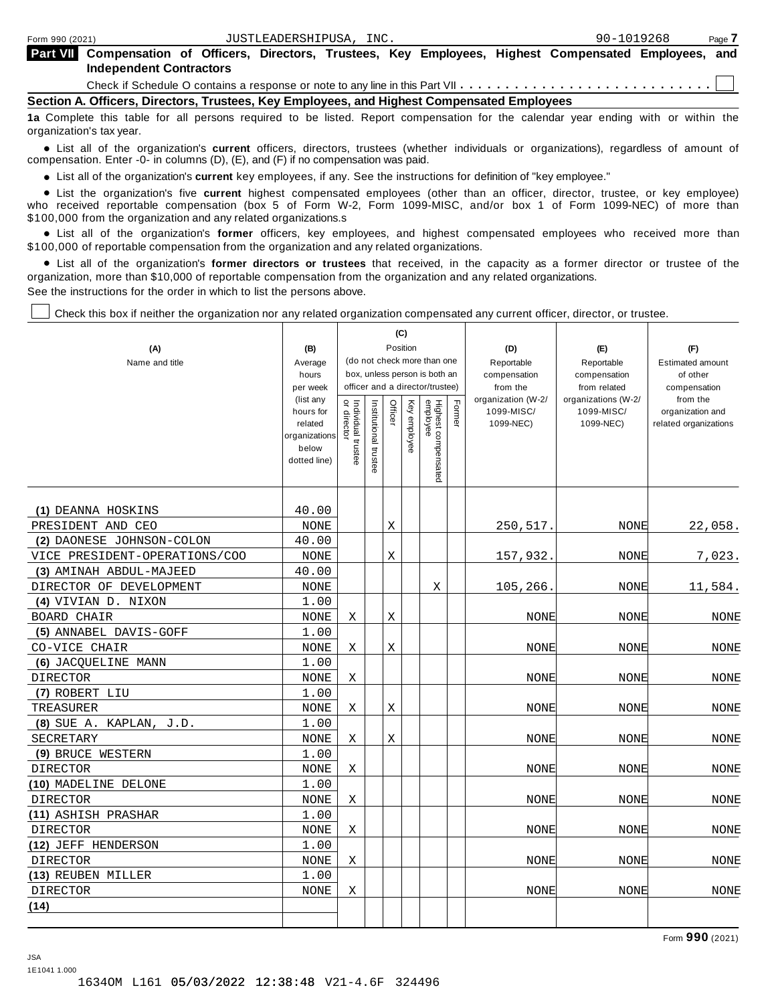| Part VII Compensation of Officers, Directors, Trustees, Key Employees, Highest Compensated Employees, and |  |  |  |  |  |
|-----------------------------------------------------------------------------------------------------------|--|--|--|--|--|
| <b>Independent Contractors</b>                                                                            |  |  |  |  |  |

Check if Schedule O contains a response or note to any line in this Part VII  $\dots \dots \dots$ 

**Section A. Officers, Directors, Trustees, Key Employees, and Highest Compensated Employees**

**1a** Complete this table for all persons required to be listed. Report compensation for the calendar year ending with or within the organization's tax year.

anization's lax year.<br>● List all of the organization's **current** officers, directors, trustees (whether individuals or organizations), regardless of amount of<br>nnensation Enter -0- in columns (D) (E) and (E) if no compensa compensation. Enter -0- in columns (D), (E), and (F) if no compensation was paid.

• List all of the organization's current key employees, if any. See the instructions for definition of "key employee."

■ List all of the organization's current key employees, if any. See the instructions for definition of "key employee."<br>■ List the organization's five current highest compensated employees (other than an officer, director, who received reportable compensation (box 5 of Form W-2, Form 1099-MISC, and/or box 1 of Form 1099-NEC) of more than

\$100,000 from the organization and any related organizations.s<br>• List all of the organization's **former** officers, key employees, and highest compensated employees who received more than<br>\$1.00.000 of reportable componentio \$100,000 of reportable compensation from the organization and any related organizations.

% List all of the organization's **former directors or trustees** that received, in the capacity as a former director or trustee of the organization, more than \$10,000 of reportable compensation from the organization and any related organizations. See the instructions for the order in which to list the persons above.

Check this box if neither the organization nor any related organization compensated any current officer, director, or trustee.

|                               |                        |                                                              |                       | (C)         |              |                                 |        |                          |                              |                          |
|-------------------------------|------------------------|--------------------------------------------------------------|-----------------------|-------------|--------------|---------------------------------|--------|--------------------------|------------------------------|--------------------------|
| (A)                           | (B)                    |                                                              |                       | Position    |              |                                 |        | (D)                      | (E)                          | (F)                      |
| Name and title                | Average                | (do not check more than one<br>box, unless person is both an |                       |             |              |                                 |        | Reportable               | Reportable                   | <b>Estimated amount</b>  |
|                               | hours<br>per week      |                                                              |                       |             |              | officer and a director/trustee) |        | compensation<br>from the | compensation<br>from related | of other<br>compensation |
|                               | (list any              |                                                              |                       |             |              |                                 |        | organization (W-2/       | organizations (W-2/          | from the                 |
|                               | hours for              | Individual trustee<br>or director                            | Institutional trustee | Officer     | Key employee |                                 | Former | 1099-MISC/               | 1099-MISC/                   | organization and         |
|                               | related                |                                                              |                       |             |              |                                 |        | 1099-NEC)                | 1099-NEC)                    | related organizations    |
|                               | organizations<br>below |                                                              |                       |             |              |                                 |        |                          |                              |                          |
|                               | dotted line)           |                                                              |                       |             |              |                                 |        |                          |                              |                          |
|                               |                        |                                                              |                       |             |              | Highest compensated<br>employee |        |                          |                              |                          |
|                               |                        |                                                              |                       |             |              |                                 |        |                          |                              |                          |
| (1) DEANNA HOSKINS            | 40.00                  |                                                              |                       |             |              |                                 |        |                          |                              |                          |
| PRESIDENT AND CEO             | <b>NONE</b>            |                                                              |                       | Х           |              |                                 |        | 250,517.                 | <b>NONE</b>                  | 22,058.                  |
| (2) DAONESE JOHNSON-COLON     | 40.00                  |                                                              |                       |             |              |                                 |        |                          |                              |                          |
| VICE PRESIDENT-OPERATIONS/COO | NONE                   |                                                              |                       | $\rm X$     |              |                                 |        | 157,932.                 | NONE                         | 7,023.                   |
| (3) AMINAH ABDUL-MAJEED       | 40.00                  |                                                              |                       |             |              |                                 |        |                          |                              |                          |
| DIRECTOR OF DEVELOPMENT       | NONE                   |                                                              |                       |             |              | X                               |        | 105,266.                 | <b>NONE</b>                  | 11,584.                  |
| (4) VIVIAN D. NIXON           | 1.00                   |                                                              |                       |             |              |                                 |        |                          |                              |                          |
| BOARD CHAIR                   | $\rm{NONE}$            | X                                                            |                       | X           |              |                                 |        | <b>NONE</b>              | NONE                         | NONE                     |
| (5) ANNABEL DAVIS-GOFF        | 1.00                   |                                                              |                       |             |              |                                 |        |                          |                              |                          |
| CO-VICE CHAIR                 | <b>NONE</b>            | Χ                                                            |                       | Χ           |              |                                 |        | <b>NONE</b>              | <b>NONE</b>                  | <b>NONE</b>              |
| (6) JACOUELINE MANN           | 1.00                   |                                                              |                       |             |              |                                 |        |                          |                              |                          |
| <b>DIRECTOR</b>               | <b>NONE</b>            | Χ                                                            |                       |             |              |                                 |        | <b>NONE</b>              | NONE                         | <b>NONE</b>              |
| (7) ROBERT LIU                | 1.00                   |                                                              |                       |             |              |                                 |        |                          |                              |                          |
| TREASURER                     | <b>NONE</b>            | X                                                            |                       | X           |              |                                 |        | <b>NONE</b>              | NONE                         | <b>NONE</b>              |
| $(8)$ SUE A. KAPLAN, J.D.     | 1.00                   |                                                              |                       |             |              |                                 |        |                          |                              |                          |
| SECRETARY                     | <b>NONE</b>            | Χ                                                            |                       | $\mathbf X$ |              |                                 |        | <b>NONE</b>              | NONE                         | <b>NONE</b>              |
| (9) BRUCE WESTERN             | 1.00                   |                                                              |                       |             |              |                                 |        |                          |                              |                          |
| <b>DIRECTOR</b>               | <b>NONE</b>            | Χ                                                            |                       |             |              |                                 |        | NONE                     | <b>NONE</b>                  | <b>NONE</b>              |
| (10) MADELINE DELONE          | 1.00                   |                                                              |                       |             |              |                                 |        |                          |                              |                          |
| <b>DIRECTOR</b>               | <b>NONE</b>            | X                                                            |                       |             |              |                                 |        | <b>NONE</b>              | <b>NONE</b>                  | NONE                     |
| (11) ASHISH PRASHAR           | 1.00                   |                                                              |                       |             |              |                                 |        |                          |                              |                          |
| <b>DIRECTOR</b>               | <b>NONE</b>            | Χ                                                            |                       |             |              |                                 |        | <b>NONE</b>              | <b>NONE</b>                  | <b>NONE</b>              |
| (12) JEFF HENDERSON           | 1.00                   |                                                              |                       |             |              |                                 |        |                          |                              |                          |
| <b>DIRECTOR</b>               | <b>NONE</b>            | X                                                            |                       |             |              |                                 |        | <b>NONE</b>              | NONE                         | <b>NONE</b>              |
| (13) REUBEN MILLER            | 1.00                   |                                                              |                       |             |              |                                 |        |                          |                              |                          |
| <b>DIRECTOR</b>               | <b>NONE</b>            | Χ                                                            |                       |             |              |                                 |        | <b>NONE</b>              | <b>NONE</b>                  | <b>NONE</b>              |
| (14)                          |                        |                                                              |                       |             |              |                                 |        |                          |                              |                          |
|                               |                        |                                                              |                       |             |              |                                 |        |                          |                              |                          |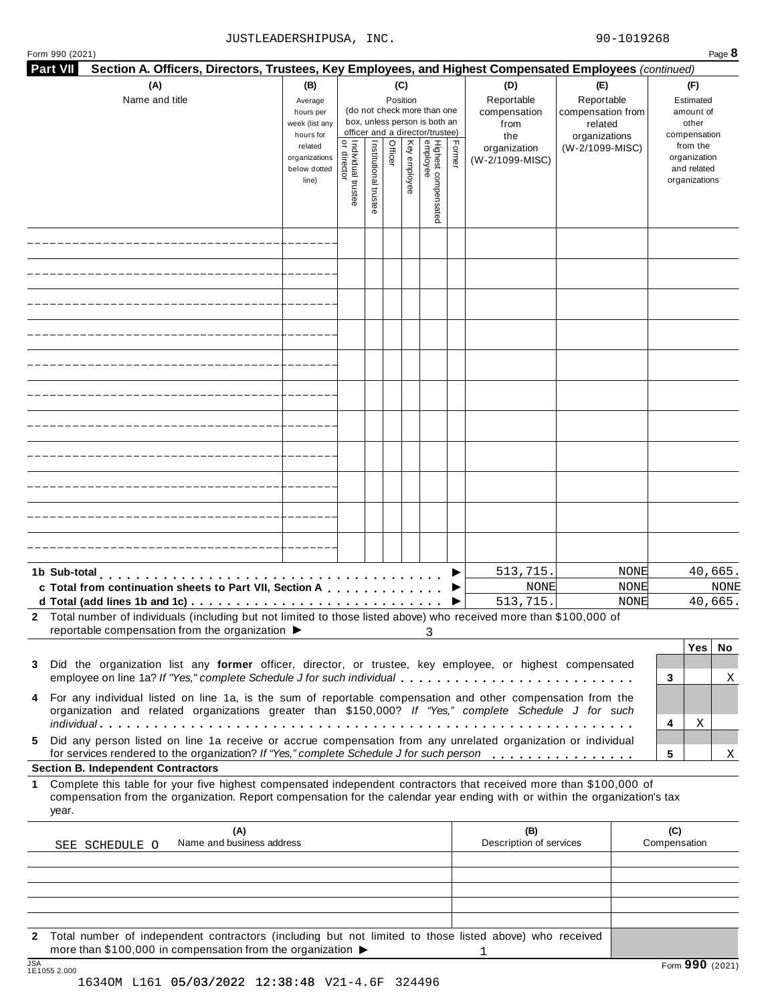#### JUSTLEADERSHIPUSA, INC. 200-1019268

| Form 990 (2021)                                                                                                                                                                                                                                    |                                                                  |                    |                       |         |              |                                 |        |                                |                          | Page 8              |
|----------------------------------------------------------------------------------------------------------------------------------------------------------------------------------------------------------------------------------------------------|------------------------------------------------------------------|--------------------|-----------------------|---------|--------------|---------------------------------|--------|--------------------------------|--------------------------|---------------------|
| Section A. Officers, Directors, Trustees, Key Employees, and Highest Compensated Employees (continued)<br><b>Part VII</b>                                                                                                                          |                                                                  |                    |                       |         |              |                                 |        |                                |                          |                     |
| (A)                                                                                                                                                                                                                                                | (B)<br>(C)<br>Position<br>Average<br>(do not check more than one |                    |                       |         |              |                                 |        | (D)                            | (E)                      | (F)                 |
| Name and title                                                                                                                                                                                                                                     |                                                                  |                    |                       |         |              |                                 |        | Reportable                     | Reportable               | Estimated           |
|                                                                                                                                                                                                                                                    | hours per<br>week (list any                                      |                    |                       |         |              | box, unless person is both an   |        | compensation                   | compensation from        | amount of<br>other  |
|                                                                                                                                                                                                                                                    | hours for                                                        |                    |                       |         |              | officer and a director/trustee) |        | from<br>the                    | related<br>organizations | compensation        |
|                                                                                                                                                                                                                                                    | related                                                          |                    |                       |         |              |                                 |        | organization                   | (W-2/1099-MISC)          | from the            |
|                                                                                                                                                                                                                                                    | organizations                                                    |                    |                       | Officer |              |                                 | Former | (W-2/1099-MISC)                |                          | organization        |
|                                                                                                                                                                                                                                                    | below dotted                                                     |                    |                       |         |              |                                 |        |                                |                          | and related         |
|                                                                                                                                                                                                                                                    | line)                                                            |                    |                       |         | Key employee |                                 |        |                                |                          | organizations       |
|                                                                                                                                                                                                                                                    |                                                                  | Individual trustee | Institutional trustee |         |              |                                 |        |                                |                          |                     |
|                                                                                                                                                                                                                                                    |                                                                  |                    |                       |         |              | Highest compensated<br>employee |        |                                |                          |                     |
|                                                                                                                                                                                                                                                    |                                                                  |                    |                       |         |              |                                 |        |                                |                          |                     |
|                                                                                                                                                                                                                                                    |                                                                  |                    |                       |         |              |                                 |        |                                |                          |                     |
|                                                                                                                                                                                                                                                    |                                                                  |                    |                       |         |              |                                 |        |                                |                          |                     |
|                                                                                                                                                                                                                                                    |                                                                  |                    |                       |         |              |                                 |        |                                |                          |                     |
|                                                                                                                                                                                                                                                    |                                                                  |                    |                       |         |              |                                 |        |                                |                          |                     |
|                                                                                                                                                                                                                                                    |                                                                  |                    |                       |         |              |                                 |        |                                |                          |                     |
|                                                                                                                                                                                                                                                    |                                                                  |                    |                       |         |              |                                 |        |                                |                          |                     |
|                                                                                                                                                                                                                                                    |                                                                  |                    |                       |         |              |                                 |        |                                |                          |                     |
|                                                                                                                                                                                                                                                    |                                                                  |                    |                       |         |              |                                 |        |                                |                          |                     |
|                                                                                                                                                                                                                                                    |                                                                  |                    |                       |         |              |                                 |        |                                |                          |                     |
|                                                                                                                                                                                                                                                    |                                                                  |                    |                       |         |              |                                 |        |                                |                          |                     |
|                                                                                                                                                                                                                                                    |                                                                  |                    |                       |         |              |                                 |        |                                |                          |                     |
|                                                                                                                                                                                                                                                    |                                                                  |                    |                       |         |              |                                 |        |                                |                          |                     |
|                                                                                                                                                                                                                                                    |                                                                  |                    |                       |         |              |                                 |        | 513,715.                       | <b>NONE</b>              |                     |
| 1b Sub-total<br>.                                                                                                                                                                                                                                  |                                                                  |                    |                       |         |              |                                 |        |                                |                          | 40,665.             |
| c Total from continuation sheets to Part VII, Section A                                                                                                                                                                                            |                                                                  |                    |                       |         |              |                                 |        | <b>NONE</b>                    | <b>NONE</b>              | NONE                |
|                                                                                                                                                                                                                                                    |                                                                  |                    |                       |         |              |                                 |        | 513,715.                       | NONE                     | 40,665.             |
| 2 Total number of individuals (including but not limited to those listed above) who received more than \$100,000 of<br>reportable compensation from the organization ▶                                                                             |                                                                  |                    |                       |         |              |                                 |        |                                |                          |                     |
|                                                                                                                                                                                                                                                    |                                                                  |                    |                       |         |              | 3                               |        |                                |                          |                     |
|                                                                                                                                                                                                                                                    |                                                                  |                    |                       |         |              |                                 |        |                                |                          | Yes<br>No           |
| Did the organization list any former officer, director, or trustee, key employee, or highest compensated<br>3                                                                                                                                      |                                                                  |                    |                       |         |              |                                 |        |                                |                          |                     |
| employee on line 1a? If "Yes," complete Schedule J for such individual                                                                                                                                                                             |                                                                  |                    |                       |         |              |                                 |        |                                |                          | 3<br>Χ              |
| For any individual listed on line 1a, is the sum of reportable compensation and other compensation from the<br>4                                                                                                                                   |                                                                  |                    |                       |         |              |                                 |        |                                |                          |                     |
| organization and related organizations greater than \$150,000? If "Yes," complete Schedule J for such                                                                                                                                              |                                                                  |                    |                       |         |              |                                 |        |                                |                          | 4<br>Χ              |
| Did any person listed on line 1a receive or accrue compensation from any unrelated organization or individual<br>5.<br>for services rendered to the organization? If "Yes," complete Schedule J for such person                                    |                                                                  |                    |                       |         |              |                                 |        |                                |                          | 5<br>Χ              |
| <b>Section B. Independent Contractors</b>                                                                                                                                                                                                          |                                                                  |                    |                       |         |              |                                 |        |                                |                          |                     |
| 1 Complete this table for your five highest compensated independent contractors that received more than \$100,000 of<br>compensation from the organization. Report compensation for the calendar year ending with or within the organization's tax |                                                                  |                    |                       |         |              |                                 |        |                                |                          |                     |
| year.                                                                                                                                                                                                                                              |                                                                  |                    |                       |         |              |                                 |        |                                |                          |                     |
| (A)<br>Name and business address<br>SEE SCHEDULE O                                                                                                                                                                                                 |                                                                  |                    |                       |         |              |                                 |        | (B)<br>Description of services |                          | (C)<br>Compensation |
|                                                                                                                                                                                                                                                    |                                                                  |                    |                       |         |              |                                 |        |                                |                          |                     |
|                                                                                                                                                                                                                                                    |                                                                  |                    |                       |         |              |                                 |        |                                |                          |                     |
|                                                                                                                                                                                                                                                    |                                                                  |                    |                       |         |              |                                 |        |                                |                          |                     |

**2** Total number of independent contractors (including but not limited to those listed above) who received more than \$100,000 in compensation from the organization  $\triangleright$ <br>1E1055 2.000 1

1634OM L161 05/03/2022 12:38:48 V21-4.6F 324496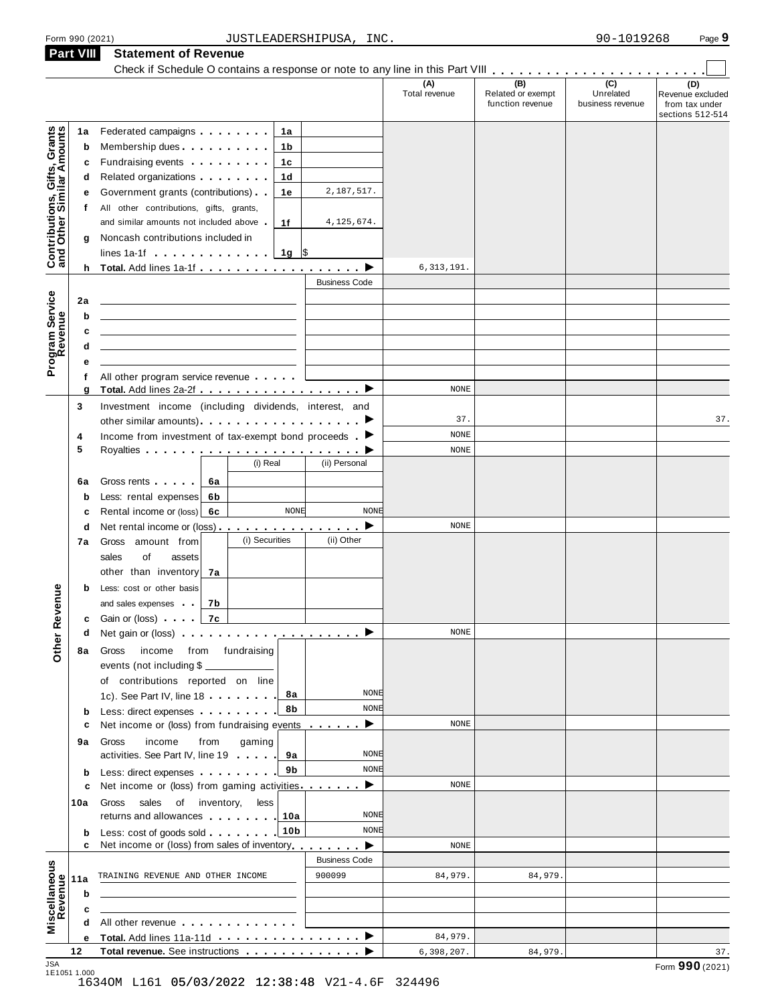| Form 990 (2021)  | INC.<br>JUSTLEADERSHIPUSA.                                                                                                                                  | 90-1019268 | Page 9 |
|------------------|-------------------------------------------------------------------------------------------------------------------------------------------------------------|------------|--------|
| <b>Part VIII</b> | <b>Statement of Revenue</b>                                                                                                                                 |            |        |
|                  | Check if Schedule O contains a response or note to any line in this Part VIII Check if Schedule O contains a response or note to any line in this Part VIII |            |        |

|                                                           | <b>Part VIII</b> | <b>Statement of Revenue</b><br>Check if Schedule O contains a response or note to any line in this Part VIII         |                      |                      |                                              |                                      |                                                               |
|-----------------------------------------------------------|------------------|----------------------------------------------------------------------------------------------------------------------|----------------------|----------------------|----------------------------------------------|--------------------------------------|---------------------------------------------------------------|
|                                                           |                  |                                                                                                                      |                      | (A)<br>Total revenue | (B)<br>Related or exempt<br>function revenue | (C)<br>Unrelated<br>business revenue | (D)<br>Revenue excluded<br>from tax under<br>sections 512-514 |
|                                                           | 1a               | Federated campaigns <b>Federated</b><br>1а                                                                           |                      |                      |                                              |                                      |                                                               |
| Contributions, Gifts, Grants<br>and Other Similar Amounts | b                | Membership dues <b>All Accords</b> Membership dues<br>1b                                                             |                      |                      |                                              |                                      |                                                               |
|                                                           | c                | Fundraising events <b>Exercises</b><br>1c                                                                            |                      |                      |                                              |                                      |                                                               |
|                                                           | d                | Related organizations <b>contains</b><br>1d                                                                          |                      |                      |                                              |                                      |                                                               |
|                                                           | е                | Government grants (contributions)<br>1e                                                                              | 2,187,517.           |                      |                                              |                                      |                                                               |
|                                                           | t.               | All other contributions, gifts, grants,                                                                              |                      |                      |                                              |                                      |                                                               |
|                                                           |                  | and similar amounts not included above<br>1f                                                                         | 4, 125, 674.         |                      |                                              |                                      |                                                               |
|                                                           | g                | Noncash contributions included in                                                                                    |                      |                      |                                              |                                      |                                                               |
|                                                           |                  | lines 1a-1f $\ldots$ , $\ldots$ , $\frac{1}{9}$ \$                                                                   |                      |                      |                                              |                                      |                                                               |
|                                                           |                  |                                                                                                                      |                      | 6,313,191.           |                                              |                                      |                                                               |
|                                                           |                  |                                                                                                                      | <b>Business Code</b> |                      |                                              |                                      |                                                               |
|                                                           | 2a               |                                                                                                                      |                      |                      |                                              |                                      |                                                               |
|                                                           | b                |                                                                                                                      |                      |                      |                                              |                                      |                                                               |
|                                                           | c                |                                                                                                                      |                      |                      |                                              |                                      |                                                               |
|                                                           | d                |                                                                                                                      |                      |                      |                                              |                                      |                                                               |
| Program Service<br>Revenue                                | е                |                                                                                                                      |                      |                      |                                              |                                      |                                                               |
|                                                           | f<br>g           | All other program service revenue                                                                                    |                      | NONE                 |                                              |                                      |                                                               |
|                                                           | 3                | Investment income (including dividends, interest, and                                                                |                      |                      |                                              |                                      |                                                               |
|                                                           |                  |                                                                                                                      |                      | 37.                  |                                              |                                      | 37.                                                           |
|                                                           | 4                | Income from investment of tax-exempt bond proceeds $\blacktriangleright$                                             |                      | NONE                 |                                              |                                      |                                                               |
|                                                           | 5                |                                                                                                                      |                      | NONE                 |                                              |                                      |                                                               |
|                                                           |                  | (i) Real                                                                                                             | (ii) Personal        |                      |                                              |                                      |                                                               |
|                                                           | 6a               | Gross rents  <br>6а                                                                                                  |                      |                      |                                              |                                      |                                                               |
|                                                           | b                | Less: rental expenses<br>6b                                                                                          |                      |                      |                                              |                                      |                                                               |
|                                                           | c                | <b>NONE</b><br>Rental income or (loss)<br>6с                                                                         | <b>NONE</b>          |                      |                                              |                                      |                                                               |
|                                                           | d                | Net rental income or (loss) $\cdots$ $\cdots$ $\cdots$ $\cdots$ $\cdots$                                             |                      | NONE                 |                                              |                                      |                                                               |
|                                                           | 7а               | (i) Securities<br>Gross amount from                                                                                  | (ii) Other           |                      |                                              |                                      |                                                               |
|                                                           |                  | sales<br>of<br>assets                                                                                                |                      |                      |                                              |                                      |                                                               |
|                                                           |                  | other than inventory<br>7а                                                                                           |                      |                      |                                              |                                      |                                                               |
|                                                           | b                | Less: cost or other basis                                                                                            |                      |                      |                                              |                                      |                                                               |
| evenue                                                    |                  | and sales expenses<br>7b                                                                                             |                      |                      |                                              |                                      |                                                               |
|                                                           |                  | 7c<br><b>c</b> Gain or (loss)                                                                                        |                      |                      |                                              |                                      |                                                               |
|                                                           | d                | Net gain or (loss) $\cdots$ $\cdots$ $\cdots$ $\cdots$ $\cdots$ $\cdots$                                             |                      | NONE                 |                                              |                                      |                                                               |
| Other <sub>R</sub>                                        | 8a               | Gross<br>income from fundraising                                                                                     |                      |                      |                                              |                                      |                                                               |
|                                                           |                  | events (not including \$                                                                                             |                      |                      |                                              |                                      |                                                               |
|                                                           |                  | of contributions reported on line                                                                                    |                      |                      |                                              |                                      |                                                               |
|                                                           |                  | 8а<br>1c). See Part IV, line 18                                                                                      | <b>NONE</b>          |                      |                                              |                                      |                                                               |
|                                                           | b                | 8b<br>Less: direct expenses example and the set of the set of the set of the set of the set of the set of the set of | NONE                 | NONE                 |                                              |                                      |                                                               |
|                                                           | c                | Net income or (loss) from fundraising events                                                                         | ▸                    |                      |                                              |                                      |                                                               |
|                                                           | 9а               | income<br>from<br>gaming<br>Gross                                                                                    | NONE                 |                      |                                              |                                      |                                                               |
|                                                           |                  | activities. See Part IV, line 19<br>9а                                                                               | NONE                 |                      |                                              |                                      |                                                               |
|                                                           | b<br>c           | 9b<br>Less: direct expenses<br>Net income or (loss) from gaming activities                                           | ▸                    | NONE                 |                                              |                                      |                                                               |
|                                                           |                  | sales of inventory,<br>less<br>Gross                                                                                 |                      |                      |                                              |                                      |                                                               |
|                                                           | 10a              | returns and allowances<br>10a                                                                                        | NONE                 |                      |                                              |                                      |                                                               |
|                                                           | b                | 10b<br>Less: cost of goods sold                                                                                      | NONE                 |                      |                                              |                                      |                                                               |
|                                                           | c                | Net income or (loss) from sales of inventory                                                                         | ▸                    | NONE                 |                                              |                                      |                                                               |
|                                                           |                  |                                                                                                                      | <b>Business Code</b> |                      |                                              |                                      |                                                               |
| Miscellaneous<br>Revenue                                  | 11a              | TRAINING REVENUE AND OTHER INCOME                                                                                    | 900099               | 84,979.              | 84,979                                       |                                      |                                                               |
|                                                           | $\mathbf b$      |                                                                                                                      |                      |                      |                                              |                                      |                                                               |
|                                                           | c                |                                                                                                                      |                      |                      |                                              |                                      |                                                               |
|                                                           | d                | All other revenue example and the set of the set of the set of the set of the set of the set of the set of the       |                      |                      |                                              |                                      |                                                               |
|                                                           | е                | Total. Add lines 11a-11d                                                                                             |                      | 84,979.              |                                              |                                      |                                                               |
| ICA                                                       | 12               | Total revenue. See instructions                                                                                      |                      | 6,398,207.           | 84,979.                                      |                                      | 37.                                                           |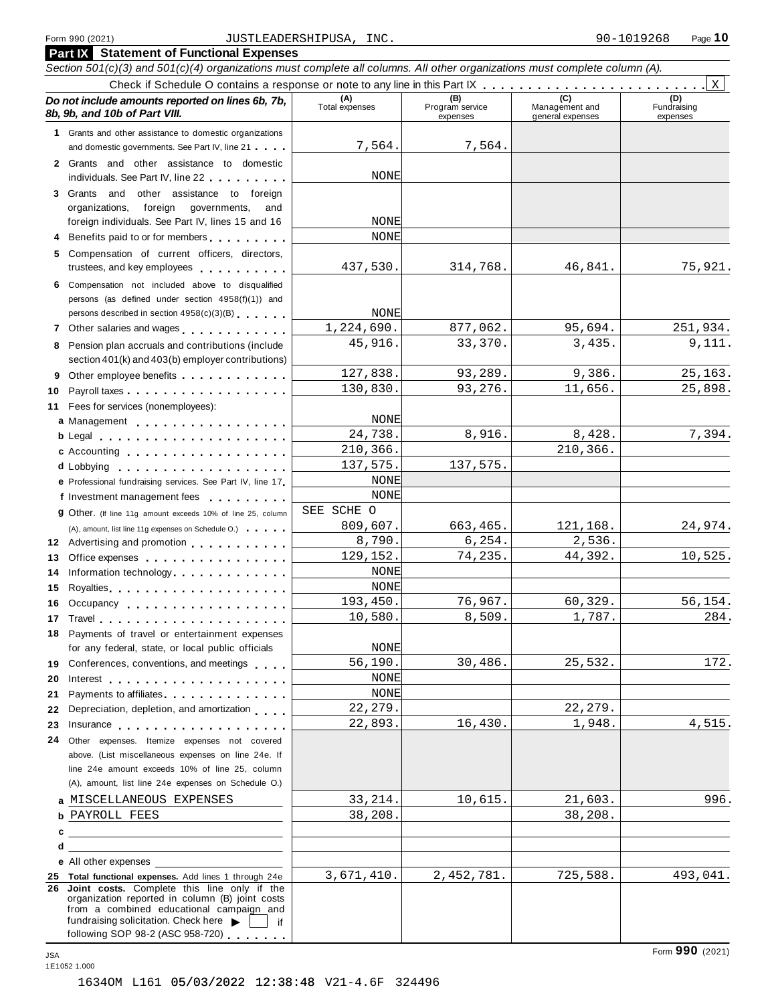#### Form <sup>990</sup> (2021) Page **10** JUSTLEADERSHIPUSA, INC. 90-1019268

|    | <b>Part IX</b> Statement of Functional Expenses                                                                                                                                                                                          |                       |                                    |                                           |                                |
|----|------------------------------------------------------------------------------------------------------------------------------------------------------------------------------------------------------------------------------------------|-----------------------|------------------------------------|-------------------------------------------|--------------------------------|
|    | Section 501(c)(3) and 501(c)(4) organizations must complete all columns. All other organizations must complete column (A).                                                                                                               |                       |                                    |                                           |                                |
|    |                                                                                                                                                                                                                                          |                       |                                    |                                           | Χ                              |
|    | Do not include amounts reported on lines 6b, 7b,<br>8b, 9b, and 10b of Part VIII.                                                                                                                                                        | (A)<br>Total expenses | (B)<br>Program service<br>expenses | (C)<br>Management and<br>general expenses | (D)<br>Fundraising<br>expenses |
|    | 1 Grants and other assistance to domestic organizations                                                                                                                                                                                  |                       |                                    |                                           |                                |
|    | and domestic governments. See Part IV, line 21                                                                                                                                                                                           | 7,564.                | 7,564.                             |                                           |                                |
|    | 2 Grants and other assistance to domestic<br>individuals. See Part IV, line 22                                                                                                                                                           | NONE                  |                                    |                                           |                                |
|    | 3 Grants and other assistance to foreign                                                                                                                                                                                                 |                       |                                    |                                           |                                |
|    | foreign<br>organizations,<br>governments,<br>and                                                                                                                                                                                         |                       |                                    |                                           |                                |
|    | foreign individuals. See Part IV, lines 15 and 16                                                                                                                                                                                        | <b>NONE</b>           |                                    |                                           |                                |
|    | Benefits paid to or for members                                                                                                                                                                                                          | <b>NONE</b>           |                                    |                                           |                                |
|    | 5 Compensation of current officers, directors,<br>trustees, and key employees                                                                                                                                                            | 437,530.              | 314,768.                           | 46,841.                                   | 75,921.                        |
|    | 6 Compensation not included above to disqualified                                                                                                                                                                                        |                       |                                    |                                           |                                |
|    | persons (as defined under section 4958(f)(1)) and                                                                                                                                                                                        |                       |                                    |                                           |                                |
|    | persons described in section 4958(c)(3)(B)                                                                                                                                                                                               | NONE                  |                                    |                                           |                                |
|    | 7 Other salaries and wages                                                                                                                                                                                                               | 1,224,690.            | 877,062.                           | 95,694.                                   | 251,934.                       |
|    | 8 Pension plan accruals and contributions (include                                                                                                                                                                                       | 45,916.               | 33,370.                            | 3,435.                                    | 9,111.                         |
|    | section 401(k) and 403(b) employer contributions)                                                                                                                                                                                        |                       |                                    |                                           |                                |
| 9  | Other employee benefits                                                                                                                                                                                                                  | 127,838.              | 93,289.                            | 9,386.                                    | 25,163.                        |
| 10 |                                                                                                                                                                                                                                          | 130,830.              | 93,276.                            | 11,656.                                   | 25,898.                        |
|    | 11 Fees for services (nonemployees):                                                                                                                                                                                                     |                       |                                    |                                           |                                |
|    | a Management                                                                                                                                                                                                                             | NONE<br>24,738.       | 8,916.                             | 8,428.                                    | 7,394.                         |
|    | <b>b</b> Legal <b>contracts</b> to the contract of the contracts of the contracts of the contracts of the contracts of the contracts of the contracts of the contracts of the contracts of the contracts of the contracts of the contrac | 210,366.              |                                    | 210,366.                                  |                                |
|    | c Accounting                                                                                                                                                                                                                             | 137,575.              | 137,575.                           |                                           |                                |
|    | e Professional fundraising services. See Part IV, line 17                                                                                                                                                                                | NONE                  |                                    |                                           |                                |
|    | f Investment management fees                                                                                                                                                                                                             | NONE                  |                                    |                                           |                                |
|    | <b>g</b> Other. (If line 11g amount exceeds 10% of line 25, column                                                                                                                                                                       | SEE SCHE O            |                                    |                                           |                                |
|    | (A), amount, list line 11g expenses on Schedule O.)                                                                                                                                                                                      | 809,607.              | 663,465.                           | 121,168.                                  | 24,974.                        |
|    | 12 Advertising and promotion <b>contains a state of the state of the state of the state of the state of the state of the state of the state of the state of the state of the state of the state of the state of the state of the</b>     | 8,790.                | 6, 254.                            | 2,536.                                    |                                |
| 13 | Office expenses                                                                                                                                                                                                                          | 129,152.              | 74,235.                            | 44,392.                                   | 10,525.                        |
| 14 | Information technology.                                                                                                                                                                                                                  | <b>NONE</b>           |                                    |                                           |                                |
| 15 | Royalties                                                                                                                                                                                                                                | NONE                  |                                    |                                           |                                |
| 16 | Occupancy                                                                                                                                                                                                                                | 193,450.              | 76,967.                            | 60,329.                                   | 56,154.                        |
| 17 |                                                                                                                                                                                                                                          | 10,580.               | 8,509.                             | 1,787.                                    | 284.                           |
|    | 18 Payments of travel or entertainment expenses<br>for any federal, state, or local public officials                                                                                                                                     | NONE                  |                                    |                                           |                                |
|    | 19 Conferences, conventions, and meetings                                                                                                                                                                                                | 56,190.               | 30,486.                            | 25,532.                                   | 172.                           |
| 20 |                                                                                                                                                                                                                                          | NONE                  |                                    |                                           |                                |
| 21 | Payments to affiliates experience and the property of the set of the set of the set of the set of the set of the set of the set of the set of the set of the set of the set of the set of the set of the set of the set of the           | <b>NONE</b>           |                                    |                                           |                                |
| 22 | Depreciation, depletion, and amortization                                                                                                                                                                                                | 22, 279.              |                                    | 22,279.                                   |                                |
| 23 | Insurance                                                                                                                                                                                                                                | 22,893.               | 16,430.                            | 1,948.                                    | 4,515.                         |
| 24 | Other expenses. Itemize expenses not covered                                                                                                                                                                                             |                       |                                    |                                           |                                |
|    | above. (List miscellaneous expenses on line 24e. If                                                                                                                                                                                      |                       |                                    |                                           |                                |
|    | line 24e amount exceeds 10% of line 25, column<br>(A), amount, list line 24e expenses on Schedule O.)                                                                                                                                    |                       |                                    |                                           |                                |
|    |                                                                                                                                                                                                                                          |                       |                                    |                                           |                                |
|    | a MISCELLANEOUS EXPENSES                                                                                                                                                                                                                 | 33, 214.              | 10,615.                            | 21,603.<br>38,208.                        | 996.                           |
|    | b PAYROLL FEES                                                                                                                                                                                                                           | 38,208.               |                                    |                                           |                                |
| d  | $\mathbf{c}$ , and the contract of $\mathbf{c}$ , and $\mathbf{c}$ , and $\mathbf{c}$ , and $\mathbf{c}$                                                                                                                                 |                       |                                    |                                           |                                |
|    | e All other expenses                                                                                                                                                                                                                     |                       |                                    |                                           |                                |
|    | 25 Total functional expenses. Add lines 1 through 24e                                                                                                                                                                                    | 3,671,410.            | 2,452,781.                         | 725,588.                                  | 493,041.                       |
|    | 26 Joint costs. Complete this line only if the<br>organization reported in column (B) joint costs<br>from a combined educational campaign and<br>fundraising solicitation. Check here $\blacktriangleright$     if                       |                       |                                    |                                           |                                |
|    | following SOP 98-2 (ASC 958-720)                                                                                                                                                                                                         |                       |                                    |                                           |                                |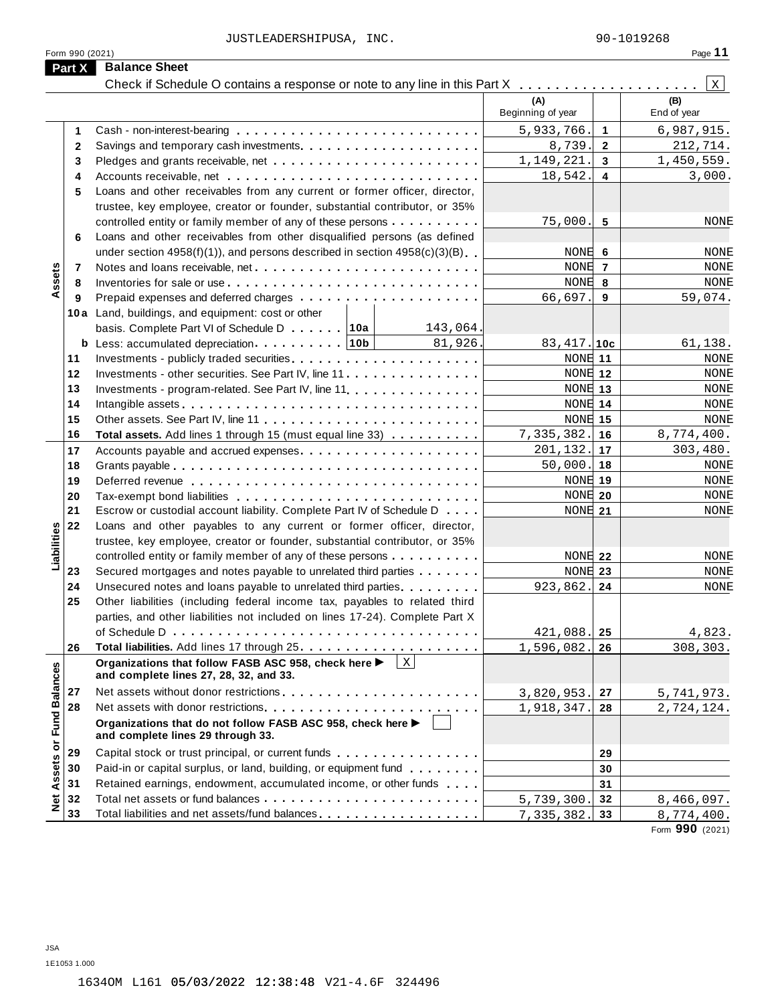JUSTLEADERSHIPUSA, INC. 200-1019268

| - 2<br>٠ |  |
|----------|--|
|          |  |

|                             | Form 990 (2021) |                                                                                                                                                    |                          |                | Page 11            |
|-----------------------------|-----------------|----------------------------------------------------------------------------------------------------------------------------------------------------|--------------------------|----------------|--------------------|
|                             | Part X          | <b>Balance Sheet</b>                                                                                                                               |                          |                |                    |
|                             |                 | Check if Schedule O contains a response or note to any line in this Part X                                                                         |                          |                | Χ                  |
|                             |                 |                                                                                                                                                    | (A)<br>Beginning of year |                | (B)<br>End of year |
|                             | 1               |                                                                                                                                                    | 5,933,766.               | $\mathbf 1$    | 6,987,915.         |
|                             | 2               |                                                                                                                                                    | 8,739.                   | $\overline{2}$ | 212,714.           |
|                             | 3               |                                                                                                                                                    | 1,149,221.               | 3              | 1,450,559.         |
|                             | 4               |                                                                                                                                                    | 18,542.                  | 4              | 3,000.             |
|                             | 5               | Loans and other receivables from any current or former officer, director,                                                                          |                          |                |                    |
|                             |                 | trustee, key employee, creator or founder, substantial contributor, or 35%                                                                         |                          |                |                    |
|                             |                 | controlled entity or family member of any of these persons                                                                                         | 75,000.                  | 5              | NONE               |
|                             | 6               | Loans and other receivables from other disqualified persons (as defined                                                                            |                          |                |                    |
|                             |                 | under section $4958(f)(1)$ , and persons described in section $4958(c)(3)(B)$                                                                      | NONE                     | 6              | <b>NONE</b>        |
| Assets                      | 7               |                                                                                                                                                    | NONE 7                   |                | NONE               |
|                             | 8               |                                                                                                                                                    | NONE                     | 8              | NONE               |
|                             | 9               |                                                                                                                                                    | 66,697.                  | 9              | 59,074.            |
|                             |                 | 10a Land, buildings, and equipment: cost or other                                                                                                  |                          |                |                    |
|                             |                 | basis. Complete Part VI of Schedule D 10a<br>143,064.                                                                                              |                          |                |                    |
|                             | b               | Less: accumulated depreciation. $\ldots \ldots \ldots$   10b  <br>81,926                                                                           | $83,417.$ 10c            |                | 61,138.            |
|                             | 11              |                                                                                                                                                    | NONE 11                  |                | <b>NONE</b>        |
|                             | 12              | Investments - other securities. See Part IV, line 11                                                                                               | NONE 12                  |                | <b>NONE</b>        |
|                             | 13              | Investments - program-related. See Part IV, line 11.                                                                                               | NONE 13                  |                | <b>NONE</b>        |
|                             | 14              |                                                                                                                                                    | NONE 14                  |                | NONE               |
|                             | 15              |                                                                                                                                                    | <b>NONE</b> 15           |                | NONE               |
|                             | 16              | Total assets. Add lines 1 through 15 (must equal line 33)                                                                                          | 7,335,382.               | 16             | 8,774,400.         |
|                             | 17              | Accounts payable and accrued expenses                                                                                                              | 201,132.                 | 17             | 303,480.           |
|                             | 18              |                                                                                                                                                    | 50,000.                  | 18             | <b>NONE</b>        |
|                             | 19              |                                                                                                                                                    | NONE 19                  |                | NONE               |
|                             | 20              |                                                                                                                                                    | NONE 20                  |                | <b>NONE</b>        |
|                             | 21<br>22        | Escrow or custodial account liability. Complete Part IV of Schedule D                                                                              | NONE 21                  |                | NONE               |
| Liabilities                 |                 | Loans and other payables to any current or former officer, director,<br>trustee, key employee, creator or founder, substantial contributor, or 35% |                          |                |                    |
|                             |                 | controlled entity or family member of any of these persons                                                                                         | NONE 22                  |                | <b>NONE</b>        |
|                             | 23              | Secured mortgages and notes payable to unrelated third parties                                                                                     | NONE 23                  |                | <b>NONE</b>        |
|                             | 24              | Unsecured notes and loans payable to unrelated third parties                                                                                       | 923,862.                 | 24             | <b>NONE</b>        |
|                             | 25              | Other liabilities (including federal income tax, payables to related third                                                                         |                          |                |                    |
|                             |                 | parties, and other liabilities not included on lines 17-24). Complete Part X                                                                       |                          |                |                    |
|                             |                 |                                                                                                                                                    | 421,088.                 | 25             | 4,823.             |
|                             | 26              |                                                                                                                                                    | 1,596,082.               | 26             | 308,303.           |
|                             |                 | Organizations that follow FASB ASC 958, check here ▶<br>$\mathbf{X}$<br>and complete lines 27, 28, 32, and 33.                                     |                          |                |                    |
|                             | 27              |                                                                                                                                                    | 3,820,953.               | 27             | 5,741,973.         |
|                             | 28              |                                                                                                                                                    | 1,918,347.               | 28             | 2,724,124.         |
| Net Assets or Fund Balances |                 | Organizations that do not follow FASB ASC 958, check here ▶<br>and complete lines 29 through 33.                                                   |                          |                |                    |
|                             | 29              | Capital stock or trust principal, or current funds                                                                                                 |                          | 29             |                    |
|                             | 30              | Paid-in or capital surplus, or land, building, or equipment fund                                                                                   |                          | 30             |                    |
|                             | 31              | Retained earnings, endowment, accumulated income, or other funds                                                                                   |                          | 31             |                    |
|                             | 32              |                                                                                                                                                    | 5,739,300.               | 32             | 8,466,097.         |
|                             | 33              | Total liabilities and net assets/fund balances                                                                                                     | 7,335,382.               | 33             | 8,774,400.         |
|                             |                 |                                                                                                                                                    |                          |                | Form 990 (2021)    |

JSA 1E1053 1.000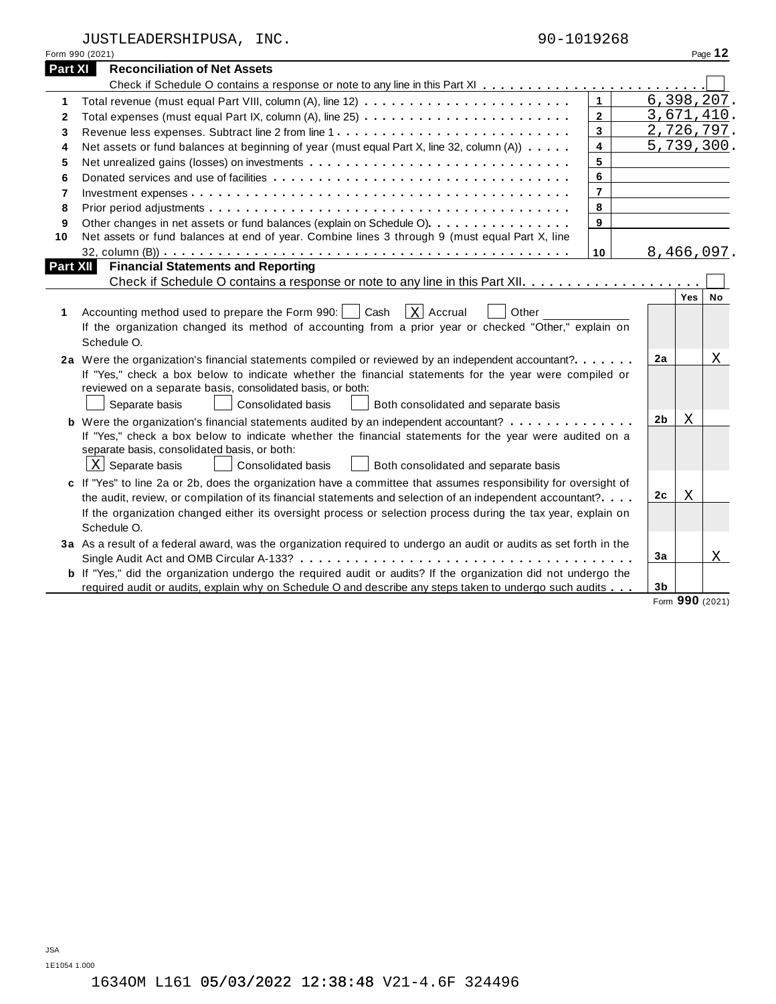JUSTLEADERSHIPUSA, INC. 9

| UUSILLADERSAIPUSA, | $\bot$ in $\cup$ . | フリーエリエンムひひ                          |
|--------------------|--------------------|-------------------------------------|
| Form 990 (2021)    |                    | $P$ age 1 $\boldsymbol{\mathsf{z}}$ |

| 00-1019268 |
|------------|
|------------|

| <b>Part XI</b>  | <b>Reconciliation of Net Assets</b>                                                                                   |                |  |                |        |              |
|-----------------|-----------------------------------------------------------------------------------------------------------------------|----------------|--|----------------|--------|--------------|
|                 |                                                                                                                       |                |  |                |        |              |
| 1               |                                                                                                                       | $\mathbf{1}$   |  |                |        | 6, 398, 207. |
| $\mathbf{2}$    |                                                                                                                       | $\mathbf{2}$   |  |                |        | 3,671,410.   |
| 3               |                                                                                                                       | 3              |  |                |        | 2,726,797.   |
| 4               | $\overline{\mathbf{4}}$<br>Net assets or fund balances at beginning of year (must equal Part X, line 32, column (A))  |                |  |                |        | 5,739,300.   |
| 5               |                                                                                                                       | 5              |  |                |        |              |
| 6               |                                                                                                                       | 6              |  |                |        |              |
| 7               |                                                                                                                       | $\overline{7}$ |  |                |        |              |
| 8               |                                                                                                                       | 8              |  |                |        |              |
| 9               | Other changes in net assets or fund balances (explain on Schedule O).                                                 | 9              |  |                |        |              |
| 10              | Net assets or fund balances at end of year. Combine lines 3 through 9 (must equal Part X, line                        |                |  |                |        |              |
|                 |                                                                                                                       | 10             |  |                |        | 8,466,097.   |
| <b>Part XII</b> | <b>Financial Statements and Reporting</b>                                                                             |                |  |                |        |              |
|                 |                                                                                                                       |                |  |                |        |              |
|                 |                                                                                                                       |                |  |                | Yes    | No           |
| 1               | Accounting method used to prepare the Form 990:     Cash<br>$\vert$ X   Accrual<br>Other                              |                |  |                |        |              |
|                 | If the organization changed its method of accounting from a prior year or checked "Other," explain on                 |                |  |                |        |              |
|                 | Schedule O.                                                                                                           |                |  |                |        |              |
|                 | 2a Were the organization's financial statements compiled or reviewed by an independent accountant?                    |                |  | 2a             |        | X            |
|                 | If "Yes," check a box below to indicate whether the financial statements for the year were compiled or                |                |  |                |        |              |
|                 | reviewed on a separate basis, consolidated basis, or both:                                                            |                |  |                |        |              |
|                 | Separate basis<br><b>Consolidated basis</b><br>Both consolidated and separate basis                                   |                |  |                |        |              |
|                 | <b>b</b> Were the organization's financial statements audited by an independent accountant?                           |                |  | 2 <sub>b</sub> | Χ      |              |
|                 | If "Yes," check a box below to indicate whether the financial statements for the year were audited on a               |                |  |                |        |              |
|                 | separate basis, consolidated basis, or both:                                                                          |                |  |                |        |              |
|                 | $\underline{X}$ Separate basis<br><b>Consolidated basis</b><br>Both consolidated and separate basis                   |                |  |                |        |              |
|                 | c If "Yes" to line 2a or 2b, does the organization have a committee that assumes responsibility for oversight of      |                |  |                |        |              |
|                 | the audit, review, or compilation of its financial statements and selection of an independent accountant?             |                |  | 2c             | Χ      |              |
|                 | If the organization changed either its oversight process or selection process during the tax year, explain on         |                |  |                |        |              |
|                 | Schedule O.                                                                                                           |                |  |                |        |              |
|                 | 3a As a result of a federal award, was the organization required to undergo an audit or audits as set forth in the    |                |  |                |        |              |
|                 |                                                                                                                       |                |  | 3a             |        | Χ            |
|                 | <b>b</b> If "Yes," did the organization undergo the required audit or audits? If the organization did not undergo the |                |  |                |        |              |
|                 | required audit or audits, explain why on Schedule O and describe any steps taken to undergo such audits               |                |  | 3 <sub>b</sub> | $\sim$ |              |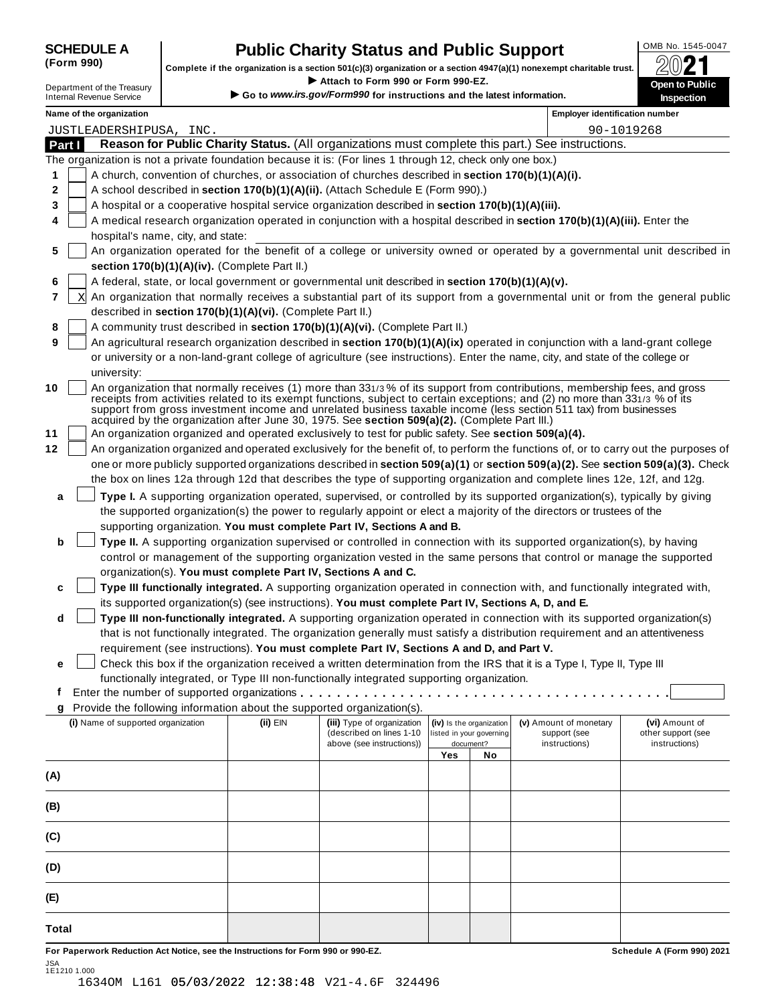| <b>SCHEDULE A</b> |  |
|-------------------|--|
| (Form 990)        |  |

## **Public Charity Status and Public Support**  $\left\{\n\begin{array}{c}\n\text{OMB No. 1545-0047} \\
\hline\n\text{OMD}\n\end{array}\n\right\}$

(Form 990) complete if the organization is a section 501(c)(3) organization or a section 497(a)(1) nonexempt charitable trust.  $2021$ I Complete if the organization is a section 501(c)(3) organization or a section 4947(a)(1) nonexempt charitable trust.<br>
Department of the Treasury **Department of the Treasury <b>Department** Complete if the organization is a

|  | Internal Revenue Service |  |
|--|--------------------------|--|
|  |                          |  |

| Internal Revenue Service | Go to www.irs.gov/Form990 for instructions and the latest information. |
|--------------------------|------------------------------------------------------------------------|
|--------------------------|------------------------------------------------------------------------|

|        | Name of the organization                                                                                                                                                                                                                                                                                                                                                                                                                                                        |          |                                                                                     |     |                                                                   | <b>Employer identification number</b>                   |                                                       |
|--------|---------------------------------------------------------------------------------------------------------------------------------------------------------------------------------------------------------------------------------------------------------------------------------------------------------------------------------------------------------------------------------------------------------------------------------------------------------------------------------|----------|-------------------------------------------------------------------------------------|-----|-------------------------------------------------------------------|---------------------------------------------------------|-------------------------------------------------------|
|        | JUSTLEADERSHIPUSA, INC.                                                                                                                                                                                                                                                                                                                                                                                                                                                         |          |                                                                                     |     |                                                                   |                                                         | 90-1019268                                            |
| Part I | Reason for Public Charity Status. (All organizations must complete this part.) See instructions.                                                                                                                                                                                                                                                                                                                                                                                |          |                                                                                     |     |                                                                   |                                                         |                                                       |
|        | The organization is not a private foundation because it is: (For lines 1 through 12, check only one box.)                                                                                                                                                                                                                                                                                                                                                                       |          |                                                                                     |     |                                                                   |                                                         |                                                       |
| 1      | A church, convention of churches, or association of churches described in section 170(b)(1)(A)(i).                                                                                                                                                                                                                                                                                                                                                                              |          |                                                                                     |     |                                                                   |                                                         |                                                       |
| 2      | A school described in section 170(b)(1)(A)(ii). (Attach Schedule E (Form 990).)                                                                                                                                                                                                                                                                                                                                                                                                 |          |                                                                                     |     |                                                                   |                                                         |                                                       |
| 3      | A hospital or a cooperative hospital service organization described in section 170(b)(1)(A)(iii).                                                                                                                                                                                                                                                                                                                                                                               |          |                                                                                     |     |                                                                   |                                                         |                                                       |
| 4      | A medical research organization operated in conjunction with a hospital described in section 170(b)(1)(A)(iii). Enter the                                                                                                                                                                                                                                                                                                                                                       |          |                                                                                     |     |                                                                   |                                                         |                                                       |
|        | hospital's name, city, and state:                                                                                                                                                                                                                                                                                                                                                                                                                                               |          |                                                                                     |     |                                                                   |                                                         |                                                       |
| 5      | An organization operated for the benefit of a college or university owned or operated by a governmental unit described in<br>section 170(b)(1)(A)(iv). (Complete Part II.)                                                                                                                                                                                                                                                                                                      |          |                                                                                     |     |                                                                   |                                                         |                                                       |
| 6      | A federal, state, or local government or governmental unit described in section 170(b)(1)(A)(v).                                                                                                                                                                                                                                                                                                                                                                                |          |                                                                                     |     |                                                                   |                                                         |                                                       |
| 7      | An organization that normally receives a substantial part of its support from a governmental unit or from the general public<br>X                                                                                                                                                                                                                                                                                                                                               |          |                                                                                     |     |                                                                   |                                                         |                                                       |
|        | described in section 170(b)(1)(A)(vi). (Complete Part II.)                                                                                                                                                                                                                                                                                                                                                                                                                      |          |                                                                                     |     |                                                                   |                                                         |                                                       |
| 8      | A community trust described in section 170(b)(1)(A)(vi). (Complete Part II.)                                                                                                                                                                                                                                                                                                                                                                                                    |          |                                                                                     |     |                                                                   |                                                         |                                                       |
| 9      | An agricultural research organization described in section 170(b)(1)(A)(ix) operated in conjunction with a land-grant college                                                                                                                                                                                                                                                                                                                                                   |          |                                                                                     |     |                                                                   |                                                         |                                                       |
|        | or university or a non-land-grant college of agriculture (see instructions). Enter the name, city, and state of the college or                                                                                                                                                                                                                                                                                                                                                  |          |                                                                                     |     |                                                                   |                                                         |                                                       |
|        | university:                                                                                                                                                                                                                                                                                                                                                                                                                                                                     |          |                                                                                     |     |                                                                   |                                                         |                                                       |
| 10     | An organization that normally receives (1) more than 331/3% of its support from contributions, membership fees, and gross<br>receipts from activities related to its exempt functions, subject to certain exceptions; and (2) no more than 331/3 % of its<br>support from gross investment income and unrelated business taxable income (less section 511 tax) from businesses<br>acquired by the organization after June 30, 1975. See section 509(a)(2). (Complete Part III.) |          |                                                                                     |     |                                                                   |                                                         |                                                       |
| 11     | An organization organized and operated exclusively to test for public safety. See section 509(a)(4).                                                                                                                                                                                                                                                                                                                                                                            |          |                                                                                     |     |                                                                   |                                                         |                                                       |
| 12     | An organization organized and operated exclusively for the benefit of, to perform the functions of, or to carry out the purposes of                                                                                                                                                                                                                                                                                                                                             |          |                                                                                     |     |                                                                   |                                                         |                                                       |
|        | one or more publicly supported organizations described in section 509(a)(1) or section 509(a)(2). See section 509(a)(3). Check                                                                                                                                                                                                                                                                                                                                                  |          |                                                                                     |     |                                                                   |                                                         |                                                       |
|        | the box on lines 12a through 12d that describes the type of supporting organization and complete lines 12e, 12f, and 12g.                                                                                                                                                                                                                                                                                                                                                       |          |                                                                                     |     |                                                                   |                                                         |                                                       |
| a      | Type I. A supporting organization operated, supervised, or controlled by its supported organization(s), typically by giving                                                                                                                                                                                                                                                                                                                                                     |          |                                                                                     |     |                                                                   |                                                         |                                                       |
|        | the supported organization(s) the power to regularly appoint or elect a majority of the directors or trustees of the                                                                                                                                                                                                                                                                                                                                                            |          |                                                                                     |     |                                                                   |                                                         |                                                       |
|        | supporting organization. You must complete Part IV, Sections A and B.                                                                                                                                                                                                                                                                                                                                                                                                           |          |                                                                                     |     |                                                                   |                                                         |                                                       |
| b      | Type II. A supporting organization supervised or controlled in connection with its supported organization(s), by having                                                                                                                                                                                                                                                                                                                                                         |          |                                                                                     |     |                                                                   |                                                         |                                                       |
|        | control or management of the supporting organization vested in the same persons that control or manage the supported                                                                                                                                                                                                                                                                                                                                                            |          |                                                                                     |     |                                                                   |                                                         |                                                       |
|        | organization(s). You must complete Part IV, Sections A and C.<br>Type III functionally integrated. A supporting organization operated in connection with, and functionally integrated with,                                                                                                                                                                                                                                                                                     |          |                                                                                     |     |                                                                   |                                                         |                                                       |
| c      | its supported organization(s) (see instructions). You must complete Part IV, Sections A, D, and E.                                                                                                                                                                                                                                                                                                                                                                              |          |                                                                                     |     |                                                                   |                                                         |                                                       |
| d      | Type III non-functionally integrated. A supporting organization operated in connection with its supported organization(s)                                                                                                                                                                                                                                                                                                                                                       |          |                                                                                     |     |                                                                   |                                                         |                                                       |
|        | that is not functionally integrated. The organization generally must satisfy a distribution requirement and an attentiveness                                                                                                                                                                                                                                                                                                                                                    |          |                                                                                     |     |                                                                   |                                                         |                                                       |
|        | requirement (see instructions). You must complete Part IV, Sections A and D, and Part V.                                                                                                                                                                                                                                                                                                                                                                                        |          |                                                                                     |     |                                                                   |                                                         |                                                       |
| е      | Check this box if the organization received a written determination from the IRS that it is a Type I, Type II, Type III                                                                                                                                                                                                                                                                                                                                                         |          |                                                                                     |     |                                                                   |                                                         |                                                       |
|        | functionally integrated, or Type III non-functionally integrated supporting organization.                                                                                                                                                                                                                                                                                                                                                                                       |          |                                                                                     |     |                                                                   |                                                         |                                                       |
|        | Enter the number of supported organizations                                                                                                                                                                                                                                                                                                                                                                                                                                     |          |                                                                                     |     |                                                                   |                                                         |                                                       |
| g      | Provide the following information about the supported organization(s).                                                                                                                                                                                                                                                                                                                                                                                                          |          |                                                                                     |     |                                                                   |                                                         |                                                       |
|        | (i) Name of supported organization                                                                                                                                                                                                                                                                                                                                                                                                                                              | (ii) EIN | (iii) Type of organization<br>(described on lines 1-10<br>above (see instructions)) |     | (iv) Is the organization<br>listed in your governing<br>document? | (v) Amount of monetary<br>support (see<br>instructions) | (vi) Amount of<br>other support (see<br>instructions) |
|        |                                                                                                                                                                                                                                                                                                                                                                                                                                                                                 |          |                                                                                     | Yes | No                                                                |                                                         |                                                       |
| (A)    |                                                                                                                                                                                                                                                                                                                                                                                                                                                                                 |          |                                                                                     |     |                                                                   |                                                         |                                                       |
|        |                                                                                                                                                                                                                                                                                                                                                                                                                                                                                 |          |                                                                                     |     |                                                                   |                                                         |                                                       |
| (B)    |                                                                                                                                                                                                                                                                                                                                                                                                                                                                                 |          |                                                                                     |     |                                                                   |                                                         |                                                       |
| (C)    |                                                                                                                                                                                                                                                                                                                                                                                                                                                                                 |          |                                                                                     |     |                                                                   |                                                         |                                                       |
| (D)    |                                                                                                                                                                                                                                                                                                                                                                                                                                                                                 |          |                                                                                     |     |                                                                   |                                                         |                                                       |
| (E)    |                                                                                                                                                                                                                                                                                                                                                                                                                                                                                 |          |                                                                                     |     |                                                                   |                                                         |                                                       |
|        |                                                                                                                                                                                                                                                                                                                                                                                                                                                                                 |          |                                                                                     |     |                                                                   |                                                         |                                                       |

For Paperwork Reduction Act Notice, see the Instructions for Form 990 or 990-EZ. School and Schedule A (Form 990) 2021 JSA 1E1210 1.000 1634OM L161 05/03/2022 12:38:48 V21-4.6F 324496

**Total**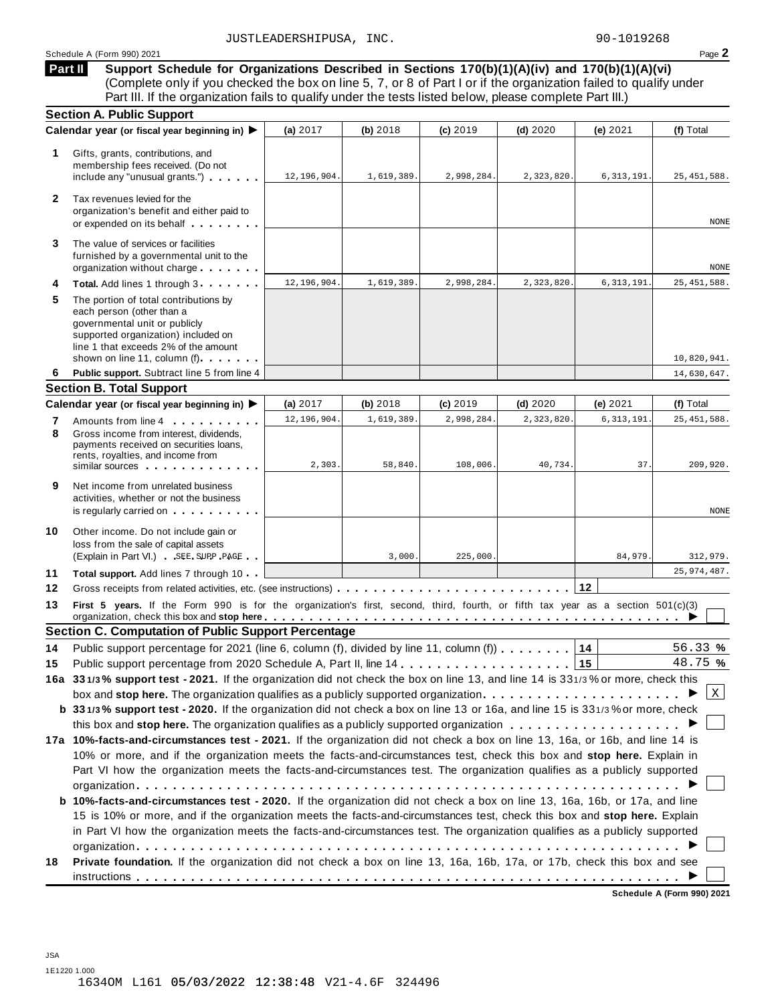| $Page \blacktriangle$ |
|-----------------------|
|                       |

**Support Schedule for Organizations Described in Sections 170(b)(1)(A)(iv) and 170(b)(1)(A)(vi)** (Complete only if you checked the box on line 5, 7, or 8 of Part I or if the organization failed to qualify under Part III. If the organization fails to qualify under the tests listed below, please complete Part III.) **Part II**

|              | <b>Section A. Public Support</b>                                                                                                                                                                                   |             |            |            |            |              |               |
|--------------|--------------------------------------------------------------------------------------------------------------------------------------------------------------------------------------------------------------------|-------------|------------|------------|------------|--------------|---------------|
|              | Calendar year (or fiscal year beginning in) ▶                                                                                                                                                                      | (a) $2017$  | (b) 2018   | (c) 2019   | $(d)$ 2020 | (e) $2021$   | (f) Total     |
| 1.           | Gifts, grants, contributions, and<br>membership fees received. (Do not<br>include any "unusual grants.")                                                                                                           | 12,196,904. | 1,619,389. | 2,998,284. | 2,323,820  | 6, 313, 191. | 25, 451, 588. |
| $\mathbf{2}$ | Tax revenues levied for the<br>organization's benefit and either paid to<br>or expended on its behalf                                                                                                              |             |            |            |            |              | <b>NONE</b>   |
| 3            | The value of services or facilities<br>furnished by a governmental unit to the<br>organization without charge                                                                                                      |             |            |            |            |              | NONE          |
| 4            | Total. Add lines 1 through 3                                                                                                                                                                                       | 12,196,904. | 1,619,389. | 2,998,284. | 2,323,820  | 6, 313, 191  | 25, 451, 588. |
| 5            | The portion of total contributions by<br>each person (other than a<br>governmental unit or publicly<br>supported organization) included on<br>line 1 that exceeds 2% of the amount<br>shown on line 11, column (f) |             |            |            |            |              | 10,820,941.   |
| 6            | Public support. Subtract line 5 from line 4                                                                                                                                                                        |             |            |            |            |              | 14,630,647.   |
|              | <b>Section B. Total Support</b>                                                                                                                                                                                    |             |            |            |            |              |               |
|              | Calendar year (or fiscal year beginning in) ▶                                                                                                                                                                      | (a) $2017$  | (b) 2018   | (c) 2019   | $(d)$ 2020 | (e) $2021$   | (f) Total     |
| 7            | Amounts from line 4                                                                                                                                                                                                | 12,196,904. | 1,619,389. | 2,998,284  | 2,323,820  | 6, 313, 191  | 25, 451, 588. |
| 8            | Gross income from interest, dividends,<br>payments received on securities loans,<br>rents, royalties, and income from<br>similar sources experiences                                                               | 2,303.      | 58,840.    | 108,006.   | 40,734.    | 37.          | 209,920.      |
| 9            | Net income from unrelated business<br>activities, whether or not the business<br>is regularly carried on each property of the set of the set of the set of the set of the set of the set of the                    |             |            |            |            |              | <b>NONE</b>   |
| 10           | Other income. Do not include gain or<br>loss from the sale of capital assets<br>(Explain in Part VI.) SEE SUPP PAGE                                                                                                |             | 3,000.     | 225,000.   |            | 84,979.      | 312,979.      |
| 11           | Total support. Add lines 7 through 10                                                                                                                                                                              |             |            |            |            |              | 25, 974, 487. |
| 12           |                                                                                                                                                                                                                    |             |            |            |            | 12           |               |
| 13           | First 5 years. If the Form 990 is for the organization's first, second, third, fourth, or fifth tax year as a section 501(c)(3)                                                                                    |             |            |            |            |              |               |
|              | <b>Section C. Computation of Public Support Percentage</b>                                                                                                                                                         |             |            |            |            |              |               |
| 14           | Public support percentage for 2021 (line 6, column (f), divided by line 11, column (f))                                                                                                                            |             |            |            |            | 14           | 56.33%        |
| 15           |                                                                                                                                                                                                                    |             |            |            |            | 15           | 48.75 %       |
|              | 16a 331/3% support test - 2021. If the organization did not check the box on line 13, and line 14 is 331/3% or more, check this                                                                                    |             |            |            |            |              |               |
|              | box and stop here. The organization qualifies as a publicly supported organization $\ldots \ldots \ldots \ldots \ldots \ldots$                                                                                     |             |            |            |            |              | $\vert$ X     |
|              | b 331/3% support test - 2020. If the organization did not check a box on line 13 or 16a, and line 15 is 331/3% or more, check                                                                                      |             |            |            |            |              |               |
|              |                                                                                                                                                                                                                    |             |            |            |            |              |               |
|              | 17a 10%-facts-and-circumstances test - 2021. If the organization did not check a box on line 13, 16a, or 16b, and line 14 is                                                                                       |             |            |            |            |              |               |
|              | 10% or more, and if the organization meets the facts-and-circumstances test, check this box and stop here. Explain in                                                                                              |             |            |            |            |              |               |
|              |                                                                                                                                                                                                                    |             |            |            |            |              |               |
|              | Part VI how the organization meets the facts-and-circumstances test. The organization qualifies as a publicly supported                                                                                            |             |            |            |            |              |               |
|              |                                                                                                                                                                                                                    |             |            |            |            |              |               |
|              | <b>b 10%-facts-and-circumstances test - 2020.</b> If the organization did not check a box on line 13, 16a, 16b, or 17a, and line                                                                                   |             |            |            |            |              |               |
|              | 15 is 10% or more, and if the organization meets the facts-and-circumstances test, check this box and stop here. Explain                                                                                           |             |            |            |            |              |               |
|              | in Part VI how the organization meets the facts-and-circumstances test. The organization qualifies as a publicly supported                                                                                         |             |            |            |            |              |               |
|              |                                                                                                                                                                                                                    |             |            |            |            |              |               |
| 18           | Private foundation. If the organization did not check a box on line 13, 16a, 16b, 17a, or 17b, check this box and see                                                                                              |             |            |            |            |              |               |

**Schedule A (Form 990) 2021**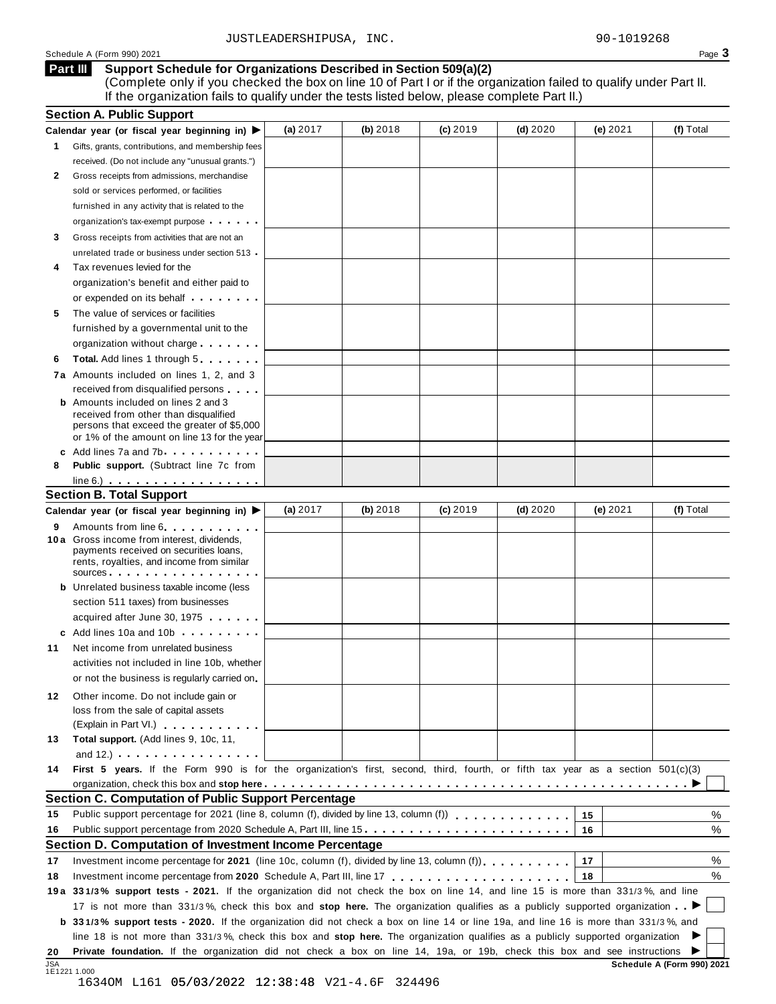Schedule <sup>A</sup> (Form 990) <sup>2021</sup> Page **3**

#### **Support Schedule for Organizations Described in Section 509(a)(2) Part III**

(Complete only if you checked the box on line 10 of Part I or if the organization failed to qualify under Part II. If the organization fails to qualify under the tests listed below, please complete Part II.)

|              | <b>Section A. Public Support</b>                                                                                                                                                                                                     |            |          |            |            |          |                            |
|--------------|--------------------------------------------------------------------------------------------------------------------------------------------------------------------------------------------------------------------------------------|------------|----------|------------|------------|----------|----------------------------|
|              | Calendar year (or fiscal year beginning in) $\blacktriangleright$                                                                                                                                                                    | (a) 2017   | (b) 2018 | $(c)$ 2019 | $(d)$ 2020 | (e) 2021 | (f) Total                  |
| $\mathbf{1}$ | Gifts, grants, contributions, and membership fees                                                                                                                                                                                    |            |          |            |            |          |                            |
|              | received. (Do not include any "unusual grants.")                                                                                                                                                                                     |            |          |            |            |          |                            |
| 2            | Gross receipts from admissions, merchandise                                                                                                                                                                                          |            |          |            |            |          |                            |
|              | sold or services performed, or facilities                                                                                                                                                                                            |            |          |            |            |          |                            |
|              | furnished in any activity that is related to the                                                                                                                                                                                     |            |          |            |            |          |                            |
|              | organization's tax-exempt purpose                                                                                                                                                                                                    |            |          |            |            |          |                            |
| 3            | Gross receipts from activities that are not an                                                                                                                                                                                       |            |          |            |            |          |                            |
|              | unrelated trade or business under section 513                                                                                                                                                                                        |            |          |            |            |          |                            |
| 4            | Tax revenues levied for the                                                                                                                                                                                                          |            |          |            |            |          |                            |
|              | organization's benefit and either paid to                                                                                                                                                                                            |            |          |            |            |          |                            |
|              | or expended on its behalf <b>contains the set of the set of the set of the set of the set of the set of the set of the set of the set of the set of the set of the set of the set of the set of the set of the set of the set of</b> |            |          |            |            |          |                            |
| 5            | The value of services or facilities                                                                                                                                                                                                  |            |          |            |            |          |                            |
|              | furnished by a governmental unit to the                                                                                                                                                                                              |            |          |            |            |          |                            |
|              | organization without charge                                                                                                                                                                                                          |            |          |            |            |          |                            |
| 6            | Total. Add lines 1 through 5                                                                                                                                                                                                         |            |          |            |            |          |                            |
|              | 7a Amounts included on lines 1, 2, and 3                                                                                                                                                                                             |            |          |            |            |          |                            |
|              |                                                                                                                                                                                                                                      |            |          |            |            |          |                            |
|              | received from disqualified persons<br><b>b</b> Amounts included on lines 2 and 3                                                                                                                                                     |            |          |            |            |          |                            |
|              | received from other than disqualified                                                                                                                                                                                                |            |          |            |            |          |                            |
|              | persons that exceed the greater of \$5,000                                                                                                                                                                                           |            |          |            |            |          |                            |
|              | or 1% of the amount on line 13 for the year                                                                                                                                                                                          |            |          |            |            |          |                            |
|              | c Add lines 7a and 7b                                                                                                                                                                                                                |            |          |            |            |          |                            |
| 8            | <b>Public support.</b> (Subtract line 7c from                                                                                                                                                                                        |            |          |            |            |          |                            |
|              | $line 6.)$                                                                                                                                                                                                                           |            |          |            |            |          |                            |
|              | <b>Section B. Total Support</b>                                                                                                                                                                                                      |            |          |            |            |          |                            |
|              | Calendar year (or fiscal year beginning in) ▶                                                                                                                                                                                        | (a) $2017$ | (b) 2018 | $(c)$ 2019 | $(d)$ 2020 | (e) 2021 | (f) Total                  |
| 9            | Amounts from line 6 <b>Amounts</b> from line 6                                                                                                                                                                                       |            |          |            |            |          |                            |
|              | 10 a Gross income from interest, dividends,<br>payments received on securities loans,                                                                                                                                                |            |          |            |            |          |                            |
|              | rents, royalties, and income from similar                                                                                                                                                                                            |            |          |            |            |          |                            |
|              | sources <b>contracts</b> and <b>sources contracts and contracts contracts and contracts</b>                                                                                                                                          |            |          |            |            |          |                            |
|              | <b>b</b> Unrelated business taxable income (less                                                                                                                                                                                     |            |          |            |            |          |                            |
|              | section 511 taxes) from businesses                                                                                                                                                                                                   |            |          |            |            |          |                            |
|              | acquired after June 30, 1975                                                                                                                                                                                                         |            |          |            |            |          |                            |
|              | c Add lines 10a and 10b                                                                                                                                                                                                              |            |          |            |            |          |                            |
| 11           | Net income from unrelated business                                                                                                                                                                                                   |            |          |            |            |          |                            |
|              | activities not included in line 10b, whether                                                                                                                                                                                         |            |          |            |            |          |                            |
|              | or not the business is regularly carried on                                                                                                                                                                                          |            |          |            |            |          |                            |
| 12           | Other income. Do not include gain or                                                                                                                                                                                                 |            |          |            |            |          |                            |
|              | loss from the sale of capital assets                                                                                                                                                                                                 |            |          |            |            |          |                            |
|              | (Explain in Part VI.) <b>All Accords</b>                                                                                                                                                                                             |            |          |            |            |          |                            |
| 13           | Total support. (Add lines 9, 10c, 11,                                                                                                                                                                                                |            |          |            |            |          |                            |
|              | and $12.$ ) $\ldots$ $\ldots$ $\ldots$ $\ldots$ $\ldots$ $\ldots$                                                                                                                                                                    |            |          |            |            |          |                            |
| 14           | First 5 years. If the Form 990 is for the organization's first, second, third, fourth, or fifth tax year as a section 501(c)(3)                                                                                                      |            |          |            |            |          |                            |
|              |                                                                                                                                                                                                                                      |            |          |            |            |          |                            |
|              | <b>Section C. Computation of Public Support Percentage</b>                                                                                                                                                                           |            |          |            |            |          |                            |
|              | Public support percentage for 2021 (line 8, column (f), divided by line 13, column (f)) $\ldots$ ,,,,,,,,,,,,,                                                                                                                       |            |          |            |            |          | ℅                          |
| 15           |                                                                                                                                                                                                                                      |            |          |            |            | 15       |                            |
| 16           |                                                                                                                                                                                                                                      |            |          |            |            | 16       | %                          |
|              | Section D. Computation of Investment Income Percentage                                                                                                                                                                               |            |          |            |            |          |                            |
| 17           | Investment income percentage for 2021 (line 10c, column (f), divided by line 13, column (f)).                                                                                                                                        |            |          |            |            | 17       | %                          |
| 18           |                                                                                                                                                                                                                                      |            |          |            |            | 18       | %                          |
|              | 19a 331/3% support tests - 2021. If the organization did not check the box on line 14, and line 15 is more than 331/3%, and line                                                                                                     |            |          |            |            |          |                            |
|              | 17 is not more than 331/3%, check this box and stop here. The organization qualifies as a publicly supported organization                                                                                                            |            |          |            |            |          |                            |
|              | b 331/3% support tests - 2020. If the organization did not check a box on line 14 or line 19a, and line 16 is more than 331/3%, and                                                                                                  |            |          |            |            |          |                            |
|              | line 18 is not more than 331/3%, check this box and stop here. The organization qualifies as a publicly supported organization                                                                                                       |            |          |            |            |          |                            |
| 20           | Private foundation. If the organization did not check a box on line 14, 19a, or 19b, check this box and see instructions                                                                                                             |            |          |            |            |          |                            |
| <b>JSA</b>   | 1E1221 1.000                                                                                                                                                                                                                         |            |          |            |            |          | Schedule A (Form 990) 2021 |
|              |                                                                                                                                                                                                                                      |            |          |            |            |          |                            |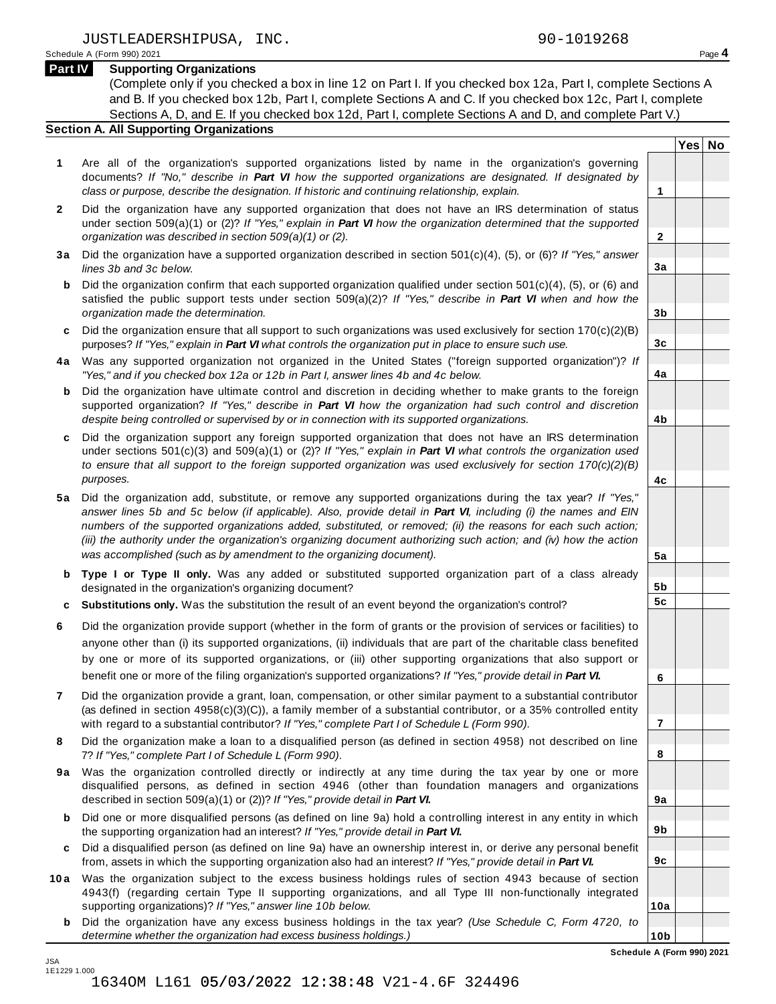**Yes No**

**2**

**3a**

**3b**

**3c**

**4a**

**4b**

**4c**

**5a**

**5b 5c**

**6**

**7**

**8**

**9a**

**9b**

**9c**

**10a**

**10b**

#### **Part IV Supporting Organizations**

(Complete only if you checked a box in line 12 on Part I. If you checked box 12a, Part I, complete Sections A and B. If you checked box 12b, Part I, complete Sections A and C. If you checked box 12c, Part I, complete Sections A, D, and E. If you checked box 12d, Part I, complete Sections A and D, and complete Part V.)

#### **Section A. All Supporting Organizations**

- **1** Are all of the organization's supported organizations listed by name in the organization's governing documents? *If "No," describe in Part VI how the supported organizations are designated. If designated by class or purpose, describe the designation. If historic and continuing relationship, explain.* **1**
- **2** Did the organization have any supported organization that does not have an IRS determination of status under section 509(a)(1) or (2)? *If"Yes," explain in Part VI how the organization determined that the supported organization was described in section 509(a)(1) or (2).*
- **3 a** Did the organization have a supported organization described in section 501(c)(4), (5), or (6)? *If "Yes," answer lines 3b and 3c below.*
- **b** Did the organization confirm that each supported organization qualified under section 501(c)(4), (5), or (6) and | satisfied the public support tests under section 509(a)(2)? *If "Yes," describe in Part VI when and how the organization made the determination.*
- **c** Did the organization ensure that all support to such organizations was used exclusively for section 170(c)(2)(B) purposes? *If"Yes," explain in Part VI what controls the organization put in place to ensure such use.*
- **4 a** Was any supported organization not organized in the United States ("foreign supported organization")? *If "Yes," and if you checked box 12a or 12b in Part I, answer lines 4b and 4c below.*
- **b** Did the organization have ultimate control and discretion in deciding whether to make grants to the foreign | supported organization? *If "Yes," describe in Part VI how the organization had such control and discretion despite being controlled or supervised by or in connection with its supported organizations.*
- **c** Did the organization support any foreign supported organization that does not have an IRS determination | under sections 501(c)(3) and 509(a)(1) or (2)? *If "Yes," explain in Part VI what controls the organization used to ensure that all support to the foreign supported organization was used exclusively for section 170(c)(2)(B) purposes.*
- **5 a** Did the organization add, substitute, or remove any supported organizations during the tax year? *If "Yes,"* answer lines 5b and 5c below (if applicable). Also, provide detail in Part VI, including (i) the names and EIN *numbers of the supported organizations added, substituted, or removed; (ii) the reasons for each such action;* (iii) the authority under the organization's organizing document authorizing such action; and (iv) how the action *was accomplished (such as by amendment to the organizing document).*
- **b Type I or Type II only.** Was any added or substituted supported organization part of a class already designated in the organization's organizing document?
- **c Substitutions only.** Was the substitution the result of an event beyond the organization's control?
- **6** Did the organization provide support (whether in the form of grants or the provision of services or facilities) to anyone other than (i) its supported organizations, (ii) individuals that are part of the charitable class benefited by one or more of its supported organizations, or (iii) other supporting organizations that also support or benefit one or more of the filing organization's supported organizations? *If"Yes," provide detail in Part VI.*
- **7** Did the organization provide a grant, loan, compensation, or other similar payment to a substantial contributor (as defined in section 4958(c)(3)(C)), a family member of a substantial contributor, or a 35% controlled entity with regard to a substantial contributor? *If"Yes," complete Part I of Schedule L (Form 990).*
- **8** Did the organization make a loan to a disqualified person (as defined in section 4958) not described on line 7? *If "Yes," complete Part I of Schedule L (Form 990).*
- **9a** Was the organization controlled directly or indirectly at any time during the tax year by one or more | disqualified persons, as defined in section 4946 (other than foundation managers and organizations described in section 509(a)(1) or (2))? *If"Yes," provide detail in Part VI.*
- **b** Did one or more disqualified persons (as defined on line 9a) hold a controlling interest in any entity in which | the supporting organization had an interest? *If"Yes," provide detail in Part VI.*
- **c** Did a disqualified person (as defined on line 9a) have an ownership interest in, or derive any personal benefit from, assets in which the supporting organization also had an interest? *If"Yes," provide detail in Part VI.*
- **10a** Was the organization subject to the excess business holdings rules of section 4943 because of section | 4943(f) (regarding certain Type II supporting organizations, and all Type III non-functionally integrated supporting organizations)? *If"Yes," answer line 10b below.*
	- **b** Did the organization have any excess business holdings in the tax year? *(Use Schedule C, Form 4720, to determine whether the organization had excess business holdings.)*

**Schedule A (Form 990) 2021**

JSA 1E1229 1.000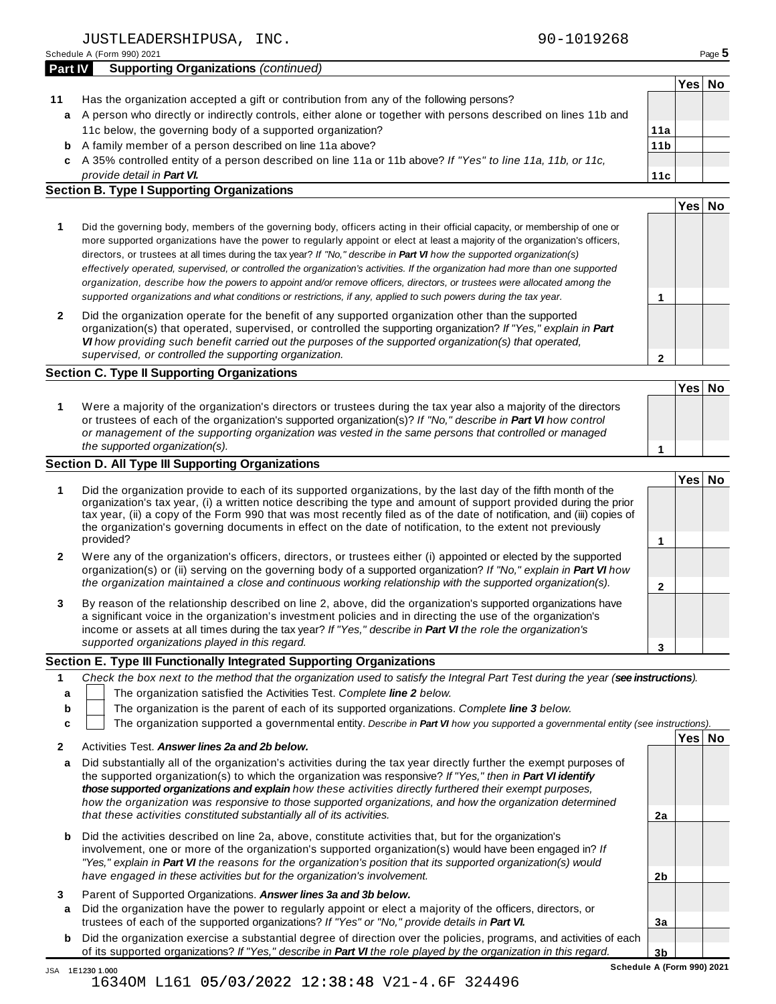Schedule <sup>A</sup> (Form 990) <sup>2021</sup> Page **5**

| <b>Part IV</b> | <b>Supporting Organizations (continued)</b>                                                                      |     |          |  |
|----------------|------------------------------------------------------------------------------------------------------------------|-----|----------|--|
|                |                                                                                                                  |     | 'Yes∣ No |  |
|                | Has the organization accepted a gift or contribution from any of the following persons?                          |     |          |  |
|                | a A person who directly or indirectly controls, either alone or together with persons described on lines 11b and |     |          |  |
|                | 11c below, the governing body of a supported organization?                                                       | 11a |          |  |

- A family member of a person described on line 11a above? **b**
- A 35% controlled entity of a person described on line 11a or 11b above? *If"Yes" to line 11a, 11b, or 11c,* **c** *provide detail in Part VI.*

### **Section B. Type I Supporting Organizations**

| - -                                                                                                                                                                                                                                                                                                                                                                                                                                                                                                                                                                                                                                                         |      |    |
|-------------------------------------------------------------------------------------------------------------------------------------------------------------------------------------------------------------------------------------------------------------------------------------------------------------------------------------------------------------------------------------------------------------------------------------------------------------------------------------------------------------------------------------------------------------------------------------------------------------------------------------------------------------|------|----|
|                                                                                                                                                                                                                                                                                                                                                                                                                                                                                                                                                                                                                                                             | Y es | No |
| Did the governing body, members of the governing body, officers acting in their official capacity, or membership of one or<br>more supported organizations have the power to regularly appoint or elect at least a majority of the organization's officers,<br>directors, or trustees at all times during the tax year? If "No," describe in <b>Part VI</b> how the supported organization(s)<br>effectively operated, supervised, or controlled the organization's activities. If the organization had more than one supported<br>organization, describe how the powers to appoint and/or remove officers, directors, or trustees were allocated among the |      |    |
| supported organizations and what conditions or restrictions, if any, applied to such powers during the tax year.                                                                                                                                                                                                                                                                                                                                                                                                                                                                                                                                            |      |    |
|                                                                                                                                                                                                                                                                                                                                                                                                                                                                                                                                                                                                                                                             |      |    |

**2** Did the organization operate for the benefit of any supported organization other than the supported organization(s) that operated, supervised, or controlled the supporting organization? *If "Yes," explain in Part VI how providing such benefit carried out the purposes of the supported organization(s) that operated, supervised, or controlled the supporting organization.*

#### **Section C. Type II Supporting Organizations**

|                                                                                                                                                                                                                                                                                                                                                                               | Yes∃No |  |
|-------------------------------------------------------------------------------------------------------------------------------------------------------------------------------------------------------------------------------------------------------------------------------------------------------------------------------------------------------------------------------|--------|--|
| Were a majority of the organization's directors or trustees during the tax year also a majority of the directors<br>or trustees of each of the organization's supported organization(s)? If "No," describe in Part VI how control<br>or management of the supporting organization was vested in the same persons that controlled or managed<br>the supported organization(s). |        |  |

#### **Section D. All Type III Supporting Organizations**

|              |                                                                                                                                                                                                                                                                                                                                                                                                                                                                                          | Yes⊺ |  |
|--------------|------------------------------------------------------------------------------------------------------------------------------------------------------------------------------------------------------------------------------------------------------------------------------------------------------------------------------------------------------------------------------------------------------------------------------------------------------------------------------------------|------|--|
|              | Did the organization provide to each of its supported organizations, by the last day of the fifth month of the<br>organization's tax year, (i) a written notice describing the type and amount of support provided during the prior<br>tax year, (ii) a copy of the Form 990 that was most recently filed as of the date of notification, and (iii) copies of<br>the organization's governing documents in effect on the date of notification, to the extent not previously<br>provided? |      |  |
| $\mathbf{2}$ | Were any of the organization's officers, directors, or trustees either (i) appointed or elected by the supported<br>organization(s) or (ii) serving on the governing body of a supported organization? If "No," explain in Part VI how<br>the organization maintained a close and continuous working relationship with the supported organization(s).                                                                                                                                    |      |  |
| 3            | By reason of the relationship described on line 2, above, did the organization's supported organizations have<br>a significant voice in the organization's investment policies and in directing the use of the organization's<br>income or assets at all times during the tax year? If "Yes," describe in Part VI the role the organization's                                                                                                                                            |      |  |
|              | supported organizations played in this regard.                                                                                                                                                                                                                                                                                                                                                                                                                                           |      |  |

#### **Section E. Type III Functionally Integrated Supporting Organizations**

|    | Check the box next to the method that the organization used to satisfy the Integral Part Test during the year (see instructions). |                                                                        |  |      |    |  |  |
|----|-----------------------------------------------------------------------------------------------------------------------------------|------------------------------------------------------------------------|--|------|----|--|--|
|    |                                                                                                                                   | The organization satisfied the Activities Test. Complete line 2 below. |  |      |    |  |  |
| b  | The organization is the parent of each of its supported organizations. Complete line 3 below.                                     |                                                                        |  |      |    |  |  |
| C. | The organization supported a governmental entity. Describe in Part VI how you supported a governmental entity (see instructions). |                                                                        |  |      |    |  |  |
|    |                                                                                                                                   |                                                                        |  | Yesl | No |  |  |
|    |                                                                                                                                   | Activities Test Answer lines 22 and 2h helow                           |  |      |    |  |  |

| a      | Did substantially all of the organization's activities during the tax year directly further the exempt purposes of<br>the supported organization(s) to which the organization was responsive? If "Yes," then in <b>Part VI identify</b><br>those supported organizations and explain how these activities directly furthered their exempt purposes.<br>how the organization was responsive to those supported organizations, and how the organization determined<br>that these activities constituted substantially all of its activities. | 2a |  |
|--------|--------------------------------------------------------------------------------------------------------------------------------------------------------------------------------------------------------------------------------------------------------------------------------------------------------------------------------------------------------------------------------------------------------------------------------------------------------------------------------------------------------------------------------------------|----|--|
|        | <b>b</b> Did the activities described on line 2a, above, constitute activities that, but for the organization's<br>involvement, one or more of the organization's supported organization(s) would have been engaged in? If<br>"Yes," explain in Part VI the reasons for the organization's position that its supported organization(s) would<br>have engaged in these activities but for the organization's involvement.                                                                                                                   | 2b |  |
| 3<br>a | Parent of Supported Organizations. Answer lines 3a and 3b below.<br>Did the organization have the power to regularly appoint or elect a majority of the officers, directors, or<br>trustees of each of the supported organizations? If "Yes" or "No," provide details in Part VI.                                                                                                                                                                                                                                                          | Зa |  |
|        | <b>b</b> Did the organization exercise a substantial degree of direction over the policies, programs, and activities of each<br>of its supported organizations? If "Yes," describe in <b>Part VI</b> the role played by the organization in this regard.                                                                                                                                                                                                                                                                                   | 3b |  |

**11b**

**11c**

**2**

JSA 1E1230 1.000 1634OM L161 05/03/2022 12:38:48 V21-4.6F 324496

**Schedule A (Form 990) 2021**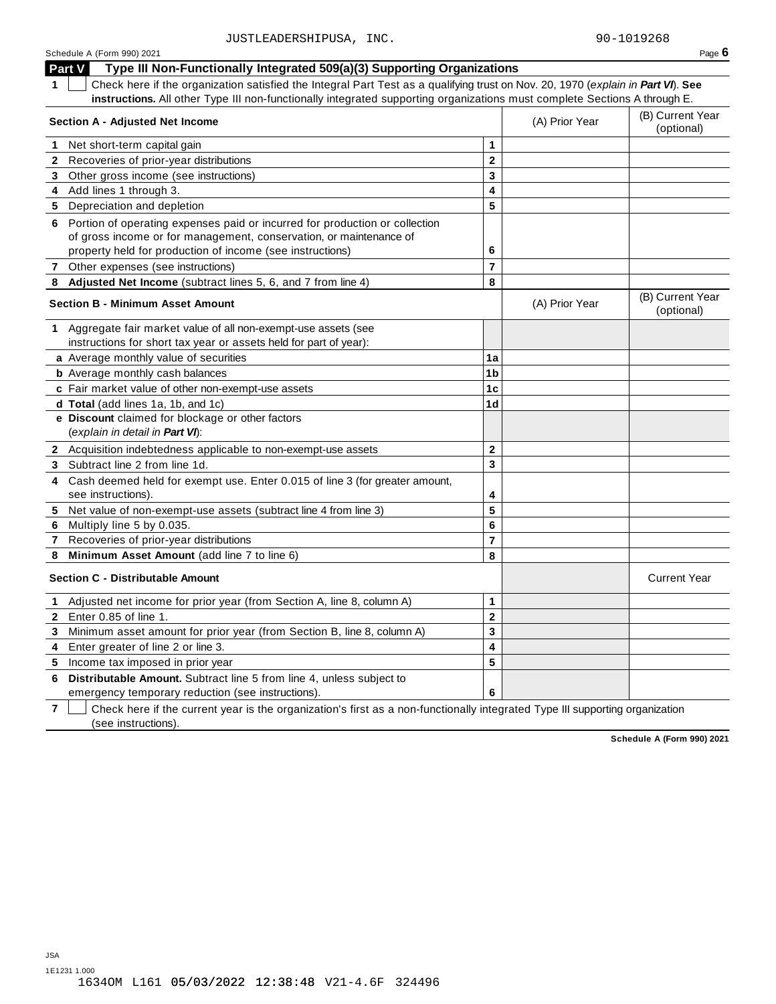#### Schedule <sup>A</sup> (Form 990) <sup>2021</sup> Page **6 Part V Type III Non-Functionally Integrated 509(a)(3) Supporting Organizations 1** Check here if the organization satisfied the Integral Part Test as a qualifying trust on Nov. 20, 1970 (*explain in Part VI*). **See instructions.** All other Type III non-functionally integrated supporting organizations must complete Sections A through E. (B) Current Year **Section <sup>A</sup> - Adjusted Net Income** (A) Prior Year (optional) **1** Net short-term capital gain **1 1 2 3 4 5 2** Recoveries of prior-year distributions **3** Other gross income (see instructions) **4** Add lines 1 through 3. **5** Depreciation and depletion **6** Portion of operating expenses paid or incurred for production or collection of gross income or for management, conservation, or maintenance of property held for production of income (see instructions) **6 7** Other expenses (see instructions) **7 8 Adjusted Net Income** (subtract lines 5, 6, and 7 from line 4) **8** (B) Current Year **Section <sup>B</sup> - Minimum Asset Amount** (A) Prior Year (optional) **1** Aggregate fair market value of all non-exempt-use assets (see instructions for short tax year or assets held for part of year): **a** Average monthly value of securities **1a 1b 1c 1d b** Average monthly cash balances **c** Fair market value of other non-exempt-use assets **d Total** (add lines 1a, 1b, and 1c) **e Discount** claimed for blockage or other factors (*explain in detail in Part VI*): **2** Acquisition indebtedness applicable to non-exempt-use assets **2 3 4 5 6 7 8 3** Subtract line 2 from line 1d. **4** Cash deemed held for exempt use. Enter 0.015 of line 3 (for greater amount, see instructions). **5** Net value of non-exempt-use assets (subtract line 4 from line 3) **6** Multiply line 5 by 0.035. **7** Recoveries of prior-year distributions **8 Minimum Asset Amount** (add line 7 to line 6) **Section C - Distributable Amount** Current Year **Current Year Amount** Current Year Amount **1** Adjusted net income for prior year (from Section A, line 8, column A) **1 2 3 4 5 2** Enter 0.85 of line 1. **3** Minimum asset amount for prior year (from Section B, line 8, column A) **4** Enter greater of line 2 or line 3. **5** Income tax imposed in prior year **6 Distributable Amount.** Subtract line 5 from line 4, unless subject to

emergency temporary reduction (see instructions).

**7** Check here if the current year is the organization's first as a non-functionally integrated Type III supporting organization (see instructions).

**6**

**Schedule A (Form 990) 2021**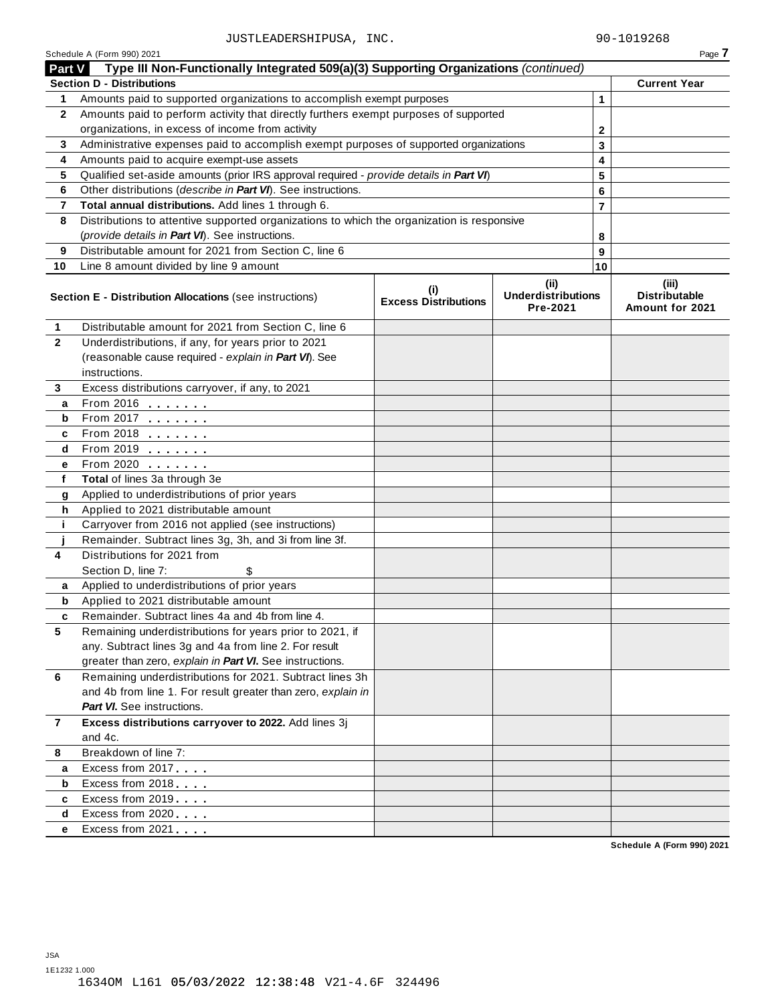|                | Schedule A (Form 990) 2021                                                                                   |                                    |                                               |                | Page 7                                           |
|----------------|--------------------------------------------------------------------------------------------------------------|------------------------------------|-----------------------------------------------|----------------|--------------------------------------------------|
| <b>Part V</b>  | Type III Non-Functionally Integrated 509(a)(3) Supporting Organizations (continued)                          |                                    |                                               |                |                                                  |
|                | <b>Section D - Distributions</b>                                                                             |                                    |                                               |                | <b>Current Year</b>                              |
| 1.             | Amounts paid to supported organizations to accomplish exempt purposes                                        |                                    |                                               | 1              |                                                  |
| $\mathbf{2}$   | Amounts paid to perform activity that directly furthers exempt purposes of supported                         |                                    |                                               |                |                                                  |
|                | organizations, in excess of income from activity                                                             |                                    | $\mathbf{2}$                                  |                |                                                  |
| 3              | Administrative expenses paid to accomplish exempt purposes of supported organizations                        |                                    |                                               | 3              |                                                  |
| 4              | Amounts paid to acquire exempt-use assets                                                                    |                                    |                                               | 4              |                                                  |
| 5              | Qualified set-aside amounts (prior IRS approval required - provide details in Part VI)                       |                                    |                                               | 5              |                                                  |
| 6              | Other distributions (describe in Part VI). See instructions.                                                 |                                    |                                               | 6              |                                                  |
| 7              | Total annual distributions. Add lines 1 through 6.                                                           |                                    |                                               | $\overline{7}$ |                                                  |
| 8              | Distributions to attentive supported organizations to which the organization is responsive                   |                                    |                                               |                |                                                  |
|                | (provide details in Part VI). See instructions.                                                              |                                    |                                               | 8              |                                                  |
| 9              | Distributable amount for 2021 from Section C, line 6                                                         |                                    |                                               | 9              |                                                  |
| 10             | Line 8 amount divided by line 9 amount                                                                       |                                    |                                               | 10             |                                                  |
|                | <b>Section E - Distribution Allocations (see instructions)</b>                                               | (i)<br><b>Excess Distributions</b> | (ii)<br><b>Underdistributions</b><br>Pre-2021 |                | (iii)<br><b>Distributable</b><br>Amount for 2021 |
| 1              | Distributable amount for 2021 from Section C, line 6                                                         |                                    |                                               |                |                                                  |
| $\overline{2}$ | Underdistributions, if any, for years prior to 2021                                                          |                                    |                                               |                |                                                  |
|                | (reasonable cause required - explain in Part VI). See                                                        |                                    |                                               |                |                                                  |
|                | instructions.                                                                                                |                                    |                                               |                |                                                  |
| 3              | Excess distributions carryover, if any, to 2021                                                              |                                    |                                               |                |                                                  |
| а              | From 2016 <b></b>                                                                                            |                                    |                                               |                |                                                  |
| b              |                                                                                                              |                                    |                                               |                |                                                  |
| c              | From 2018                                                                                                    |                                    |                                               |                |                                                  |
| d              |                                                                                                              |                                    |                                               |                |                                                  |
| е              | From 2020                                                                                                    |                                    |                                               |                |                                                  |
| f              | Total of lines 3a through 3e                                                                                 |                                    |                                               |                |                                                  |
| g              | Applied to underdistributions of prior years                                                                 |                                    |                                               |                |                                                  |
| h              | Applied to 2021 distributable amount                                                                         |                                    |                                               |                |                                                  |
| j.             | Carryover from 2016 not applied (see instructions)                                                           |                                    |                                               |                |                                                  |
|                | Remainder. Subtract lines 3g, 3h, and 3i from line 3f.                                                       |                                    |                                               |                |                                                  |
| 4              | Distributions for 2021 from                                                                                  |                                    |                                               |                |                                                  |
|                | Section D, line 7:                                                                                           |                                    |                                               |                |                                                  |
| a              | Applied to underdistributions of prior years                                                                 |                                    |                                               |                |                                                  |
| b              | Applied to 2021 distributable amount                                                                         |                                    |                                               |                |                                                  |
| 5              | Remainder. Subtract lines 4a and 4b from line 4.<br>Remaining underdistributions for years prior to 2021, if |                                    |                                               |                |                                                  |
|                | any. Subtract lines 3g and 4a from line 2. For result                                                        |                                    |                                               |                |                                                  |
|                | greater than zero, explain in Part VI. See instructions.                                                     |                                    |                                               |                |                                                  |
| 6              | Remaining underdistributions for 2021. Subtract lines 3h                                                     |                                    |                                               |                |                                                  |
|                | and 4b from line 1. For result greater than zero, explain in                                                 |                                    |                                               |                |                                                  |
|                | <b>Part VI.</b> See instructions.                                                                            |                                    |                                               |                |                                                  |
| $\mathbf{7}$   | Excess distributions carryover to 2022. Add lines 3j                                                         |                                    |                                               |                |                                                  |
|                | and 4c.                                                                                                      |                                    |                                               |                |                                                  |
| 8              | Breakdown of line 7:                                                                                         |                                    |                                               |                |                                                  |
| a              | Excess from 2017                                                                                             |                                    |                                               |                |                                                  |
| b              | Excess from 2018                                                                                             |                                    |                                               |                |                                                  |
| c              | Excess from 2019                                                                                             |                                    |                                               |                |                                                  |
| d              | Excess from 2020                                                                                             |                                    |                                               |                |                                                  |
| е              | Excess from 2021                                                                                             |                                    |                                               |                |                                                  |
|                |                                                                                                              |                                    |                                               |                | Schedule A (Form 990) 2021                       |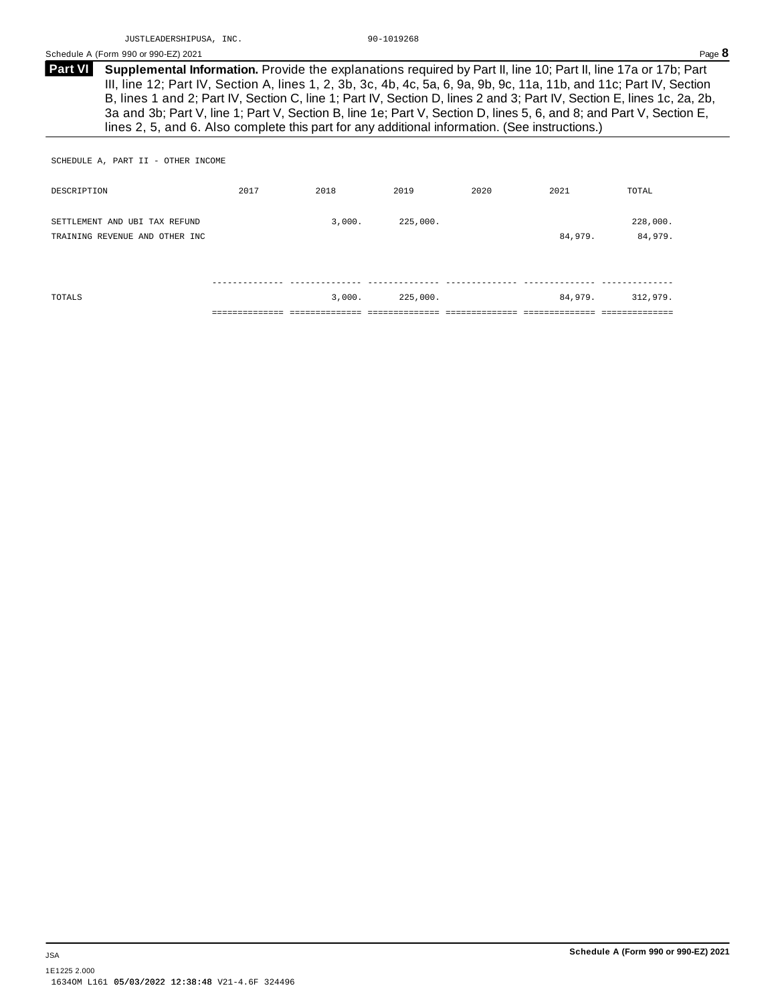**Supplemental Information.** Provide the explanations required by Part II, line 10; Part II, line 17a or 17b; Part III, line 12; Part IV, Section A, lines 1, 2, 3b, 3c, 4b, 4c, 5a, 6, 9a, 9b, 9c, 11a, 11b, and 11c; Part IV, Section B, lines 1 and 2; Part IV, Section C, line 1; Part IV, Section D, lines 2 and 3; Part IV, Section E, lines 1c, 2a, 2b, 3a and 3b; Part V, line 1; Part V, Section B, line 1e; Part V, Section D, lines 5, 6, and 8; and Part V, Section E, lines 2, 5, and 6. Also complete this part for any additional information. (See instructions.) **Part VI**

SCHEDULE A, PART II - OTHER INCOME

| DESCRIPTION                                                     | 2017 | 2018   | 2019     | 2020 | 2021    | TOTAL               |
|-----------------------------------------------------------------|------|--------|----------|------|---------|---------------------|
| SETTLEMENT AND UBI TAX REFUND<br>TRAINING REVENUE AND OTHER INC |      | 3,000. | 225,000. |      | 84,979. | 228,000.<br>84,979. |
| TOTALS                                                          |      | 3,000. | 225,000. |      | 84,979. | 312,979.            |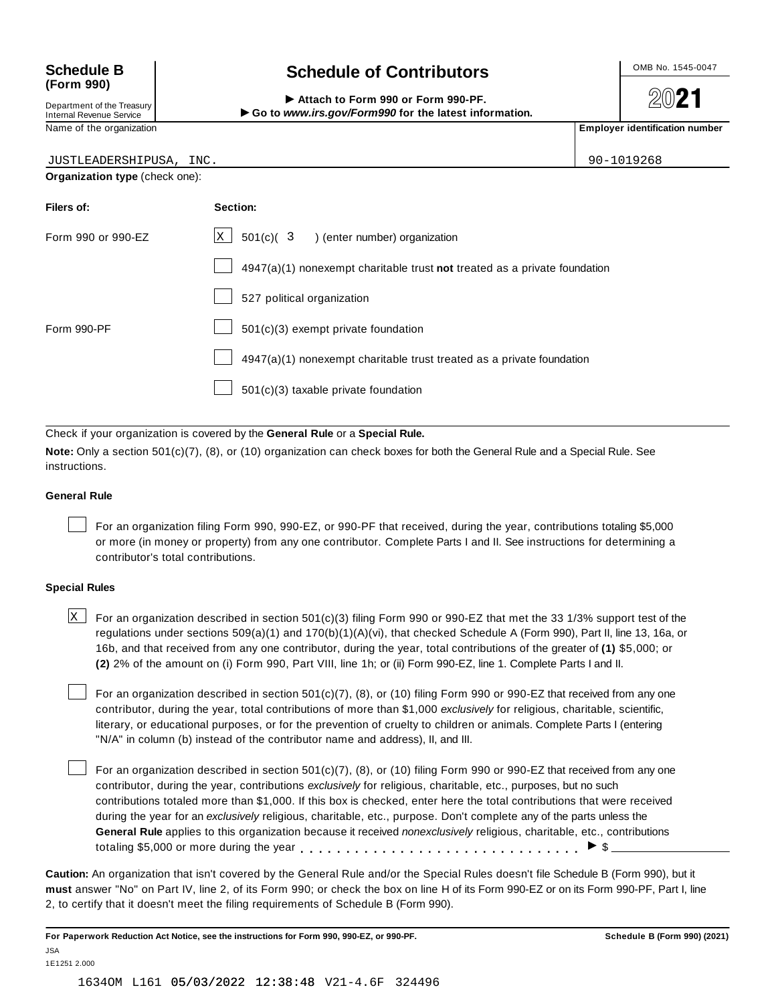# **(Form 990)**

Department of the Treasury<br>Internal Revenue Service

## Schedule B  $\left\{\n\begin{array}{c}\n\text{OnB No. 1545-0047}\n\end{array}\n\right\}$

**2021** 

 $\text{Department of the Treasury}\n\begin{array}{r|l}\n\text{Department of the Treasury}\n\end{array}\n\begin{array}{r|l}\n\end{array}\n\begin{array}{r|l}\n\end{array}\n\begin{array}{r|l}\n\end{array}\n\begin{array}{r|l}\n\end{array}\n\begin{array}{r|l}\n\end{array}\n\end{array}\n\begin{array}{r|l}\n\end{array}\n\begin{array}{r|l}\n\end{array}\n\begin{array}{r|l}\n\end{array}\n\end{array}\n\begin{array}{r|l}\n\end{array}\n\begin{array}{r|l}\n\end{array}\n\end{array}\n\begin{array}{r|l$ 

| JUSTLEADERSHIPUSA, INC.        |                                                                           | 90-1019268 |  |  |  |
|--------------------------------|---------------------------------------------------------------------------|------------|--|--|--|
| Organization type (check one): |                                                                           |            |  |  |  |
| Filers of:                     | Section:                                                                  |            |  |  |  |
| Form 990 or 990-EZ             | x  <br>$501(c)$ ( $3$ ) (enter number) organization                       |            |  |  |  |
|                                | 4947(a)(1) nonexempt charitable trust not treated as a private foundation |            |  |  |  |
|                                | 527 political organization                                                |            |  |  |  |
| Form 990-PF                    | 501(c)(3) exempt private foundation                                       |            |  |  |  |
|                                | 4947(a)(1) nonexempt charitable trust treated as a private foundation     |            |  |  |  |
|                                | 501(c)(3) taxable private foundation                                      |            |  |  |  |

Check if your organization is covered by the **General Rule** or a **Special Rule.**

**Note:** Only a section 501(c)(7), (8), or (10) organization can check boxes for both the General Rule and a Special Rule. See instructions.

#### **General Rule**

For an organization filing Form 990, 990-EZ, or 990-PF that received, during the year, contributions totaling \$5,000 or more (in money or property) from any one contributor. Complete Parts I and II. See instructions for determining a contributor's total contributions.

#### **Special Rules**

 $\times$  For an organization described in section 501(c)(3) filing Form 990 or 990-EZ that met the 33 1/3% support test of the regulations under sections 509(a)(1) and 170(b)(1)(A)(vi), that checked Schedule A (Form 990), Part II, line 13, 16a, or 16b, and that received from any one contributor, during the year, total contributions of the greater of **(1)** \$5,000; or **(2)** 2% of the amount on (i) Form 990, Part VIII, line 1h; or (ii) Form 990-EZ, line 1. Complete Parts I and II.

For an organization described in section 501(c)(7), (8), or (10) filing Form 990 or 990-EZ that received from any one contributor, during the year, total contributions of more than \$1,000 *exclusively* for religious, charitable, scientific, literary, or educational purposes, or for the prevention of cruelty to children or animals. Complete Parts I (entering "N/A" in column (b) instead of the contributor name and address), II, and III.

For an organization described in section 501(c)(7), (8), or (10) filing Form 990 or 990-EZ that received from any one contributor, during the year, contributions *exclusively* for religious, charitable, etc., purposes, but no such contributions totaled more than \$1,000. If this box is checked, enter here the total contributions that were received during the year for an *exclusively* religious, charitable, etc., purpose. Don't complete any of the parts unless the **General Rule** applies to this organization because it received *nonexclusively* religious, charitable, etc., contributions totaling \$5,000 or more during the year  $\ldots \ldots \ldots \ldots \ldots \ldots \ldots \ldots \ldots \vdots$ 

**Caution:** An organization that isn't covered by the General Rule and/or the Special Rules doesn't file Schedule B (Form 990), but it **must** answer "No" on Part IV, line 2, of its Form 990; or check the box on line H of its Form 990-EZ or on its Form 990-PF, Part I, line 2, to certify that it doesn't meet the filing requirements of Schedule B (Form 990).

1634OM L161 05/03/2022 12:38:48 V21-4.6F 324496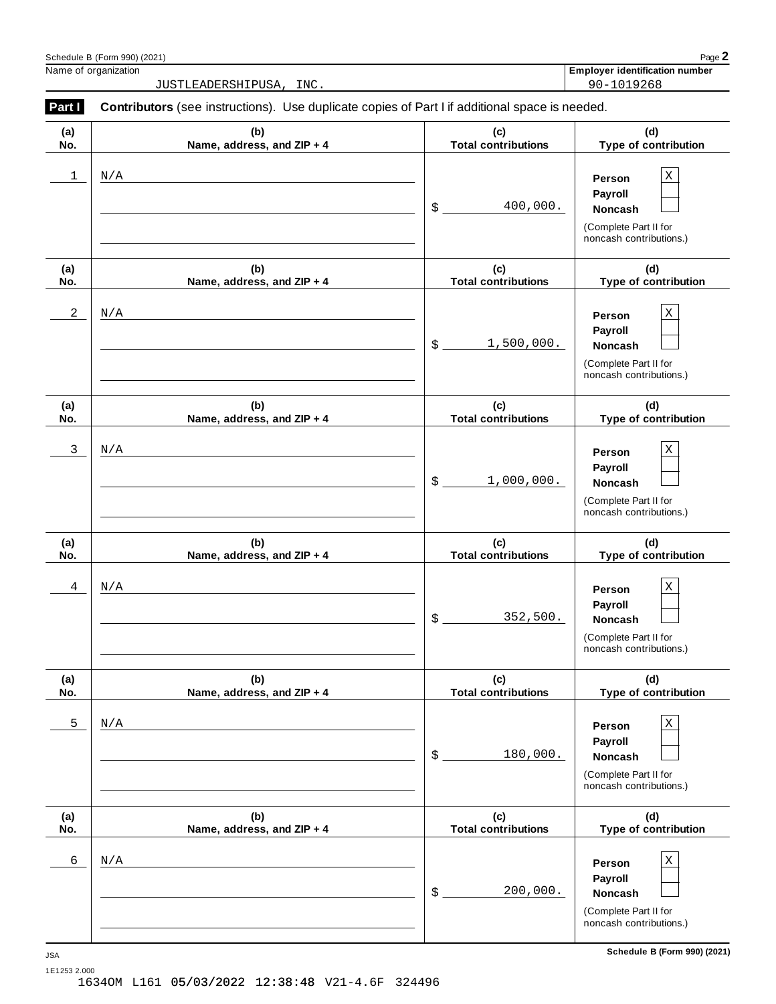|              | JUSTLEADERSHIPUSA, INC.                                                                        |                                   | 90-1019268                                                                                      |
|--------------|------------------------------------------------------------------------------------------------|-----------------------------------|-------------------------------------------------------------------------------------------------|
| Part I       | Contributors (see instructions). Use duplicate copies of Part I if additional space is needed. |                                   |                                                                                                 |
| (a)<br>No.   | (b)<br>Name, address, and ZIP + 4                                                              | (c)<br><b>Total contributions</b> | (d)<br>Type of contribution                                                                     |
| $\mathbf{1}$ | N/A                                                                                            | 400,000.<br>\$                    | Χ<br>Person<br>Payroll<br>Noncash<br>(Complete Part II for<br>noncash contributions.)           |
| (a)<br>No.   | (b)<br>Name, address, and ZIP + 4                                                              | (c)<br><b>Total contributions</b> | (d)<br>Type of contribution                                                                     |
| $\sqrt{2}$   | $\rm N/A$                                                                                      | 1,500,000.<br>\$                  | Χ<br>Person<br>Payroll<br>Noncash<br>(Complete Part II for<br>noncash contributions.)           |
| (a)<br>No.   | (b)<br>Name, address, and ZIP + 4                                                              | (c)<br><b>Total contributions</b> | (d)<br>Type of contribution                                                                     |
| $\mathsf{3}$ | N/A                                                                                            | 1,000,000.<br>\$                  | Χ<br>Person<br>Payroll<br>Noncash<br>(Complete Part II for<br>noncash contributions.)           |
| (a)<br>No.   | (b)<br>Name, address, and ZIP + 4                                                              | (c)<br><b>Total contributions</b> | (d)<br>Type of contribution                                                                     |
| 4            | N/A                                                                                            | 352,500.<br>\$                    | X<br>Person<br>Payroll<br>Noncash<br>(Complete Part II for<br>noncash contributions.)           |
| (a)<br>No.   | (b)<br>Name, address, and ZIP + 4                                                              | (c)<br><b>Total contributions</b> | (d)<br>Type of contribution                                                                     |
| 5            | N/A                                                                                            | \$<br>180,000.                    | $\mathbf X$<br>Person<br>Payroll<br>Noncash<br>(Complete Part II for<br>noncash contributions.) |
| (a)<br>No.   | (b)<br>Name, address, and ZIP + 4                                                              | (c)<br><b>Total contributions</b> | (d)<br>Type of contribution                                                                     |
| 6            | N/A                                                                                            | 200,000.<br>\$                    | $\mathbf X$<br>Person<br>Payroll<br>Noncash<br>(Complete Part II for<br>noncash contributions.) |
| <b>JSA</b>   |                                                                                                |                                   | Schedule B (Form 990) (2021)                                                                    |

Schedule <sup>B</sup> (Form 990) (2021) Page **2**

| Name,          | .                |
|----------------|------------------|
| . organization | Emplover         |
| Οt             | ∵ identification |
| . .            | ı number         |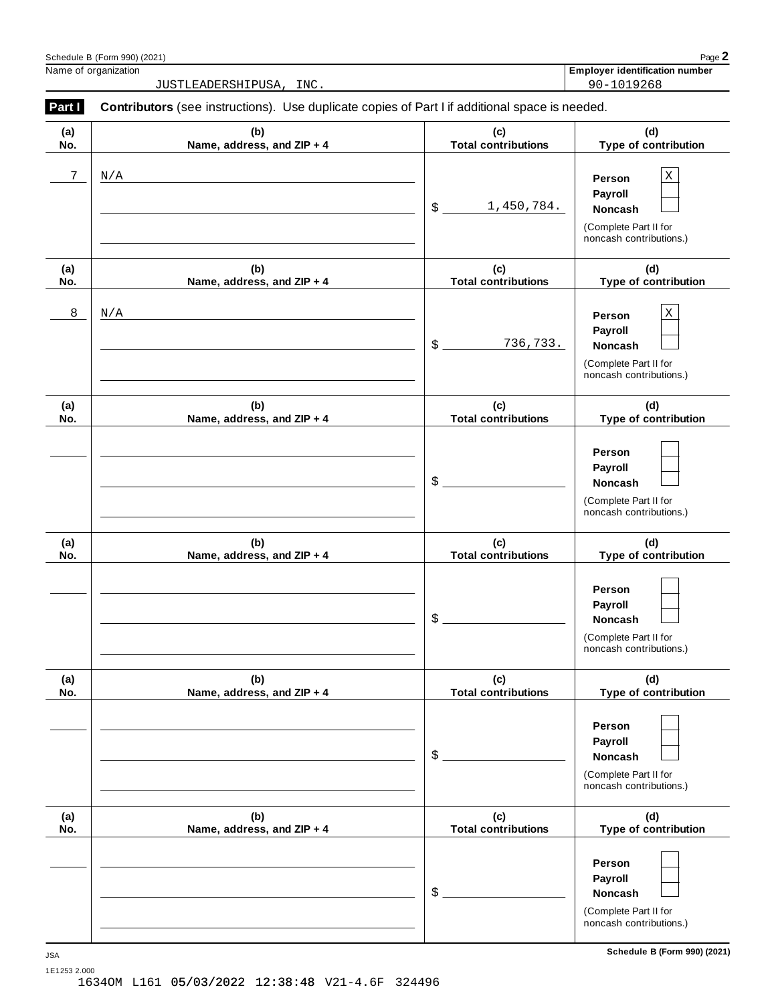|            | Schedule B (Form 990) (2021)                                                                   |                                   | Page 2                                                                                  |
|------------|------------------------------------------------------------------------------------------------|-----------------------------------|-----------------------------------------------------------------------------------------|
|            | Name of organization<br>JUSTLEADERSHIPUSA, INC.                                                |                                   | <b>Employer identification number</b><br>90-1019268                                     |
| Part I     | Contributors (see instructions). Use duplicate copies of Part I if additional space is needed. |                                   |                                                                                         |
| (a)<br>No. | (b)<br>Name, address, and ZIP + 4                                                              | (c)<br><b>Total contributions</b> | (d)<br>Type of contribution                                                             |
| 7          | N/A                                                                                            | 1,450,784.<br>\$                  | Χ<br>Person<br>Payroll<br>Noncash<br>(Complete Part II for<br>noncash contributions.)   |
| (a)<br>No. | (b)<br>Name, address, and ZIP + 4                                                              | (c)<br><b>Total contributions</b> | (d)<br>Type of contribution                                                             |
| 8          | N/A                                                                                            | \$<br>736,733.                    | X<br>Person<br>Payroll<br>Noncash<br>(Complete Part II for<br>noncash contributions.)   |
| (a)<br>No. | (b)<br>Name, address, and ZIP + 4                                                              | (c)<br><b>Total contributions</b> | (d)<br>Type of contribution                                                             |
|            |                                                                                                | \$                                | Person<br><b>Payroll</b><br>Noncash<br>(Complete Part II for<br>noncash contributions.) |
| (a)<br>No. | (b)<br>Name, address, and ZIP + 4                                                              | (c)<br><b>Total contributions</b> | (d)<br>Type of contribution                                                             |
|            |                                                                                                | ¢                                 | Person<br><b>Payroll</b><br>Noncash<br>(Complete Part II for<br>noncash contributions.) |
| (a)<br>No. | (b)<br>Name, address, and ZIP + 4                                                              | (c)<br><b>Total contributions</b> | (d)<br>Type of contribution                                                             |
|            |                                                                                                | \$                                | Person<br>Payroll<br>Noncash<br>(Complete Part II for<br>noncash contributions.)        |
| (a)<br>No. | (b)<br>Name, address, and ZIP + 4                                                              | (c)<br><b>Total contributions</b> | (d)<br>Type of contribution                                                             |
|            |                                                                                                | \$                                | Person<br>Payroll<br>Noncash<br>(Complete Part II for<br>noncash contributions.)        |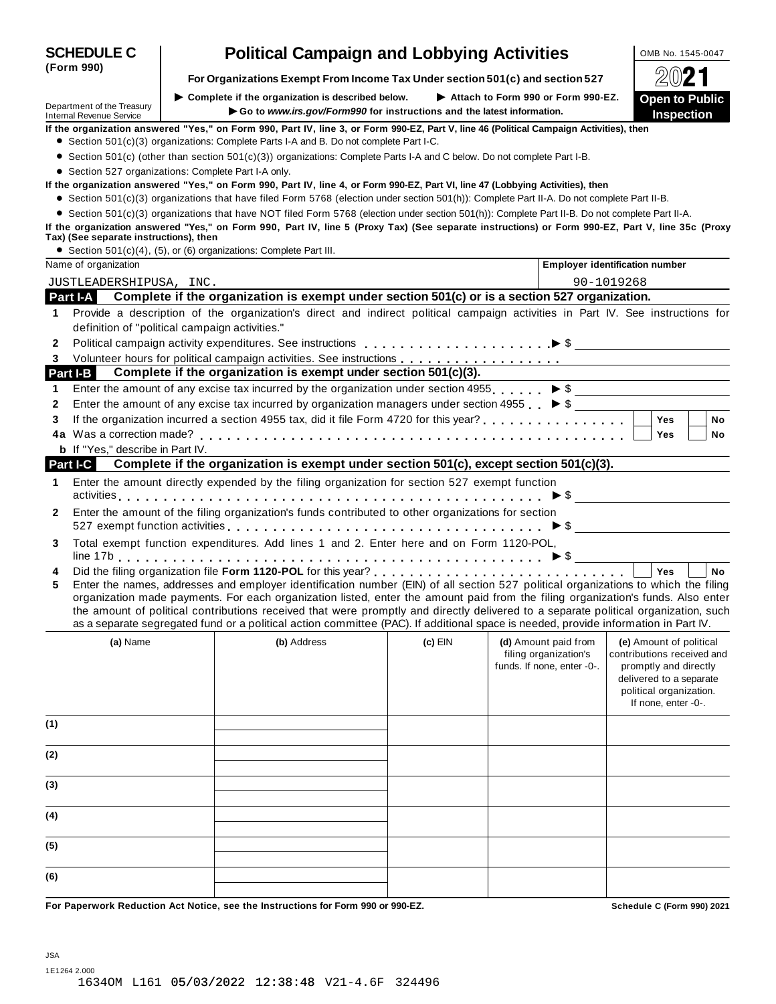|                                                                    |                                                |                                                                                                                                                                                                                                                                                                                                                                                                                                                                                                                                                      |           |                                                     | 69 <b>6</b> 1                                                                                                                    |
|--------------------------------------------------------------------|------------------------------------------------|------------------------------------------------------------------------------------------------------------------------------------------------------------------------------------------------------------------------------------------------------------------------------------------------------------------------------------------------------------------------------------------------------------------------------------------------------------------------------------------------------------------------------------------------------|-----------|-----------------------------------------------------|----------------------------------------------------------------------------------------------------------------------------------|
| Department of the Treasury<br><b>Internal Revenue Service</b>      |                                                | $\blacktriangleright$ Complete if the organization is described below.<br>Go to www.irs.gov/Form990 for instructions and the latest information.                                                                                                                                                                                                                                                                                                                                                                                                     |           | Attach to Form 990 or Form 990-EZ.                  | <b>Open to Public</b><br><b>Inspection</b>                                                                                       |
|                                                                    |                                                | If the organization answered "Yes," on Form 990, Part IV, line 3, or Form 990-EZ, Part V, line 46 (Political Campaign Activities), then                                                                                                                                                                                                                                                                                                                                                                                                              |           |                                                     |                                                                                                                                  |
|                                                                    |                                                | • Section 501(c)(3) organizations: Complete Parts I-A and B. Do not complete Part I-C.                                                                                                                                                                                                                                                                                                                                                                                                                                                               |           |                                                     |                                                                                                                                  |
|                                                                    |                                                | • Section 501(c) (other than section 501(c)(3)) organizations: Complete Parts I-A and C below. Do not complete Part I-B.                                                                                                                                                                                                                                                                                                                                                                                                                             |           |                                                     |                                                                                                                                  |
| • Section 527 organizations: Complete Part I-A only.               |                                                |                                                                                                                                                                                                                                                                                                                                                                                                                                                                                                                                                      |           |                                                     |                                                                                                                                  |
|                                                                    |                                                | If the organization answered "Yes," on Form 990, Part IV, line 4, or Form 990-EZ, Part VI, line 47 (Lobbying Activities), then                                                                                                                                                                                                                                                                                                                                                                                                                       |           |                                                     |                                                                                                                                  |
|                                                                    |                                                | • Section 501(c)(3) organizations that have filed Form 5768 (election under section 501(h)): Complete Part II-A. Do not complete Part II-B.                                                                                                                                                                                                                                                                                                                                                                                                          |           |                                                     |                                                                                                                                  |
|                                                                    |                                                | • Section 501(c)(3) organizations that have NOT filed Form 5768 (election under section 501(h)): Complete Part II-B. Do not complete Part II-A.                                                                                                                                                                                                                                                                                                                                                                                                      |           |                                                     |                                                                                                                                  |
| Tax) (See separate instructions), then                             |                                                | If the organization answered "Yes," on Form 990, Part IV, line 5 (Proxy Tax) (See separate instructions) or Form 990-EZ, Part V, line 35c (Proxy                                                                                                                                                                                                                                                                                                                                                                                                     |           |                                                     |                                                                                                                                  |
| • Section 501(c)(4), (5), or (6) organizations: Complete Part III. |                                                |                                                                                                                                                                                                                                                                                                                                                                                                                                                                                                                                                      |           |                                                     |                                                                                                                                  |
| Name of organization                                               |                                                |                                                                                                                                                                                                                                                                                                                                                                                                                                                                                                                                                      |           |                                                     | <b>Employer identification number</b>                                                                                            |
| JUSTLEADERSHIPUSA, INC.                                            |                                                |                                                                                                                                                                                                                                                                                                                                                                                                                                                                                                                                                      |           |                                                     | 90-1019268                                                                                                                       |
| <b>Part I-A</b>                                                    |                                                | Complete if the organization is exempt under section 501(c) or is a section 527 organization.                                                                                                                                                                                                                                                                                                                                                                                                                                                        |           |                                                     |                                                                                                                                  |
| 1                                                                  |                                                | Provide a description of the organization's direct and indirect political campaign activities in Part IV. See instructions for                                                                                                                                                                                                                                                                                                                                                                                                                       |           |                                                     |                                                                                                                                  |
|                                                                    | definition of "political campaign activities." |                                                                                                                                                                                                                                                                                                                                                                                                                                                                                                                                                      |           |                                                     |                                                                                                                                  |
| 2                                                                  |                                                |                                                                                                                                                                                                                                                                                                                                                                                                                                                                                                                                                      |           |                                                     |                                                                                                                                  |
| 3                                                                  |                                                |                                                                                                                                                                                                                                                                                                                                                                                                                                                                                                                                                      |           |                                                     |                                                                                                                                  |
| Part I-B                                                           |                                                | Complete if the organization is exempt under section 501(c)(3).                                                                                                                                                                                                                                                                                                                                                                                                                                                                                      |           |                                                     |                                                                                                                                  |
|                                                                    |                                                | Enter the amount of any excise tax incurred by the organization under section 4955. $\triangleright$ \$                                                                                                                                                                                                                                                                                                                                                                                                                                              |           |                                                     |                                                                                                                                  |
| 1                                                                  |                                                | Enter the amount of any excise tax incurred by organization managers under section 4955 $\triangleright$ \$                                                                                                                                                                                                                                                                                                                                                                                                                                          |           |                                                     |                                                                                                                                  |
| 2                                                                  |                                                |                                                                                                                                                                                                                                                                                                                                                                                                                                                                                                                                                      |           |                                                     |                                                                                                                                  |
| 3                                                                  |                                                |                                                                                                                                                                                                                                                                                                                                                                                                                                                                                                                                                      |           |                                                     | Yes<br><b>No</b>                                                                                                                 |
|                                                                    |                                                |                                                                                                                                                                                                                                                                                                                                                                                                                                                                                                                                                      |           |                                                     | <b>Yes</b><br>No                                                                                                                 |
| <b>b</b> If "Yes," describe in Part IV.                            |                                                | Complete if the organization is exempt under section 501(c), except section 501(c)(3).                                                                                                                                                                                                                                                                                                                                                                                                                                                               |           |                                                     |                                                                                                                                  |
| Part I-C                                                           |                                                |                                                                                                                                                                                                                                                                                                                                                                                                                                                                                                                                                      |           |                                                     |                                                                                                                                  |
| 1                                                                  |                                                | Enter the amount directly expended by the filing organization for section 527 exempt function                                                                                                                                                                                                                                                                                                                                                                                                                                                        |           |                                                     |                                                                                                                                  |
| 2                                                                  |                                                | Enter the amount of the filing organization's funds contributed to other organizations for section<br>527 exempt function activities $\ldots \ldots \ldots \ldots \ldots \ldots \ldots \ldots \ldots \ldots \ldots \ldots \blacktriangleright$ \$ _______________________                                                                                                                                                                                                                                                                            |           |                                                     |                                                                                                                                  |
| 3                                                                  |                                                | Total exempt function expenditures. Add lines 1 and 2. Enter here and on Form 1120-POL,                                                                                                                                                                                                                                                                                                                                                                                                                                                              |           |                                                     |                                                                                                                                  |
| 4<br>5                                                             |                                                | Enter the names, addresses and employer identification number (EIN) of all section 527 political organizations to which the filing<br>organization made payments. For each organization listed, enter the amount paid from the filing organization's funds. Also enter<br>the amount of political contributions received that were promptly and directly delivered to a separate political organization, such<br>as a separate segregated fund or a political action committee (PAC). If additional space is needed, provide information in Part IV. |           |                                                     | Yes<br><b>No</b>                                                                                                                 |
| (a) Name                                                           |                                                | (b) Address                                                                                                                                                                                                                                                                                                                                                                                                                                                                                                                                          | $(c)$ EIN | (d) Amount paid from                                | (e) Amount of political                                                                                                          |
|                                                                    |                                                |                                                                                                                                                                                                                                                                                                                                                                                                                                                                                                                                                      |           | filing organization's<br>funds. If none, enter -0-. | contributions received and<br>promptly and directly<br>delivered to a separate<br>political organization.<br>If none, enter -0-. |
| (1)                                                                |                                                |                                                                                                                                                                                                                                                                                                                                                                                                                                                                                                                                                      |           |                                                     |                                                                                                                                  |
| (2)                                                                |                                                |                                                                                                                                                                                                                                                                                                                                                                                                                                                                                                                                                      |           |                                                     |                                                                                                                                  |
| (3)                                                                |                                                |                                                                                                                                                                                                                                                                                                                                                                                                                                                                                                                                                      |           |                                                     |                                                                                                                                  |
| (4)                                                                |                                                |                                                                                                                                                                                                                                                                                                                                                                                                                                                                                                                                                      |           |                                                     |                                                                                                                                  |
| (5)                                                                |                                                |                                                                                                                                                                                                                                                                                                                                                                                                                                                                                                                                                      |           |                                                     |                                                                                                                                  |
| (6)                                                                |                                                |                                                                                                                                                                                                                                                                                                                                                                                                                                                                                                                                                      |           |                                                     |                                                                                                                                  |
|                                                                    |                                                | For Paperwork Reduction Act Notice, see the Instructions for Form 990 or 990-EZ.                                                                                                                                                                                                                                                                                                                                                                                                                                                                     |           |                                                     | Schedule C (Form 990) 2021                                                                                                       |

## **SCHEDULE C** | **Political Campaign and Lobbying Activities**  $\frac{|\text{OMB NO. 1545-0047}}{|\text{OMB NO. 1545-0047}|}$

**For Organizations Exempt From Income Tax Under section 501(c) and section <sup>527</sup>** À¾¶µ

**(Form 990)**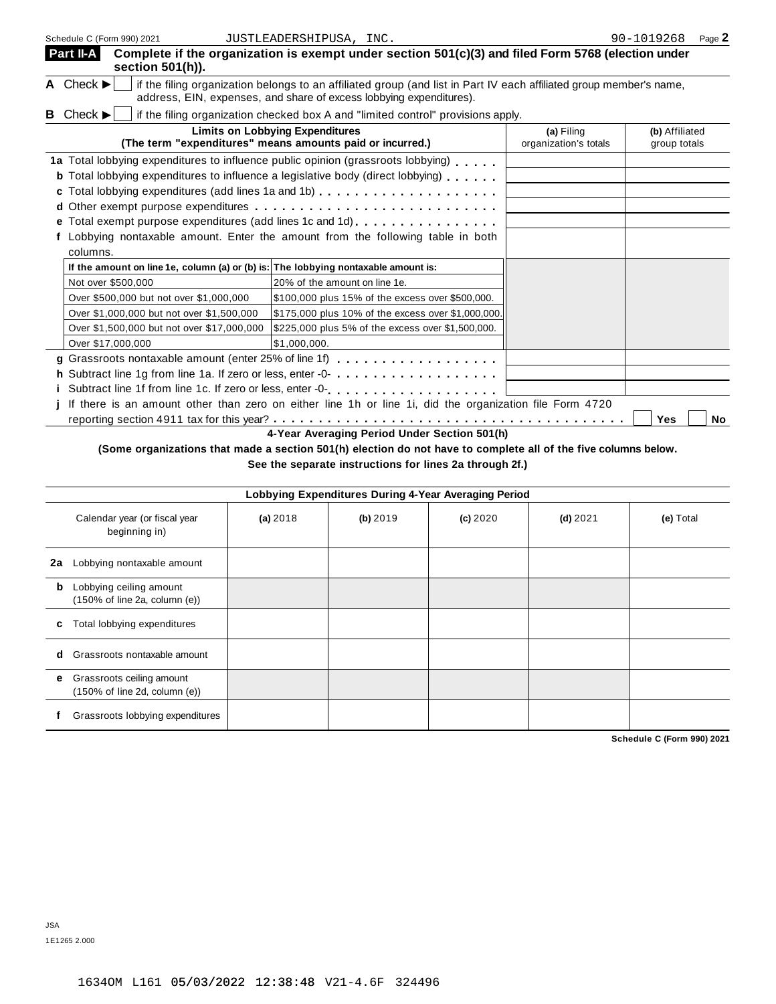| Schedule C (Form 990) 2021                                                                                               | JUSTLEADERSHIPUSA, INC.                                                                                                                                                                    |                                     | 90-1019268<br>Page 2           |  |  |  |  |
|--------------------------------------------------------------------------------------------------------------------------|--------------------------------------------------------------------------------------------------------------------------------------------------------------------------------------------|-------------------------------------|--------------------------------|--|--|--|--|
| Part II-A<br>section 501(h)).                                                                                            | Complete if the organization is exempt under section 501(c)(3) and filed Form 5768 (election under                                                                                         |                                     |                                |  |  |  |  |
| A Check $\blacktriangleright$                                                                                            | if the filing organization belongs to an affiliated group (and list in Part IV each affiliated group member's name,<br>address, EIN, expenses, and share of excess lobbying expenditures). |                                     |                                |  |  |  |  |
| <b>B</b> Check $\blacktriangleright$<br>if the filing organization checked box A and "limited control" provisions apply. |                                                                                                                                                                                            |                                     |                                |  |  |  |  |
|                                                                                                                          | <b>Limits on Lobbying Expenditures</b><br>(The term "expenditures" means amounts paid or incurred.)                                                                                        | (a) Filing<br>organization's totals | (b) Affiliated<br>group totals |  |  |  |  |
|                                                                                                                          | 1a Total lobbying expenditures to influence public opinion (grassroots lobbying)                                                                                                           |                                     |                                |  |  |  |  |
|                                                                                                                          | <b>b</b> Total lobbying expenditures to influence a legislative body (direct lobbying)                                                                                                     |                                     |                                |  |  |  |  |
|                                                                                                                          | c Total lobbying expenditures (add lines 1a and 1b)                                                                                                                                        |                                     |                                |  |  |  |  |
|                                                                                                                          |                                                                                                                                                                                            |                                     |                                |  |  |  |  |
|                                                                                                                          |                                                                                                                                                                                            |                                     |                                |  |  |  |  |
|                                                                                                                          | f Lobbying nontaxable amount. Enter the amount from the following table in both                                                                                                            |                                     |                                |  |  |  |  |
| columns.                                                                                                                 |                                                                                                                                                                                            |                                     |                                |  |  |  |  |
| If the amount on line 1e, column (a) or (b) is: The lobbying nontaxable amount is:                                       |                                                                                                                                                                                            |                                     |                                |  |  |  |  |
| Not over \$500,000                                                                                                       | 20% of the amount on line 1e.                                                                                                                                                              |                                     |                                |  |  |  |  |
| Over \$500,000 but not over \$1,000,000                                                                                  | \$100,000 plus 15% of the excess over \$500,000.                                                                                                                                           |                                     |                                |  |  |  |  |
| Over \$1,000,000 but not over \$1,500,000                                                                                | \$175,000 plus 10% of the excess over \$1,000,000.                                                                                                                                         |                                     |                                |  |  |  |  |
| Over \$1,500,000 but not over \$17,000,000                                                                               | \$225,000 plus 5% of the excess over \$1,500,000.                                                                                                                                          |                                     |                                |  |  |  |  |
| Over \$17,000,000                                                                                                        | \$1,000,000.                                                                                                                                                                               |                                     |                                |  |  |  |  |
|                                                                                                                          | g Grassroots nontaxable amount (enter 25% of line 1f)                                                                                                                                      |                                     |                                |  |  |  |  |
|                                                                                                                          | h Subtract line 1g from line 1a. If zero or less, enter -0-                                                                                                                                |                                     |                                |  |  |  |  |
|                                                                                                                          | i Subtract line 1f from line 1c. If zero or less, enter -0-<br>example respectively respectively in the set of the series of the series of less, entered in the series of the              |                                     |                                |  |  |  |  |
|                                                                                                                          | j If there is an amount other than zero on either line 1h or line 1i, did the organization file Form 4720                                                                                  |                                     |                                |  |  |  |  |
|                                                                                                                          | $\overline{AB}$ and $\overline{AB}$ are solvent in $\overline{BA}$ and $\overline{AB}$ are solvent in $\overline{BA}$ and $\overline{AB}$                                                  |                                     | Yes<br>No                      |  |  |  |  |

**4-Year Averaging Period Under Section 501(h)**

(Some organizations that made a section 501(h) election do not have to complete all of the five columns below.

**See the separate instructions for lines 2a through 2f.)**

|    | Lobbying Expenditures During 4-Year Averaging Period                          |            |          |          |            |           |
|----|-------------------------------------------------------------------------------|------------|----------|----------|------------|-----------|
|    | Calendar year (or fiscal year<br>beginning in)                                | (a) $2018$ | (b) 2019 | (c) 2020 | $(d)$ 2021 | (e) Total |
| 2a | Lobbying nontaxable amount                                                    |            |          |          |            |           |
| b  | Lobbying ceiling amount<br>$(150\% \text{ of line } 2a, \text{ column } (e))$ |            |          |          |            |           |
| c  | Total lobbying expenditures                                                   |            |          |          |            |           |
| d  | Grassroots nontaxable amount                                                  |            |          |          |            |           |
| е  | Grassroots ceiling amount<br>$(150\% \text{ of line 2d, column (e))}$         |            |          |          |            |           |
|    | Grassroots lobbying expenditures                                              |            |          |          |            |           |

**Schedule C (Form 990) 2021**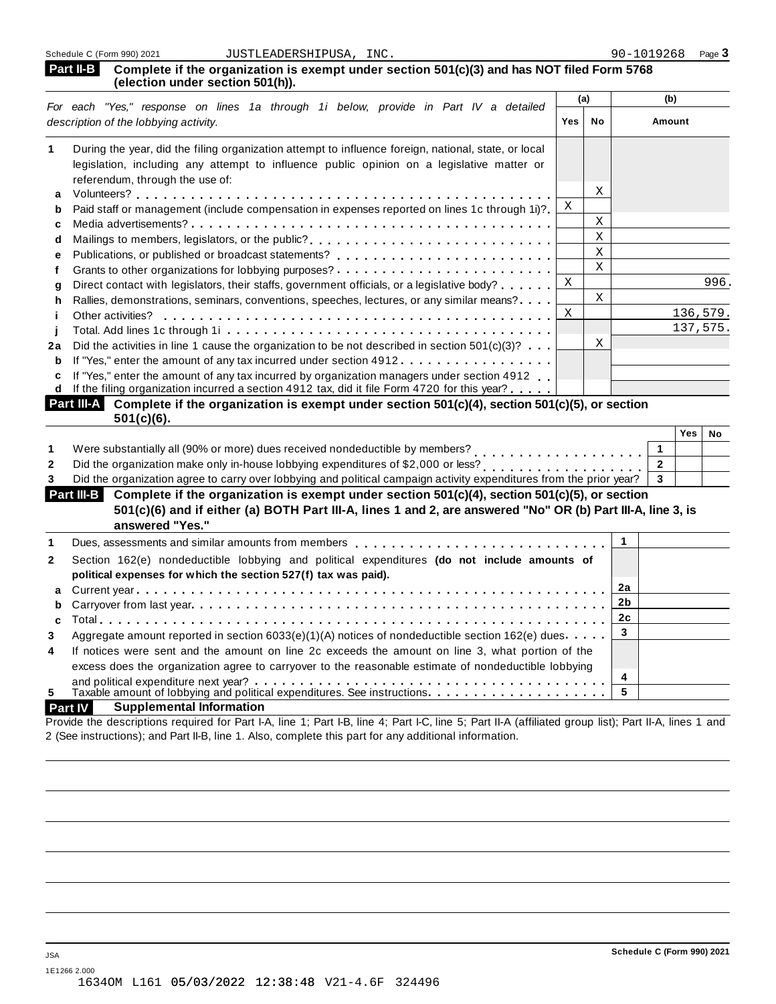| <b>Part II-B</b> Complete if the organization is exempt under section 501(c)(3) and has NOT filed Form 5768 |
|-------------------------------------------------------------------------------------------------------------|
| (election under section 501(h)).                                                                            |

|    | For each "Yes," response on lines 1a through 1i below, provide in Part IV a detailed                                     | (a) |    | (b)      |
|----|--------------------------------------------------------------------------------------------------------------------------|-----|----|----------|
|    | description of the lobbying activity.                                                                                    | Yes | No | Amount   |
|    | During the year, did the filing organization attempt to influence foreign, national, state, or local                     |     |    |          |
|    | legislation, including any attempt to influence public opinion on a legislative matter or                                |     |    |          |
|    | referendum, through the use of:                                                                                          |     |    |          |
| a  |                                                                                                                          |     | Χ  |          |
| b  | Paid staff or management (include compensation in expenses reported on lines 1c through 1i)?                             | X   |    |          |
| c  |                                                                                                                          |     | X  |          |
| d  | Mailings to members, legislators, or the public?                                                                         |     | X  |          |
| е  |                                                                                                                          |     | X  |          |
|    |                                                                                                                          |     | X  |          |
| a  | Direct contact with legislators, their staffs, government officials, or a legislative body?                              | X   |    | 996.     |
| h  | Rallies, demonstrations, seminars, conventions, speeches, lectures, or any similar means?                                |     | X  |          |
|    | Other activities?                                                                                                        | X   |    | 136,579. |
|    |                                                                                                                          |     |    | 137,575. |
| 2a | Did the activities in line 1 cause the organization to be not described in section $501(c)(3)$ ?                         |     | Χ  |          |
| b  | If "Yes," enter the amount of any tax incurred under section 4912                                                        |     |    |          |
| c  | If "Yes," enter the amount of any tax incurred by organization managers under section 4912.                              |     |    |          |
| d  | If the filing organization incurred a section 4912 tax, did it file Form 4720 for this year?                             |     |    |          |
|    | <b>Part III-A</b><br>Complete if the organization is exempt under section $501(c)(4)$ , section $501(c)(5)$ , or section |     |    |          |

| $501(c)(6)$ .                                                                                                       |     |    |
|---------------------------------------------------------------------------------------------------------------------|-----|----|
|                                                                                                                     | ×es | No |
| Were substantially all (90% or more) dues received nondeductible by members?                                        |     |    |
| Did the organization make only in-house lobbying expenditures of \$2,000 or less?                                   |     |    |
| Did the organization agree to carry over lobbying and political campaign activity expenditures from the prior year? |     |    |

| Complete if the organization is exempt under section 501(c)(4), section 501(c)(5), or section<br>Part III-B<br>501(c)(6) and if either (a) BOTH Part III-A, lines 1 and 2, are answered "No" OR (b) Part III-A, line 3, is<br>answered "Yes." |  |  |
|-----------------------------------------------------------------------------------------------------------------------------------------------------------------------------------------------------------------------------------------------|--|--|
| Dues, assessments and similar amounts from members quaranters or and provided as $\sim$ 0.000 members or and provided and provided as $\sim$ 0.000 members or and provided as $\sim$ 0.000 members or and provided as $\sim$ 0.000 mem        |  |  |
|                                                                                                                                                                                                                                               |  |  |

| $\mathbf{2}$   | Section 162(e) nondeductible lobbying and political expenditures (do not include amounts of          |   |  |
|----------------|------------------------------------------------------------------------------------------------------|---|--|
|                | political expenses for which the section 527(f) tax was paid).                                       |   |  |
|                |                                                                                                      |   |  |
|                |                                                                                                      |   |  |
|                |                                                                                                      |   |  |
| 3              | Aggregate amount reported in section 6033(e)(1)(A) notices of nondeductible section 162(e) dues      |   |  |
| $\overline{4}$ | If notices were sent and the amount on line 2c exceeds the amount on line 3, what portion of the     |   |  |
|                | excess does the organization agree to carryover to the reasonable estimate of nondeductible lobbying |   |  |
|                |                                                                                                      | 4 |  |
| 5              |                                                                                                      |   |  |

#### **Part IV Supplemental Information**

Provide the descriptions required for Part I-A, line 1; Part I-B, line 4; Part I-C, line 5; Part II-A (affiliated group list); Part II-A, lines 1 and 2 (See instructions); and Part II-B, line 1. Also, complete this part for any additional information.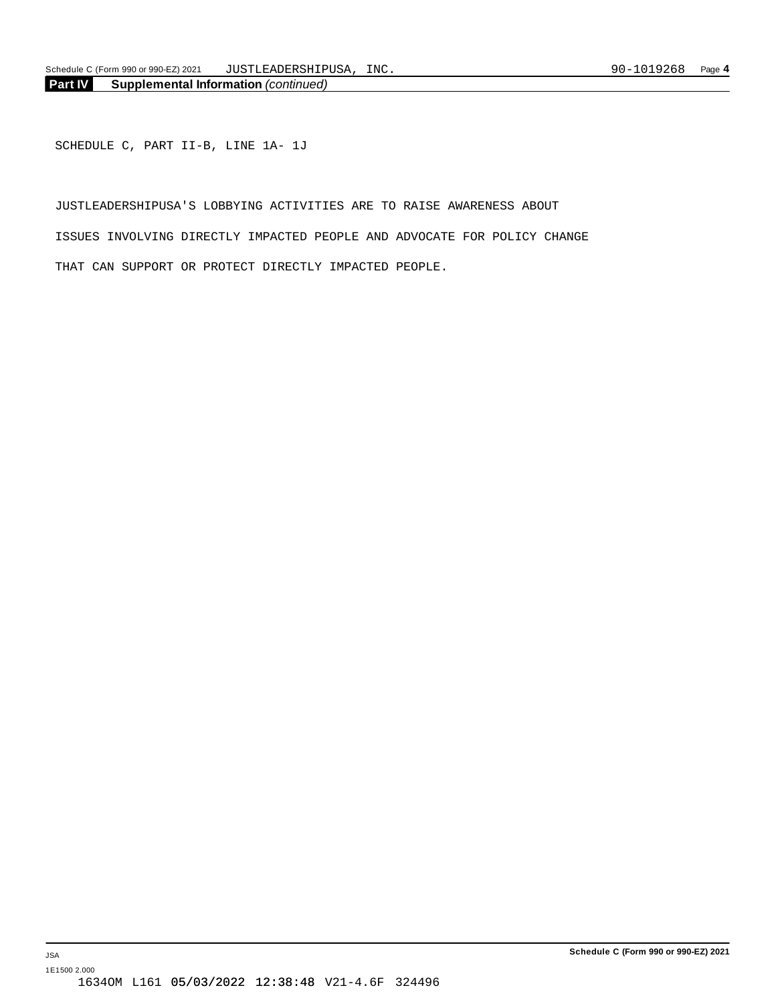SCHEDULE C, PART II-B, LINE 1A- 1J

JUSTLEADERSHIPUSA'S LOBBYING ACTIVITIES ARE TO RAISE AWARENESS ABOUT ISSUES INVOLVING DIRECTLY IMPACTED PEOPLE AND ADVOCATE FOR POLICY CHANGE THAT CAN SUPPORT OR PROTECT DIRECTLY IMPACTED PEOPLE.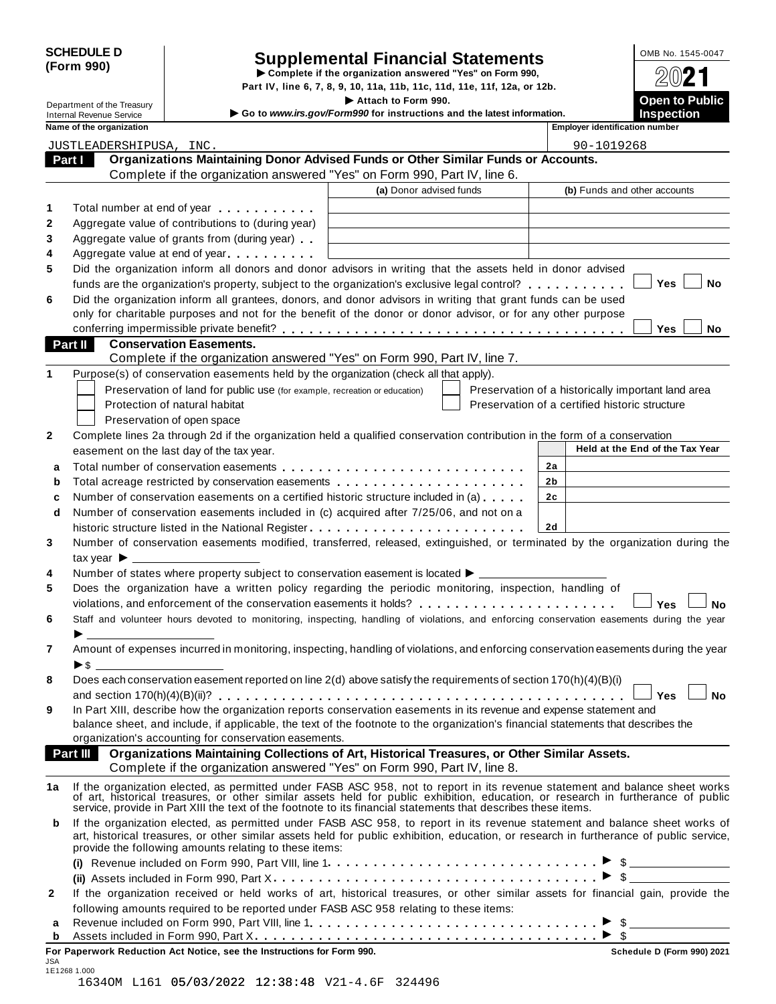| <b>SCHEDULE D</b> |  |
|-------------------|--|
| (Form 990)        |  |

# SCHEDULE D<br>
Supplemental Financial Statements<br>
Form 990)<br>
Part IV, line 6, 7, 8, 9, 10, 11a, 11b, 11c, 11d, 11e, 11f, 12a, or 12b.<br>
Part IV, line 6, 7, 8, 9, 10, 11a, 11b, 11c, 11d, 11e, 11f, 12a, or 12b.

Part IV, line 6, 7, 8, 9, 10, 11a, 11b, 11c, 11d, 11e, 11f, 12a, or 12b.<br> **Department of the Treasury** I **Continuing the Section 1990.**<br> **Continuing and Continuing and the latest information** 

|        | Department of the Treasury      |                                                                                                                                                                                                                                                     | Attach to Form 990.                                                    |                                                    | <b>Open to Public</b>           |
|--------|---------------------------------|-----------------------------------------------------------------------------------------------------------------------------------------------------------------------------------------------------------------------------------------------------|------------------------------------------------------------------------|----------------------------------------------------|---------------------------------|
|        | <b>Internal Revenue Service</b> |                                                                                                                                                                                                                                                     | Go to www.irs.gov/Form990 for instructions and the latest information. |                                                    | <b>Inspection</b>               |
|        | Name of the organization        |                                                                                                                                                                                                                                                     |                                                                        | <b>Employer identification number</b>              |                                 |
|        | JUSTLEADERSHIPUSA, INC.         |                                                                                                                                                                                                                                                     |                                                                        | 90-1019268                                         |                                 |
| Part I |                                 | Organizations Maintaining Donor Advised Funds or Other Similar Funds or Accounts.                                                                                                                                                                   |                                                                        |                                                    |                                 |
|        |                                 | Complete if the organization answered "Yes" on Form 990, Part IV, line 6.                                                                                                                                                                           |                                                                        |                                                    |                                 |
|        |                                 |                                                                                                                                                                                                                                                     | (a) Donor advised funds                                                |                                                    | (b) Funds and other accounts    |
| 1      |                                 | Total number at end of year manufacturers.                                                                                                                                                                                                          |                                                                        |                                                    |                                 |
| 2      |                                 | Aggregate value of contributions to (during year)                                                                                                                                                                                                   |                                                                        |                                                    |                                 |
| 3      |                                 | Aggregate value of grants from (during year)                                                                                                                                                                                                        |                                                                        |                                                    |                                 |
| 4      |                                 | Aggregate value at end of year                                                                                                                                                                                                                      |                                                                        |                                                    |                                 |
| 5      |                                 | Did the organization inform all donors and donor advisors in writing that the assets held in donor advised                                                                                                                                          |                                                                        |                                                    |                                 |
|        |                                 | funds are the organization's property, subject to the organization's exclusive legal control?                                                                                                                                                       |                                                                        |                                                    | Yes<br>No                       |
| 6      |                                 | Did the organization inform all grantees, donors, and donor advisors in writing that grant funds can be used                                                                                                                                        |                                                                        |                                                    |                                 |
|        |                                 | only for charitable purposes and not for the benefit of the donor or donor advisor, or for any other purpose                                                                                                                                        |                                                                        |                                                    |                                 |
|        |                                 |                                                                                                                                                                                                                                                     |                                                                        |                                                    | Yes<br>No                       |
|        | Part II                         | <b>Conservation Easements.</b>                                                                                                                                                                                                                      |                                                                        |                                                    |                                 |
|        |                                 | Complete if the organization answered "Yes" on Form 990, Part IV, line 7.                                                                                                                                                                           |                                                                        |                                                    |                                 |
| 1      |                                 | Purpose(s) of conservation easements held by the organization (check all that apply).                                                                                                                                                               |                                                                        |                                                    |                                 |
|        |                                 | Preservation of land for public use (for example, recreation or education)                                                                                                                                                                          |                                                                        | Preservation of a historically important land area |                                 |
|        |                                 | Protection of natural habitat                                                                                                                                                                                                                       |                                                                        | Preservation of a certified historic structure     |                                 |
|        |                                 | Preservation of open space                                                                                                                                                                                                                          |                                                                        |                                                    |                                 |
| 2      |                                 | Complete lines 2a through 2d if the organization held a qualified conservation contribution in the form of a conservation                                                                                                                           |                                                                        |                                                    |                                 |
|        |                                 | easement on the last day of the tax year.                                                                                                                                                                                                           |                                                                        |                                                    | Held at the End of the Tax Year |
| a      |                                 |                                                                                                                                                                                                                                                     |                                                                        | 2a                                                 |                                 |
| b      |                                 | Total acreage restricted by conservation easements                                                                                                                                                                                                  |                                                                        | 2b                                                 |                                 |
| c      |                                 | Number of conservation easements on a certified historic structure included in (a)                                                                                                                                                                  |                                                                        | 2c                                                 |                                 |
| d      |                                 | Number of conservation easements included in (c) acquired after 7/25/06, and not on a                                                                                                                                                               |                                                                        |                                                    |                                 |
|        |                                 |                                                                                                                                                                                                                                                     |                                                                        | <b>2d</b>                                          |                                 |
| 3      |                                 | Number of conservation easements modified, transferred, released, extinguished, or terminated by the organization during the                                                                                                                        |                                                                        |                                                    |                                 |
|        |                                 |                                                                                                                                                                                                                                                     |                                                                        |                                                    |                                 |
| 4      |                                 | Number of states where property subject to conservation easement is located $\blacktriangleright$ _______                                                                                                                                           |                                                                        |                                                    |                                 |
| 5      |                                 | Does the organization have a written policy regarding the periodic monitoring, inspection, handling of                                                                                                                                              |                                                                        |                                                    |                                 |
|        |                                 |                                                                                                                                                                                                                                                     |                                                                        |                                                    | Yes<br><b>No</b>                |
| 6      |                                 | Staff and volunteer hours devoted to monitoring, inspecting, handling of violations, and enforcing conservation easements during the year                                                                                                           |                                                                        |                                                    |                                 |
|        |                                 |                                                                                                                                                                                                                                                     |                                                                        |                                                    |                                 |
| 7      |                                 | Amount of expenses incurred in monitoring, inspecting, handling of violations, and enforcing conservation easements during the year                                                                                                                 |                                                                        |                                                    |                                 |
|        | ▶\$                             |                                                                                                                                                                                                                                                     |                                                                        |                                                    |                                 |
| 8      |                                 | Does each conservation easement reported on line 2(d) above satisfy the requirements of section 170(h)(4)(B)(i)                                                                                                                                     |                                                                        |                                                    |                                 |
|        |                                 |                                                                                                                                                                                                                                                     |                                                                        |                                                    | No<br>Yes                       |
| 9      |                                 | In Part XIII, describe how the organization reports conservation easements in its revenue and expense statement and                                                                                                                                 |                                                                        |                                                    |                                 |
|        |                                 | balance sheet, and include, if applicable, the text of the footnote to the organization's financial statements that describes the                                                                                                                   |                                                                        |                                                    |                                 |
|        |                                 | organization's accounting for conservation easements.                                                                                                                                                                                               |                                                                        |                                                    |                                 |
|        | Part III                        | Organizations Maintaining Collections of Art, Historical Treasures, or Other Similar Assets.                                                                                                                                                        |                                                                        |                                                    |                                 |
|        |                                 | Complete if the organization answered "Yes" on Form 990, Part IV, line 8.                                                                                                                                                                           |                                                                        |                                                    |                                 |
| 1a     |                                 | If the organization elected, as permitted under FASB ASC 958, not to report in its revenue statement and balance sheet works                                                                                                                        |                                                                        |                                                    |                                 |
|        |                                 | of art, historical treasures, or other similar assets held for public exhibition, education, or research in furtherance of public<br>service, provide in Part XIII the text of the footnote to its financial statements that describes these items. |                                                                        |                                                    |                                 |
| b      |                                 | If the organization elected, as permitted under FASB ASC 958, to report in its revenue statement and balance sheet works of                                                                                                                         |                                                                        |                                                    |                                 |
|        |                                 | art, historical treasures, or other similar assets held for public exhibition, education, or research in furtherance of public service,<br>provide the following amounts relating to these items:                                                   |                                                                        |                                                    |                                 |
|        |                                 |                                                                                                                                                                                                                                                     |                                                                        |                                                    |                                 |
|        |                                 |                                                                                                                                                                                                                                                     |                                                                        |                                                    |                                 |
| 2      |                                 | If the organization received or held works of art, historical treasures, or other similar assets for financial gain, provide the                                                                                                                    |                                                                        |                                                    |                                 |
|        |                                 | following amounts required to be reported under FASB ASC 958 relating to these items:                                                                                                                                                               |                                                                        |                                                    |                                 |
| а      |                                 |                                                                                                                                                                                                                                                     |                                                                        |                                                    |                                 |
| b      |                                 |                                                                                                                                                                                                                                                     |                                                                        |                                                    |                                 |

**For Paperwork Reduction Act Notice, see the Instructions for Form 990. Schedule D (Form 990) 2021**

| JSA          |  |                                                 |  |  |
|--------------|--|-------------------------------------------------|--|--|
| 1E1268 1.000 |  |                                                 |  |  |
|              |  | 16340M L161 05/03/2022 12:38:48 V21-4.6F 324496 |  |  |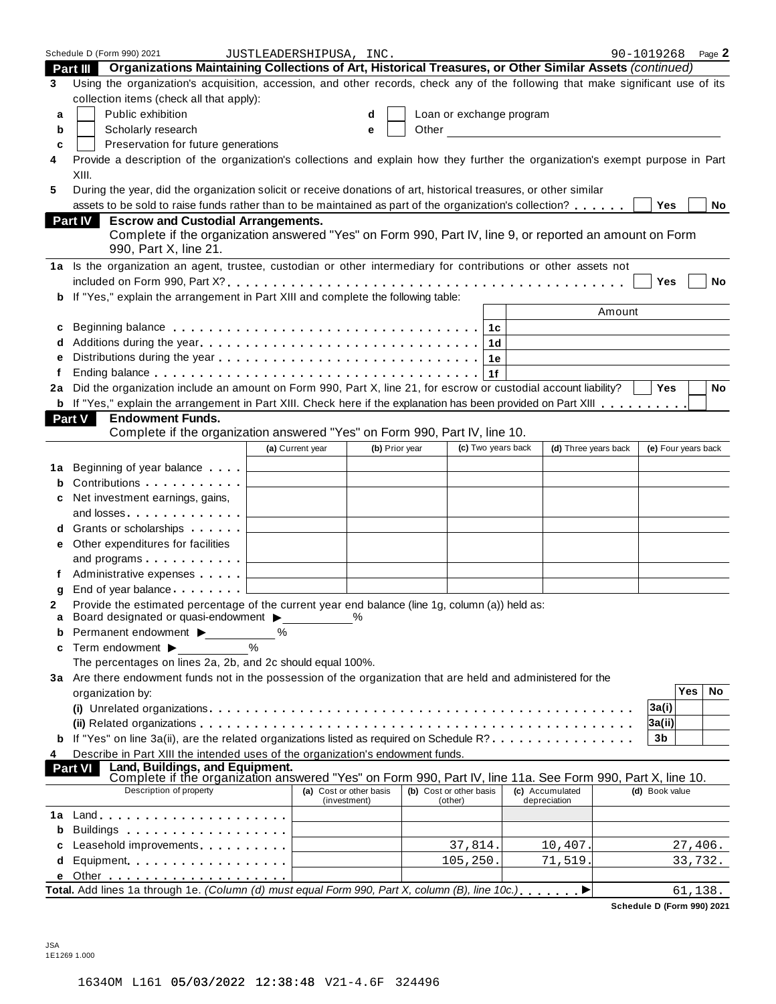|        | Schedule D (Form 990) 2021                                                                                                                                                                      | JUSTLEADERSHIPUSA, INC.                            |                                         |                                    |                                     | 90-1019268          |            | Page 2 |
|--------|-------------------------------------------------------------------------------------------------------------------------------------------------------------------------------------------------|----------------------------------------------------|-----------------------------------------|------------------------------------|-------------------------------------|---------------------|------------|--------|
|        | Part III Organizations Maintaining Collections of Art, Historical Treasures, or Other Similar Assets (continued)                                                                                |                                                    |                                         |                                    |                                     |                     |            |        |
| 3      | Using the organization's acquisition, accession, and other records, check any of the following that make significant use of its<br>collection items (check all that apply):                     |                                                    |                                         |                                    |                                     |                     |            |        |
| a      | Public exhibition                                                                                                                                                                               |                                                    | d                                       | Loan or exchange program           |                                     |                     |            |        |
| b      | Scholarly research                                                                                                                                                                              |                                                    | e                                       |                                    | Other <u>Contract Communication</u> |                     |            |        |
| c      | Preservation for future generations                                                                                                                                                             |                                                    |                                         |                                    |                                     |                     |            |        |
| 4      | Provide a description of the organization's collections and explain how they further the organization's exempt purpose in Part<br>XIII.                                                         |                                                    |                                         |                                    |                                     |                     |            |        |
|        |                                                                                                                                                                                                 |                                                    |                                         |                                    |                                     |                     |            |        |
| 5      | During the year, did the organization solicit or receive donations of art, historical treasures, or other similar                                                                               |                                                    |                                         |                                    |                                     |                     |            |        |
|        | assets to be sold to raise funds rather than to be maintained as part of the organization's collection?                                                                                         |                                                    |                                         |                                    |                                     | Yes                 |            | No     |
|        | <b>Part IV</b><br><b>Escrow and Custodial Arrangements.</b><br>Complete if the organization answered "Yes" on Form 990, Part IV, line 9, or reported an amount on Form<br>990, Part X, line 21. |                                                    |                                         |                                    |                                     |                     |            |        |
|        | 1a Is the organization an agent, trustee, custodian or other intermediary for contributions or other assets not                                                                                 |                                                    |                                         |                                    |                                     |                     |            |        |
|        |                                                                                                                                                                                                 |                                                    |                                         |                                    |                                     | Yes                 |            | No     |
|        | If "Yes," explain the arrangement in Part XIII and complete the following table:                                                                                                                |                                                    |                                         |                                    |                                     |                     |            |        |
| b      |                                                                                                                                                                                                 |                                                    |                                         |                                    |                                     |                     |            |        |
|        |                                                                                                                                                                                                 |                                                    |                                         |                                    | Amount                              |                     |            |        |
| c      |                                                                                                                                                                                                 |                                                    |                                         |                                    |                                     |                     |            |        |
|        |                                                                                                                                                                                                 |                                                    |                                         | 1d                                 |                                     |                     |            |        |
|        |                                                                                                                                                                                                 |                                                    |                                         | 1е                                 |                                     |                     |            |        |
|        |                                                                                                                                                                                                 |                                                    |                                         | 1f                                 |                                     |                     |            |        |
| 2a     | Did the organization include an amount on Form 990, Part X, line 21, for escrow or custodial account liability?                                                                                 |                                                    |                                         |                                    |                                     | <b>Yes</b>          |            | No     |
|        | <b>b</b> If "Yes," explain the arrangement in Part XIII. Check here if the explanation has been provided on Part XIII                                                                           |                                                    |                                         |                                    |                                     |                     |            |        |
|        | <b>Endowment Funds.</b><br>Part V                                                                                                                                                               |                                                    |                                         |                                    |                                     |                     |            |        |
|        | Complete if the organization answered "Yes" on Form 990, Part IV, line 10.                                                                                                                      |                                                    |                                         |                                    |                                     |                     |            |        |
|        |                                                                                                                                                                                                 | (a) Current year                                   | (b) Prior year                          | (c) Two years back                 | (d) Three years back                | (e) Four years back |            |        |
|        |                                                                                                                                                                                                 |                                                    |                                         |                                    |                                     |                     |            |        |
| 1a     | Beginning of year balance $\qquad \qquad \downarrow$                                                                                                                                            |                                                    |                                         |                                    |                                     |                     |            |        |
| b      |                                                                                                                                                                                                 |                                                    |                                         |                                    |                                     |                     |            |        |
|        | Net investment earnings, gains,                                                                                                                                                                 |                                                    |                                         |                                    |                                     |                     |            |        |
|        | and losses                                                                                                                                                                                      |                                                    |                                         |                                    |                                     |                     |            |        |
|        | Grants or scholarships                                                                                                                                                                          |                                                    |                                         |                                    |                                     |                     |            |        |
| е      | Other expenditures for facilities                                                                                                                                                               |                                                    |                                         |                                    |                                     |                     |            |        |
|        | and programs $\ldots$                                                                                                                                                                           |                                                    |                                         |                                    |                                     |                     |            |        |
|        | Administrative expenses [1994]                                                                                                                                                                  |                                                    |                                         |                                    |                                     |                     |            |        |
|        | End of year balance                                                                                                                                                                             |                                                    |                                         |                                    |                                     |                     |            |        |
| q      | Provide the estimated percentage of the current year end balance (line 1g, column (a)) held as:                                                                                                 |                                                    |                                         |                                    |                                     |                     |            |        |
| 2<br>а | Board designated or quasi-endowment >                                                                                                                                                           |                                                    |                                         |                                    |                                     |                     |            |        |
| b      | Permanent endowment ▶                                                                                                                                                                           | %                                                  |                                         |                                    |                                     |                     |            |        |
|        |                                                                                                                                                                                                 | $\%$                                               |                                         |                                    |                                     |                     |            |        |
| c      | Term endowment ▶                                                                                                                                                                                |                                                    |                                         |                                    |                                     |                     |            |        |
|        | The percentages on lines 2a, 2b, and 2c should equal 100%.                                                                                                                                      |                                                    |                                         |                                    |                                     |                     |            |        |
|        | 3a Are there endowment funds not in the possession of the organization that are held and administered for the                                                                                   |                                                    |                                         |                                    |                                     |                     |            |        |
|        | organization by:                                                                                                                                                                                |                                                    |                                         |                                    |                                     |                     | <b>Yes</b> | No     |
|        |                                                                                                                                                                                                 |                                                    |                                         |                                    |                                     | 3a(i)               |            |        |
|        |                                                                                                                                                                                                 |                                                    |                                         |                                    |                                     | 3a(ii)              |            |        |
|        | If "Yes" on line 3a(ii), are the related organizations listed as required on Schedule R?                                                                                                        |                                                    |                                         |                                    |                                     | 3b                  |            |        |
| 4      | Describe in Part XIII the intended uses of the organization's endowment funds.                                                                                                                  |                                                    |                                         |                                    |                                     |                     |            |        |
|        | Land, Buildings, and Equipment.<br>Complete if the organization answered "Yes" on Form 990, Part IV, line 11a. See Form 990, Part X, line 10.<br><b>Part VI</b>                                 |                                                    |                                         |                                    |                                     |                     |            |        |
|        |                                                                                                                                                                                                 |                                                    |                                         |                                    |                                     |                     |            |        |
|        | Description of property                                                                                                                                                                         |                                                    | (a) Cost or other basis<br>(investment) | (b) Cost or other basis<br>(other) | (c) Accumulated<br>depreciation     | (d) Book value      |            |        |
| 1a     | $Land.$                                                                                                                                                                                         |                                                    |                                         |                                    |                                     |                     |            |        |
| b      |                                                                                                                                                                                                 |                                                    |                                         |                                    |                                     |                     |            |        |
| c      |                                                                                                                                                                                                 |                                                    |                                         | 37,814.                            | 10,407.                             |                     | 27,406.    |        |
|        | Equipment 1                                                                                                                                                                                     |                                                    |                                         | 105, 250.                          | 71,519.                             |                     | 33,732.    |        |
| d      |                                                                                                                                                                                                 | <u> 1980 - Jan Barbara Barat, prima politik po</u> |                                         |                                    |                                     |                     |            |        |
| е      |                                                                                                                                                                                                 |                                                    |                                         |                                    |                                     |                     |            |        |
|        | Total. Add lines 1a through 1e. (Column (d) must equal Form 990, Part X, column (B), line 10c.).                                                                                                |                                                    |                                         |                                    |                                     |                     | 61,138.    |        |

**Schedule D (Form 990) 2021**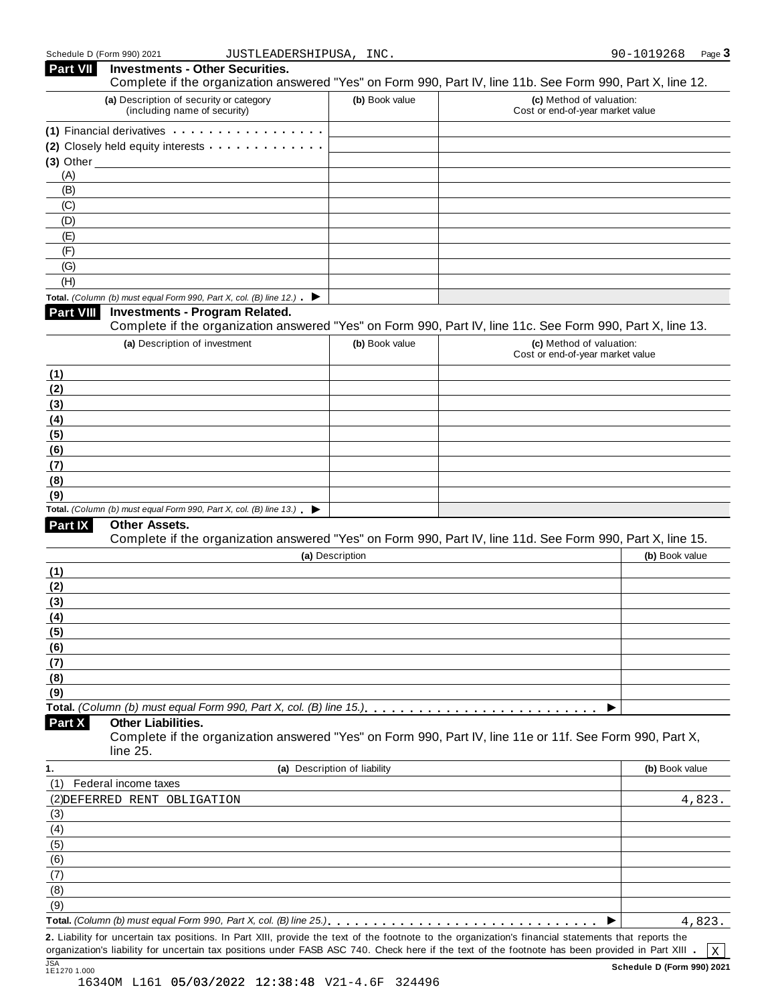| <b>Part VII</b>  | <b>Investments - Other Securities.</b><br>Complete if the organization answered "Yes" on Form 990, Part IV, line 11b. See Form 990, Part X, line 12. |                              |                                                              |                |
|------------------|------------------------------------------------------------------------------------------------------------------------------------------------------|------------------------------|--------------------------------------------------------------|----------------|
|                  | (a) Description of security or category<br>(including name of security)                                                                              | (b) Book value               | (c) Method of valuation:<br>Cost or end-of-year market value |                |
|                  | (1) Financial derivatives                                                                                                                            |                              |                                                              |                |
|                  | (2) Closely held equity interests                                                                                                                    |                              |                                                              |                |
|                  | $(3)$ Other $\qquad \qquad$                                                                                                                          |                              |                                                              |                |
| (A)              |                                                                                                                                                      |                              |                                                              |                |
| (B)              |                                                                                                                                                      |                              |                                                              |                |
| (C)              |                                                                                                                                                      |                              |                                                              |                |
| (D)              |                                                                                                                                                      |                              |                                                              |                |
| (E)              |                                                                                                                                                      |                              |                                                              |                |
| (F)              |                                                                                                                                                      |                              |                                                              |                |
| (G)              |                                                                                                                                                      |                              |                                                              |                |
| (H)              |                                                                                                                                                      |                              |                                                              |                |
|                  | Total. (Column (b) must equal Form 990, Part X, col. (B) line 12.) $\blacktriangleright$                                                             |                              |                                                              |                |
| <b>Part VIII</b> | <b>Investments - Program Related.</b>                                                                                                                |                              |                                                              |                |
|                  | Complete if the organization answered "Yes" on Form 990, Part IV, line 11c. See Form 990, Part X, line 13.                                           |                              |                                                              |                |
|                  | (a) Description of investment                                                                                                                        | (b) Book value               | (c) Method of valuation:<br>Cost or end-of-year market value |                |
| (1)              |                                                                                                                                                      |                              |                                                              |                |
| (2)              |                                                                                                                                                      |                              |                                                              |                |
| (3)              |                                                                                                                                                      |                              |                                                              |                |
| (4)              |                                                                                                                                                      |                              |                                                              |                |
| (5)              |                                                                                                                                                      |                              |                                                              |                |
| (6)              |                                                                                                                                                      |                              |                                                              |                |
| (7)              |                                                                                                                                                      |                              |                                                              |                |
| (8)              |                                                                                                                                                      |                              |                                                              |                |
| (9)              | Total. (Column (b) must equal Form 990, Part X, col. (B) line $13.$ )                                                                                |                              |                                                              |                |
| Part IX          | Other Assets.                                                                                                                                        |                              |                                                              |                |
|                  | Complete if the organization answered "Yes" on Form 990, Part IV, line 11d. See Form 990, Part X, line 15.                                           |                              |                                                              |                |
|                  |                                                                                                                                                      | (a) Description              |                                                              | (b) Book value |
| (1)              |                                                                                                                                                      |                              |                                                              |                |
| (2)              |                                                                                                                                                      |                              |                                                              |                |
| (3)              |                                                                                                                                                      |                              |                                                              |                |
| (4)              |                                                                                                                                                      |                              |                                                              |                |
| (5)              |                                                                                                                                                      |                              |                                                              |                |
| (6)              |                                                                                                                                                      |                              |                                                              |                |
| (7)              |                                                                                                                                                      |                              |                                                              |                |
| (8)              |                                                                                                                                                      |                              |                                                              |                |
| (9)              |                                                                                                                                                      |                              |                                                              |                |
|                  |                                                                                                                                                      |                              | ▶                                                            |                |
| Part X           | <b>Other Liabilities.</b><br>Complete if the organization answered "Yes" on Form 990, Part IV, line 11e or 11f. See Form 990, Part X,<br>line 25.    |                              |                                                              |                |
| 1.               |                                                                                                                                                      | (a) Description of liability |                                                              | (b) Book value |
| (1)              | Federal income taxes                                                                                                                                 |                              |                                                              |                |
|                  | (2) DEFERRED RENT OBLIGATION                                                                                                                         |                              |                                                              | 4,823.         |
| (3)              |                                                                                                                                                      |                              |                                                              |                |
| (4)              |                                                                                                                                                      |                              |                                                              |                |
| (5)              |                                                                                                                                                      |                              |                                                              |                |
| (6)              |                                                                                                                                                      |                              |                                                              |                |
| (7)              |                                                                                                                                                      |                              |                                                              |                |
| (8)              |                                                                                                                                                      |                              |                                                              |                |
| (9)              |                                                                                                                                                      |                              |                                                              |                |
|                  |                                                                                                                                                      |                              |                                                              | 4,823.         |
|                  | 2. Liability for uncertain tax positions. In Part XIII, provide the text of the footnote to the organization's financial statements that reports the |                              |                                                              |                |
|                  | organization's liability for uncertain tax positions under FASB ASC 740. Check here if the text of the footnote has been provided in Part XIII .     |                              |                                                              | $\mathbf X$    |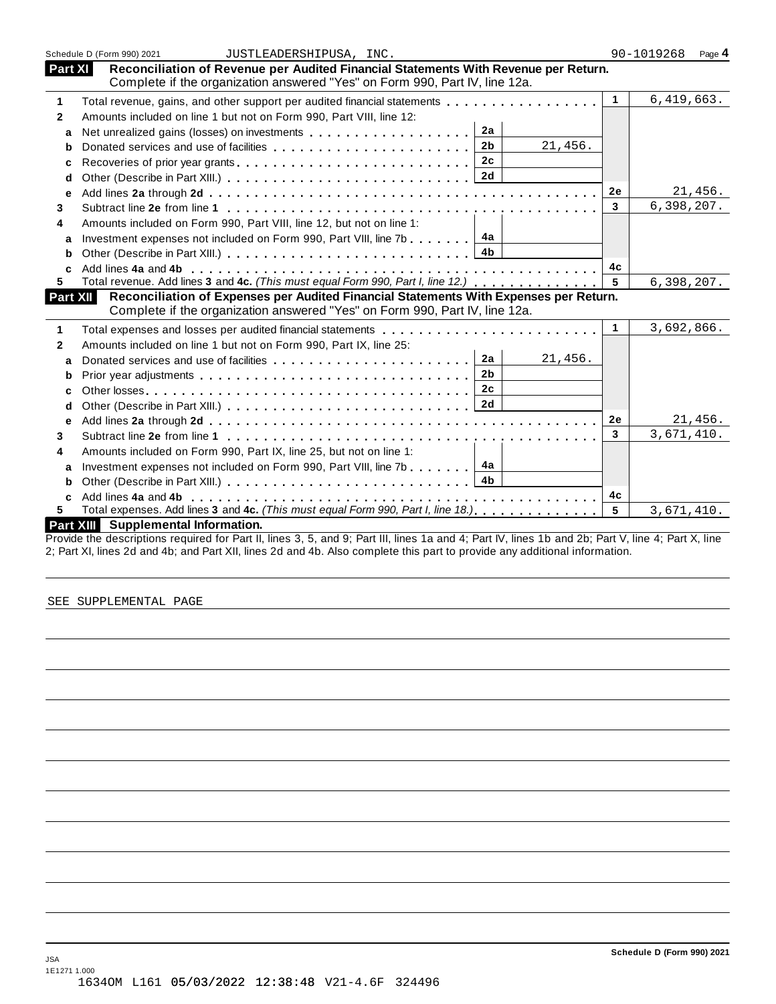|                | Schedule D (Form 990) 2021<br>JUSTLEADERSHIPUSA, INC.                                                                                                                |                 | 90-1019268<br>Page 4 |
|----------------|----------------------------------------------------------------------------------------------------------------------------------------------------------------------|-----------------|----------------------|
| <b>Part XI</b> | Reconciliation of Revenue per Audited Financial Statements With Revenue per Return.<br>Complete if the organization answered "Yes" on Form 990, Part IV, line 12a.   |                 |                      |
| 1              | Total revenue, gains, and other support per audited financial statements                                                                                             | $\overline{1}$  | 6,419,663.           |
| $\mathbf{2}$   | Amounts included on line 1 but not on Form 990, Part VIII, line 12:                                                                                                  |                 |                      |
| a              | 2a                                                                                                                                                                   |                 |                      |
| b              | 21,456.<br>2 <sub>b</sub>                                                                                                                                            |                 |                      |
| c              | 2c                                                                                                                                                                   |                 |                      |
| d              | 2d                                                                                                                                                                   |                 |                      |
| e              |                                                                                                                                                                      | 2e              | 21,456.              |
| 3              |                                                                                                                                                                      | $\mathbf{3}$    | 6,398,207.           |
| 4              | Amounts included on Form 990, Part VIII, line 12, but not on line 1:                                                                                                 |                 |                      |
| a              | Investment expenses not included on Form 990, Part VIII, line 7b $\ldots$ , $\boxed{4a}$                                                                             |                 |                      |
| b              |                                                                                                                                                                      |                 |                      |
| C              |                                                                                                                                                                      | 4c              |                      |
| 5              | Total revenue. Add lines 3 and 4c. (This must equal Form 990, Part I, line 12.)                                                                                      | 5               | 6,398,207.           |
| Part XII       | Reconciliation of Expenses per Audited Financial Statements With Expenses per Return.<br>Complete if the organization answered "Yes" on Form 990, Part IV, line 12a. |                 |                      |
| 1              | Total expenses and losses per audited financial statements entitled by even in the set of the set of the set o                                                       | $\overline{1}$  | 3,692,866.           |
| 2              | Amounts included on line 1 but not on Form 990, Part IX, line 25:                                                                                                    |                 |                      |
| a              | 2a<br>21,456.                                                                                                                                                        |                 |                      |
| b              | 2 <sub>b</sub>                                                                                                                                                       |                 |                      |
| c              | 2c                                                                                                                                                                   |                 |                      |
| d              |                                                                                                                                                                      |                 |                      |
| e              |                                                                                                                                                                      | <b>2e</b>       | 21,456.              |
| 3              |                                                                                                                                                                      | $\overline{3}$  | 3,671,410.           |
| 4              | Amounts included on Form 990, Part IX, line 25, but not on line 1:                                                                                                   |                 |                      |
| a              | 4a<br>Investment expenses not included on Form 990, Part VIII, line 7b                                                                                               |                 |                      |
| b              | 4b                                                                                                                                                                   |                 |                      |
|                |                                                                                                                                                                      | 4с              |                      |
| C.             |                                                                                                                                                                      |                 |                      |
| 5              | Total expenses. Add lines 3 and 4c. (This must equal Form 990, Part I, line 18.).                                                                                    | $5\phantom{.0}$ | 3,671,410.           |

Provide the descriptions required for Part II, lines 3, 5, and 9; Part III, lines 1a and 4; Part IV, lines 1b and 2b; Part V, line 4; Part X, line 2; Part XI, lines 2d and 4b; and Part XII, lines 2d and 4b. Also complete this part to provide any additional information.

SEE SUPPLEMENTAL PAGE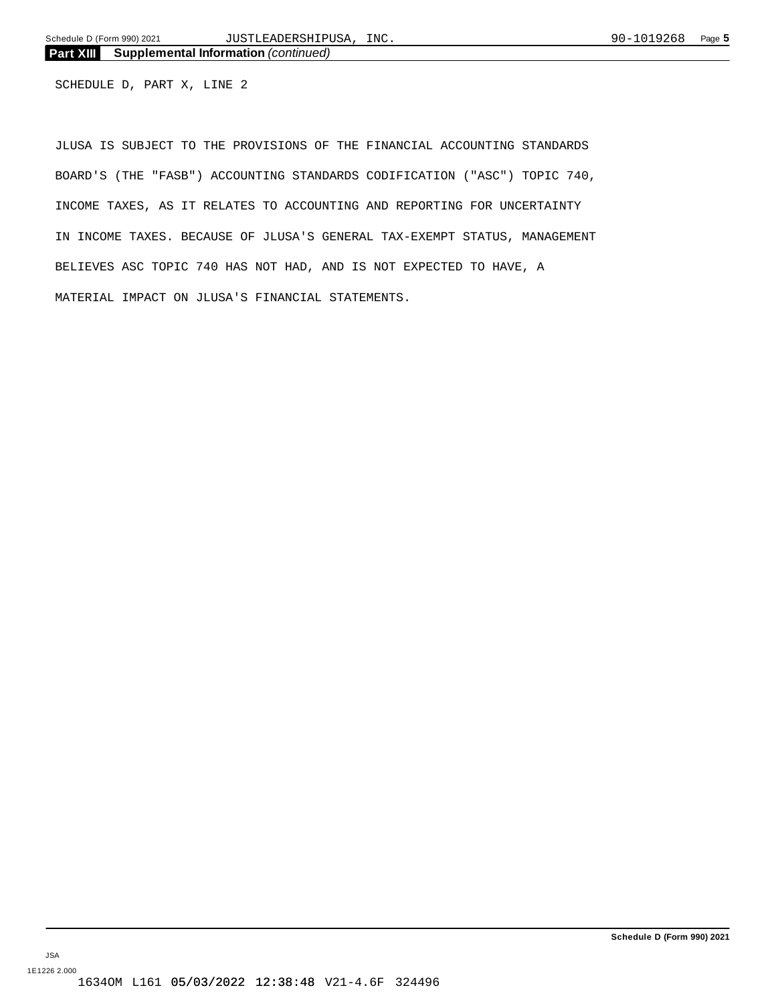SCHEDULE D, PART X, LINE 2

JLUSA IS SUBJECT TO THE PROVISIONS OF THE FINANCIAL ACCOUNTING STANDARDS BOARD'S (THE "FASB") ACCOUNTING STANDARDS CODIFICATION ("ASC") TOPIC 740, INCOME TAXES, AS IT RELATES TO ACCOUNTING AND REPORTING FOR UNCERTAINTY IN INCOME TAXES. BECAUSE OF JLUSA'S GENERAL TAX-EXEMPT STATUS, MANAGEMENT BELIEVES ASC TOPIC 740 HAS NOT HAD, AND IS NOT EXPECTED TO HAVE, A MATERIAL IMPACT ON JLUSA'S FINANCIAL STATEMENTS.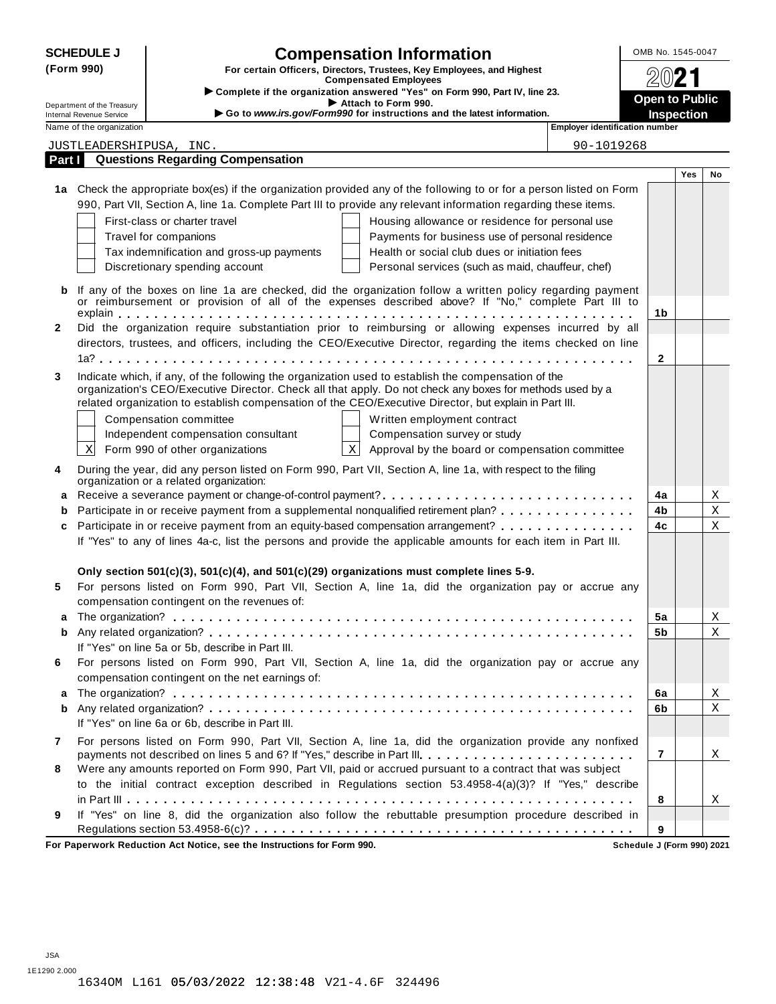| <b>SCHEDULE J</b><br><b>Compensation Information</b><br>(Form 990)<br>For certain Officers, Directors, Trustees, Key Employees, and Highest<br><b>Compensated Employees</b><br>Complete if the organization answered "Yes" on Form 990, Part IV, line 23. |                                                                                                                                                                |                                                  |                                                                                                                                                                                                                   |                                       | OMB No. 1545-0047 |     |    |
|-----------------------------------------------------------------------------------------------------------------------------------------------------------------------------------------------------------------------------------------------------------|----------------------------------------------------------------------------------------------------------------------------------------------------------------|--------------------------------------------------|-------------------------------------------------------------------------------------------------------------------------------------------------------------------------------------------------------------------|---------------------------------------|-------------------|-----|----|
|                                                                                                                                                                                                                                                           |                                                                                                                                                                |                                                  |                                                                                                                                                                                                                   |                                       |                   |     |    |
|                                                                                                                                                                                                                                                           |                                                                                                                                                                |                                                  | <b>Open to Public</b>                                                                                                                                                                                             |                                       |                   |     |    |
|                                                                                                                                                                                                                                                           | Attach to Form 990.<br>Department of the Treasury<br>Go to www.irs.gov/Form990 for instructions and the latest information.<br><b>Internal Revenue Service</b> |                                                  |                                                                                                                                                                                                                   |                                       | <b>Inspection</b> |     |    |
|                                                                                                                                                                                                                                                           | Name of the organization                                                                                                                                       |                                                  |                                                                                                                                                                                                                   | <b>Employer identification number</b> |                   |     |    |
|                                                                                                                                                                                                                                                           | JUSTLEADERSHIPUSA, INC.                                                                                                                                        |                                                  |                                                                                                                                                                                                                   | 90-1019268                            |                   |     |    |
| Part I                                                                                                                                                                                                                                                    |                                                                                                                                                                | <b>Questions Regarding Compensation</b>          |                                                                                                                                                                                                                   |                                       |                   |     |    |
|                                                                                                                                                                                                                                                           |                                                                                                                                                                |                                                  |                                                                                                                                                                                                                   |                                       |                   | Yes | No |
|                                                                                                                                                                                                                                                           |                                                                                                                                                                |                                                  | 1a Check the appropriate box(es) if the organization provided any of the following to or for a person listed on Form                                                                                              |                                       |                   |     |    |
|                                                                                                                                                                                                                                                           |                                                                                                                                                                |                                                  | 990, Part VII, Section A, line 1a. Complete Part III to provide any relevant information regarding these items.                                                                                                   |                                       |                   |     |    |
|                                                                                                                                                                                                                                                           |                                                                                                                                                                | First-class or charter travel                    | Housing allowance or residence for personal use                                                                                                                                                                   |                                       |                   |     |    |
|                                                                                                                                                                                                                                                           |                                                                                                                                                                | Travel for companions                            | Payments for business use of personal residence                                                                                                                                                                   |                                       |                   |     |    |
|                                                                                                                                                                                                                                                           |                                                                                                                                                                | Tax indemnification and gross-up payments        | Health or social club dues or initiation fees                                                                                                                                                                     |                                       |                   |     |    |
|                                                                                                                                                                                                                                                           |                                                                                                                                                                | Discretionary spending account                   | Personal services (such as maid, chauffeur, chef)                                                                                                                                                                 |                                       |                   |     |    |
|                                                                                                                                                                                                                                                           |                                                                                                                                                                |                                                  |                                                                                                                                                                                                                   |                                       |                   |     |    |
| b                                                                                                                                                                                                                                                         |                                                                                                                                                                |                                                  | If any of the boxes on line 1a are checked, did the organization follow a written policy regarding payment<br>or reimbursement or provision of all of the expenses described above? If "No," complete Part III to |                                       |                   |     |    |
|                                                                                                                                                                                                                                                           |                                                                                                                                                                |                                                  |                                                                                                                                                                                                                   |                                       | 1b                |     |    |
| $\mathbf{2}$                                                                                                                                                                                                                                              |                                                                                                                                                                |                                                  | Did the organization require substantiation prior to reimbursing or allowing expenses incurred by all                                                                                                             |                                       |                   |     |    |
|                                                                                                                                                                                                                                                           |                                                                                                                                                                |                                                  | directors, trustees, and officers, including the CEO/Executive Director, regarding the items checked on line                                                                                                      |                                       |                   |     |    |
|                                                                                                                                                                                                                                                           |                                                                                                                                                                |                                                  |                                                                                                                                                                                                                   |                                       | 2                 |     |    |
| 3                                                                                                                                                                                                                                                         |                                                                                                                                                                |                                                  | Indicate which, if any, of the following the organization used to establish the compensation of the                                                                                                               |                                       |                   |     |    |
|                                                                                                                                                                                                                                                           |                                                                                                                                                                |                                                  | organization's CEO/Executive Director. Check all that apply. Do not check any boxes for methods used by a                                                                                                         |                                       |                   |     |    |
|                                                                                                                                                                                                                                                           |                                                                                                                                                                |                                                  | related organization to establish compensation of the CEO/Executive Director, but explain in Part III.                                                                                                            |                                       |                   |     |    |
|                                                                                                                                                                                                                                                           |                                                                                                                                                                | Compensation committee                           | Written employment contract                                                                                                                                                                                       |                                       |                   |     |    |
|                                                                                                                                                                                                                                                           |                                                                                                                                                                | Independent compensation consultant              | Compensation survey or study                                                                                                                                                                                      |                                       |                   |     |    |
|                                                                                                                                                                                                                                                           | $\mathbf X$                                                                                                                                                    | Form 990 of other organizations                  | $\mathbf{x}$<br>Approval by the board or compensation committee                                                                                                                                                   |                                       |                   |     |    |
| 4                                                                                                                                                                                                                                                         |                                                                                                                                                                |                                                  | During the year, did any person listed on Form 990, Part VII, Section A, line 1a, with respect to the filing                                                                                                      |                                       |                   |     |    |
|                                                                                                                                                                                                                                                           |                                                                                                                                                                | organization or a related organization:          |                                                                                                                                                                                                                   |                                       |                   |     |    |
|                                                                                                                                                                                                                                                           |                                                                                                                                                                |                                                  | a Receive a severance payment or change-of-control payment?                                                                                                                                                       |                                       | 4a                |     | Χ  |
| b                                                                                                                                                                                                                                                         |                                                                                                                                                                |                                                  | Participate in or receive payment from a supplemental nonqualified retirement plan?                                                                                                                               |                                       | 4b                |     | Χ  |
| c                                                                                                                                                                                                                                                         |                                                                                                                                                                |                                                  | Participate in or receive payment from an equity-based compensation arrangement?                                                                                                                                  |                                       | 4c                |     | Χ  |
|                                                                                                                                                                                                                                                           | If "Yes" to any of lines 4a-c, list the persons and provide the applicable amounts for each item in Part III.                                                  |                                                  |                                                                                                                                                                                                                   |                                       |                   |     |    |
|                                                                                                                                                                                                                                                           |                                                                                                                                                                |                                                  |                                                                                                                                                                                                                   |                                       |                   |     |    |
|                                                                                                                                                                                                                                                           |                                                                                                                                                                |                                                  | Only section $501(c)(3)$ , $501(c)(4)$ , and $501(c)(29)$ organizations must complete lines 5-9.                                                                                                                  |                                       |                   |     |    |
| 5                                                                                                                                                                                                                                                         |                                                                                                                                                                |                                                  | For persons listed on Form 990, Part VII, Section A, line 1a, did the organization pay or accrue any                                                                                                              |                                       |                   |     |    |
|                                                                                                                                                                                                                                                           |                                                                                                                                                                | compensation contingent on the revenues of:      |                                                                                                                                                                                                                   |                                       |                   |     |    |
|                                                                                                                                                                                                                                                           |                                                                                                                                                                |                                                  |                                                                                                                                                                                                                   |                                       | 5a                |     | Χ  |
| b                                                                                                                                                                                                                                                         |                                                                                                                                                                |                                                  |                                                                                                                                                                                                                   |                                       | 5b                |     | Χ  |
|                                                                                                                                                                                                                                                           |                                                                                                                                                                | If "Yes" on line 5a or 5b, describe in Part III. |                                                                                                                                                                                                                   |                                       |                   |     |    |
| 6                                                                                                                                                                                                                                                         |                                                                                                                                                                |                                                  | For persons listed on Form 990, Part VII, Section A, line 1a, did the organization pay or accrue any                                                                                                              |                                       |                   |     |    |
|                                                                                                                                                                                                                                                           |                                                                                                                                                                | compensation contingent on the net earnings of:  |                                                                                                                                                                                                                   |                                       |                   |     |    |
| a                                                                                                                                                                                                                                                         |                                                                                                                                                                |                                                  |                                                                                                                                                                                                                   |                                       | 6a                |     | Χ  |
| b                                                                                                                                                                                                                                                         |                                                                                                                                                                |                                                  |                                                                                                                                                                                                                   |                                       | 6b                |     | Χ  |
|                                                                                                                                                                                                                                                           |                                                                                                                                                                | If "Yes" on line 6a or 6b, describe in Part III. |                                                                                                                                                                                                                   |                                       |                   |     |    |
| 7                                                                                                                                                                                                                                                         |                                                                                                                                                                |                                                  | For persons listed on Form 990, Part VII, Section A, line 1a, did the organization provide any nonfixed                                                                                                           |                                       |                   |     |    |
|                                                                                                                                                                                                                                                           |                                                                                                                                                                |                                                  | payments not described on lines 5 and 6? If "Yes," describe in Part III.                                                                                                                                          |                                       | 7                 |     | X  |
| 8                                                                                                                                                                                                                                                         |                                                                                                                                                                |                                                  | Were any amounts reported on Form 990, Part VII, paid or accrued pursuant to a contract that was subject                                                                                                          |                                       |                   |     |    |
|                                                                                                                                                                                                                                                           |                                                                                                                                                                |                                                  | to the initial contract exception described in Regulations section 53.4958-4(a)(3)? If "Yes," describe                                                                                                            |                                       |                   |     |    |
|                                                                                                                                                                                                                                                           |                                                                                                                                                                |                                                  |                                                                                                                                                                                                                   |                                       | 8                 |     | X  |
| 9                                                                                                                                                                                                                                                         |                                                                                                                                                                |                                                  | If "Yes" on line 8, did the organization also follow the rebuttable presumption procedure described in                                                                                                            |                                       |                   |     |    |
|                                                                                                                                                                                                                                                           |                                                                                                                                                                |                                                  |                                                                                                                                                                                                                   |                                       | 9                 |     |    |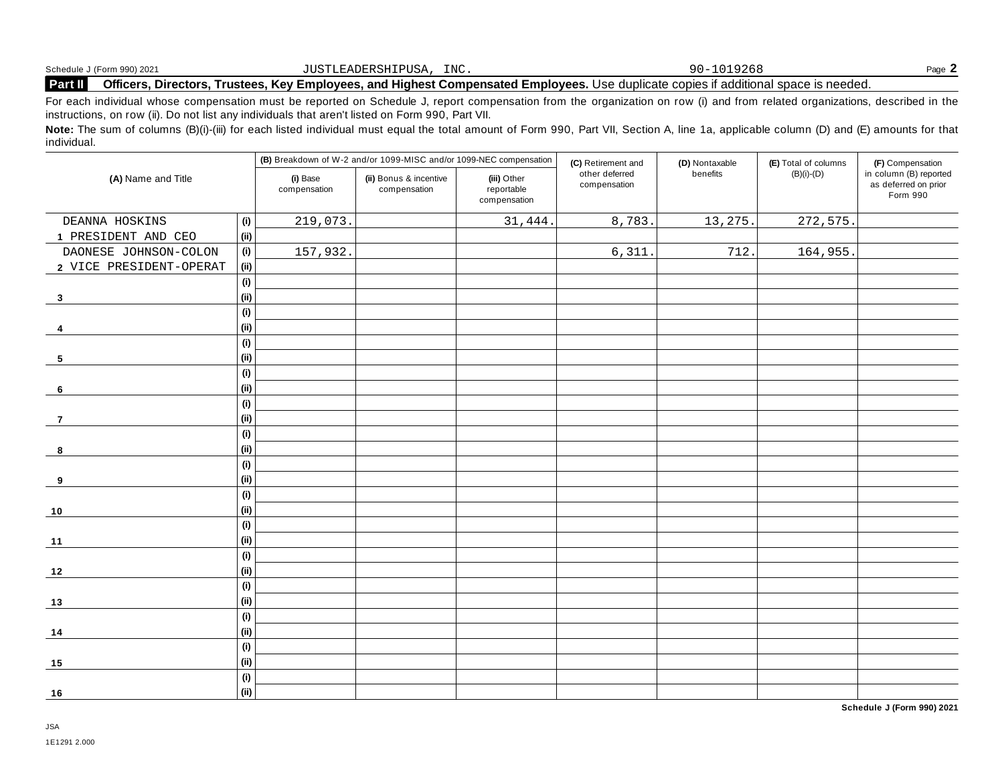|         | Schedule J (Form 990) 2021     | $T^*$<br>JUSTLEADERSHIPUSA<br>T MC. | 0.025<br>$90-$                                                                                                     | Page. |
|---------|--------------------------------|-------------------------------------|--------------------------------------------------------------------------------------------------------------------|-------|
| Part II | <b>Officers</b><br>. Directors | Trustees.                           | $\mathsf s.$ Kev Emplovees, and Highest Compensated Emplovees. Use duplicate copies if additional space is needed. |       |

For each individual whose compensation must be reported on Schedule J, report compensation from the organization on row (i) and from related organizations, described in the instructions, on row (ii). Do not list any individuals that aren't listed on Form 990, Part VII.

Note: The sum of columns (B)(i)-(iii) for each listed individual must equal the total amount of Form 990, Part VII, Section A, line 1a, applicable column (D) and (E) amounts for that individual.

| (A) Name and Title      |      | (B) Breakdown of W-2 and/or 1099-MISC and/or 1099-NEC compensation |                                        |                                           | (C) Retirement and             | (D) Nontaxable | (E) Total of columns | (F) Compensation                                           |
|-------------------------|------|--------------------------------------------------------------------|----------------------------------------|-------------------------------------------|--------------------------------|----------------|----------------------|------------------------------------------------------------|
|                         |      | (i) Base<br>compensation                                           | (ii) Bonus & incentive<br>compensation | (iii) Other<br>reportable<br>compensation | other deferred<br>compensation | benefits       | $(B)(i)-(D)$         | in column (B) reported<br>as deferred on prior<br>Form 990 |
| DEANNA HOSKINS          | (i)  | 219,073.                                                           |                                        | 31,444.                                   | 8,783.                         | 13,275.        | 272,575.             |                                                            |
| 1 PRESIDENT AND CEO     | (i)  |                                                                    |                                        |                                           |                                |                |                      |                                                            |
| DAONESE JOHNSON-COLON   | (i)  | 157,932.                                                           |                                        |                                           | 6,311                          | 712.           | 164,955.             |                                                            |
| 2 VICE PRESIDENT-OPERAT | (i)  |                                                                    |                                        |                                           |                                |                |                      |                                                            |
|                         | (i)  |                                                                    |                                        |                                           |                                |                |                      |                                                            |
| $\overline{\mathbf{3}}$ | (i)  |                                                                    |                                        |                                           |                                |                |                      |                                                            |
|                         | (i)  |                                                                    |                                        |                                           |                                |                |                      |                                                            |
| 4                       | (i)  |                                                                    |                                        |                                           |                                |                |                      |                                                            |
|                         | (i)  |                                                                    |                                        |                                           |                                |                |                      |                                                            |
| 5                       | (i)  |                                                                    |                                        |                                           |                                |                |                      |                                                            |
|                         | (i)  |                                                                    |                                        |                                           |                                |                |                      |                                                            |
| 6                       | (i)  |                                                                    |                                        |                                           |                                |                |                      |                                                            |
|                         | (i)  |                                                                    |                                        |                                           |                                |                |                      |                                                            |
| $\overline{7}$          | (i)  |                                                                    |                                        |                                           |                                |                |                      |                                                            |
|                         | (i)  |                                                                    |                                        |                                           |                                |                |                      |                                                            |
| 8                       | (i)  |                                                                    |                                        |                                           |                                |                |                      |                                                            |
|                         | (i)  |                                                                    |                                        |                                           |                                |                |                      |                                                            |
| 9                       | (i)  |                                                                    |                                        |                                           |                                |                |                      |                                                            |
|                         | (i)  |                                                                    |                                        |                                           |                                |                |                      |                                                            |
| 10                      | (i)  |                                                                    |                                        |                                           |                                |                |                      |                                                            |
|                         | (i)  |                                                                    |                                        |                                           |                                |                |                      |                                                            |
| $11$                    | (i)  |                                                                    |                                        |                                           |                                |                |                      |                                                            |
|                         | (i)  |                                                                    |                                        |                                           |                                |                |                      |                                                            |
| 12                      | (i)  |                                                                    |                                        |                                           |                                |                |                      |                                                            |
|                         | (i)  |                                                                    |                                        |                                           |                                |                |                      |                                                            |
| 13                      | (i)  |                                                                    |                                        |                                           |                                |                |                      |                                                            |
|                         | (i)  |                                                                    |                                        |                                           |                                |                |                      |                                                            |
| 14                      | (ii) |                                                                    |                                        |                                           |                                |                |                      |                                                            |
|                         | (i)  |                                                                    |                                        |                                           |                                |                |                      |                                                            |
| 15                      | (i)  |                                                                    |                                        |                                           |                                |                |                      |                                                            |
|                         | (i)  |                                                                    |                                        |                                           |                                |                |                      |                                                            |
| 16                      | (i)  |                                                                    |                                        |                                           |                                |                |                      |                                                            |

**Schedule J (Form 990) 2021**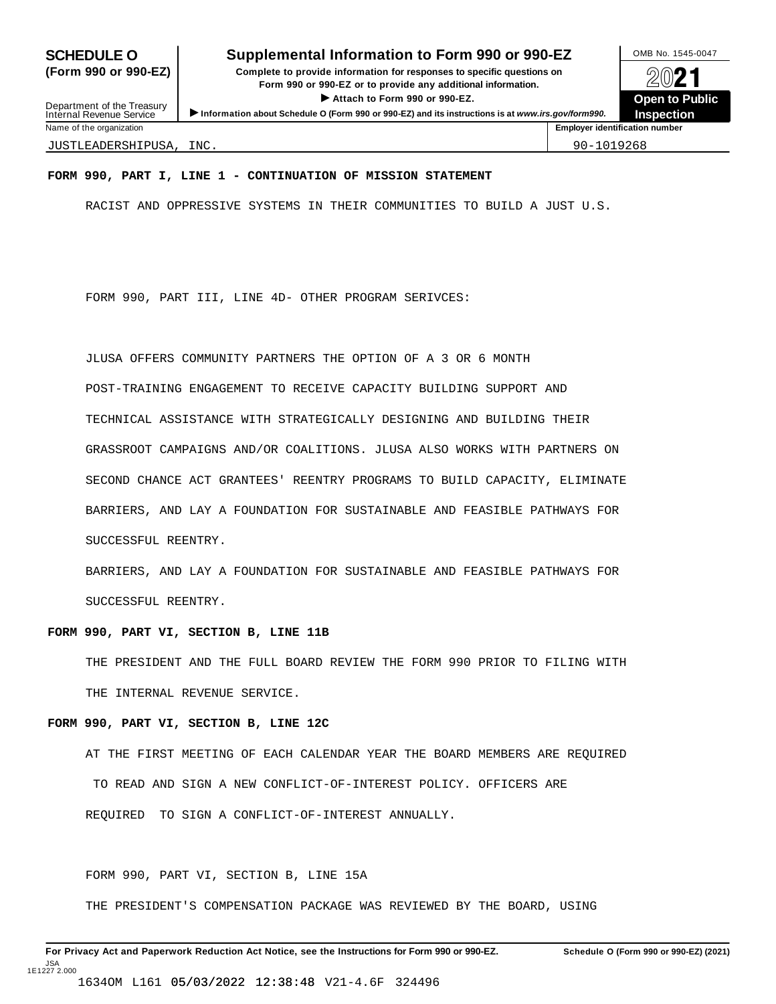#### **SCHEDULE O** Supplemental Information to Form 990 or 990-EZ DAMB No. 1545-0047

**(Form 990 or 990-EZ) Complete to provide information for responses to specific questions on** plete to provide information for responses to specific questions on  $\bigotimes_{\mathbb{Z}}\mathbb{Q}$  21 I **Attach to Form <sup>990</sup> or 990-EZ. Open to Public** Department of the Treasury <br>Depen to Public<br>Name of the organization<br>Name of the organization<br>Name of the organization<br>Name of the organization

**Inspection**

Department of the Treasury<br>Internal Revenue Service

JUSTLEADERSHIPUSA, INC. 90-1019268

#### **FORM 990, PART I, LINE 1 - CONTINUATION OF MISSION STATEMENT**

RACIST AND OPPRESSIVE SYSTEMS IN THEIR COMMUNITIES TO BUILD A JUST U.S.

FORM 990, PART III, LINE 4D- OTHER PROGRAM SERIVCES:

JLUSA OFFERS COMMUNITY PARTNERS THE OPTION OF A 3 OR 6 MONTH POST-TRAINING ENGAGEMENT TO RECEIVE CAPACITY BUILDING SUPPORT AND TECHNICAL ASSISTANCE WITH STRATEGICALLY DESIGNING AND BUILDING THEIR GRASSROOT CAMPAIGNS AND/OR COALITIONS. JLUSA ALSO WORKS WITH PARTNERS ON SECOND CHANCE ACT GRANTEES' REENTRY PROGRAMS TO BUILD CAPACITY, ELIMINATE BARRIERS, AND LAY A FOUNDATION FOR SUSTAINABLE AND FEASIBLE PATHWAYS FOR SUCCESSFUL REENTRY.

BARRIERS, AND LAY A FOUNDATION FOR SUSTAINABLE AND FEASIBLE PATHWAYS FOR SUCCESSFUL REENTRY.

#### **FORM 990, PART VI, SECTION B, LINE 11B**

THE PRESIDENT AND THE FULL BOARD REVIEW THE FORM 990 PRIOR TO FILING WITH THE INTERNAL REVENUE SERVICE.

#### **FORM 990, PART VI, SECTION B, LINE 12C**

AT THE FIRST MEETING OF EACH CALENDAR YEAR THE BOARD MEMBERS ARE REQUIRED TO READ AND SIGN A NEW CONFLICT-OF-INTEREST POLICY. OFFICERS ARE REQUIRED TO SIGN A CONFLICT-OF-INTEREST ANNUALLY.

FORM 990, PART VI, SECTION B, LINE 15A

THE PRESIDENT'S COMPENSATION PACKAGE WAS REVIEWED BY THE BOARD, USING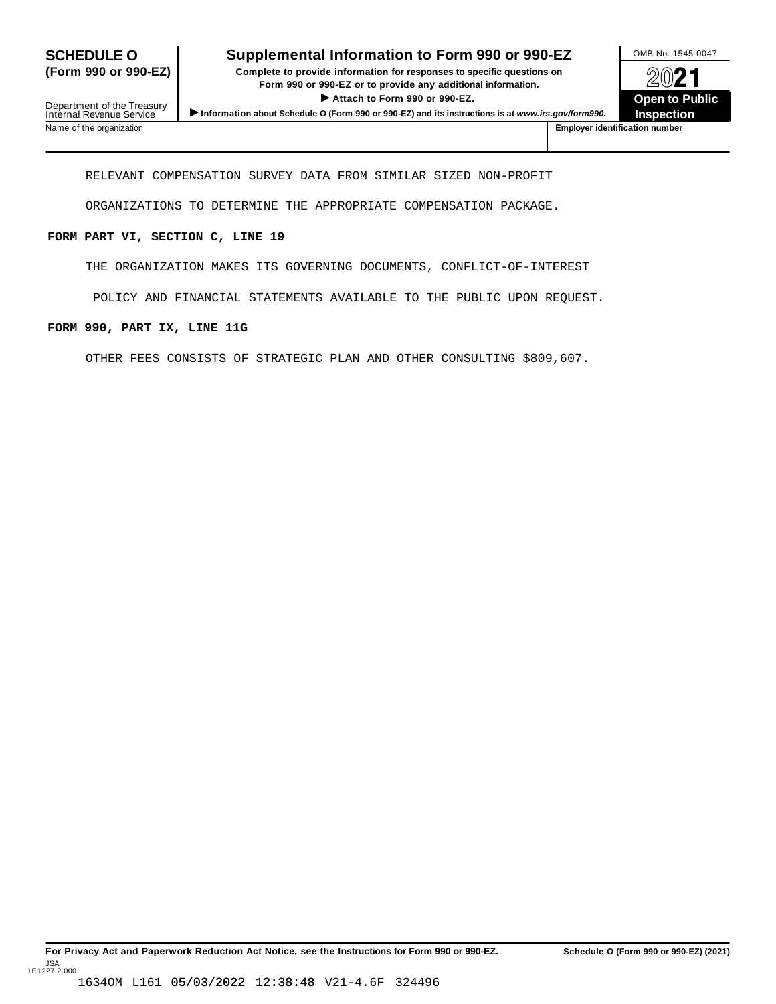## **SCHEDULE O** Supplemental Information to Form 990 or 990-EZ DAMB No. 1545-0047

**(Form 990 or 990-EZ) Complete to provide information for responses to specific questions on** Plete to provide information for responses to specific questions on<br>
Form 990 or 990-EZ or to provide any additional information.<br>
▶ Attach to Form 990 or 990-EZ.<br>
Open to Public  $\blacktriangleright$  Attach to Form 990 or 990-EZ.

**Inspection**

Department of the Treasury<br>Internal Revenue Service Information about Schedule O (Form 990 or 990-EZ) and its instructions is at www.irs.gov/form990.<br>Name of the organization<br>Name of the organization number

RELEVANT COMPENSATION SURVEY DATA FROM SIMILAR SIZED NON-PROFIT

ORGANIZATIONS TO DETERMINE THE APPROPRIATE COMPENSATION PACKAGE.

#### **FORM PART VI, SECTION C, LINE 19**

THE ORGANIZATION MAKES ITS GOVERNING DOCUMENTS, CONFLICT-OF-INTEREST

POLICY AND FINANCIAL STATEMENTS AVAILABLE TO THE PUBLIC UPON REQUEST.

#### **FORM 990, PART IX, LINE 11G**

OTHER FEES CONSISTS OF STRATEGIC PLAN AND OTHER CONSULTING \$809,607.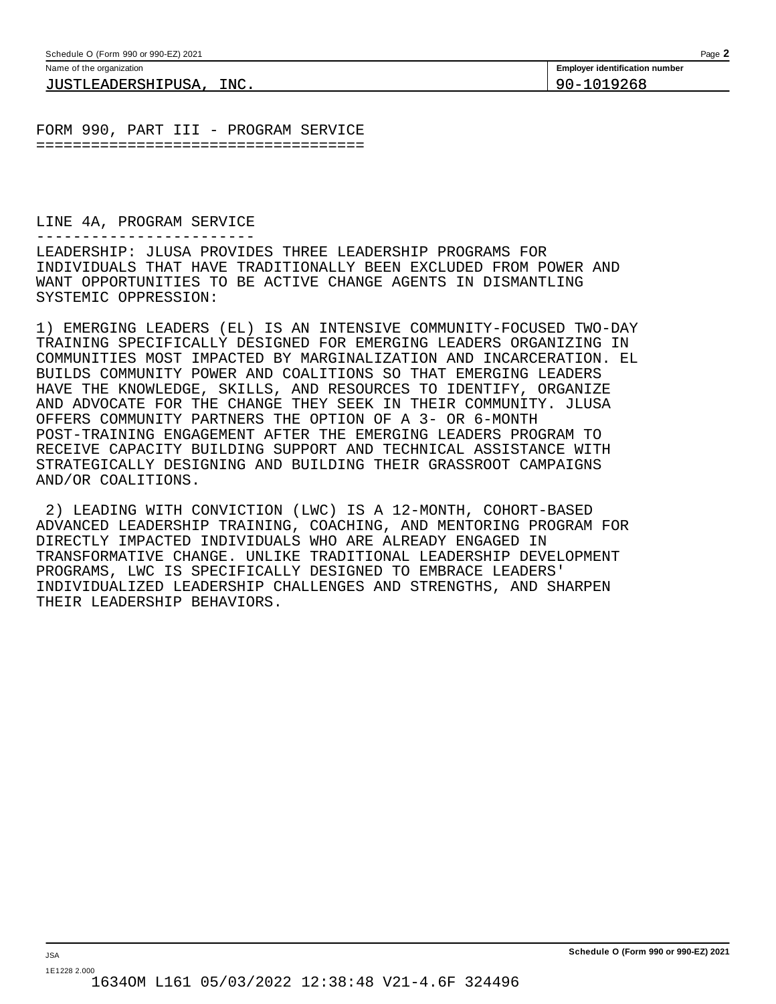| Schedule O (Form 990 or 990-EZ) 2021                  | Page                                  |
|-------------------------------------------------------|---------------------------------------|
| Name of the organization                              | <b>Employer identification number</b> |
| INC.<br>וס<br>гтсип<br>⊐EADERSHIP <sub>'</sub><br>בנט | n >                                   |

FORM 990, PART III - PROGRAM SERVICE ====================================

LINE 4A, PROGRAM SERVICE

------------------------

LEADERSHIP: JLUSA PROVIDES THREE LEADERSHIP PROGRAMS FOR INDIVIDUALS THAT HAVE TRADITIONALLY BEEN EXCLUDED FROM POWER AND WANT OPPORTUNITIES TO BE ACTIVE CHANGE AGENTS IN DISMANTLING SYSTEMIC OPPRESSION:

1) EMERGING LEADERS (EL) IS AN INTENSIVE COMMUNITY-FOCUSED TWO-DAY TRAINING SPECIFICALLY DESIGNED FOR EMERGING LEADERS ORGANIZING IN COMMUNITIES MOST IMPACTED BY MARGINALIZATION AND INCARCERATION. EL BUILDS COMMUNITY POWER AND COALITIONS SO THAT EMERGING LEADERS HAVE THE KNOWLEDGE, SKILLS, AND RESOURCES TO IDENTIFY, ORGANIZE AND ADVOCATE FOR THE CHANGE THEY SEEK IN THEIR COMMUNITY. JLUSA OFFERS COMMUNITY PARTNERS THE OPTION OF A 3- OR 6-MONTH POST-TRAINING ENGAGEMENT AFTER THE EMERGING LEADERS PROGRAM TO RECEIVE CAPACITY BUILDING SUPPORT AND TECHNICAL ASSISTANCE WITH STRATEGICALLY DESIGNING AND BUILDING THEIR GRASSROOT CAMPAIGNS AND/OR COALITIONS.

2) LEADING WITH CONVICTION (LWC) IS A 12-MONTH, COHORT-BASED ADVANCED LEADERSHIP TRAINING, COACHING, AND MENTORING PROGRAM FOR DIRECTLY IMPACTED INDIVIDUALS WHO ARE ALREADY ENGAGED IN TRANSFORMATIVE CHANGE. UNLIKE TRADITIONAL LEADERSHIP DEVELOPMENT PROGRAMS, LWC IS SPECIFICALLY DESIGNED TO EMBRACE LEADERS' INDIVIDUALIZED LEADERSHIP CHALLENGES AND STRENGTHS, AND SHARPEN THEIR LEADERSHIP BEHAVIORS.

JSA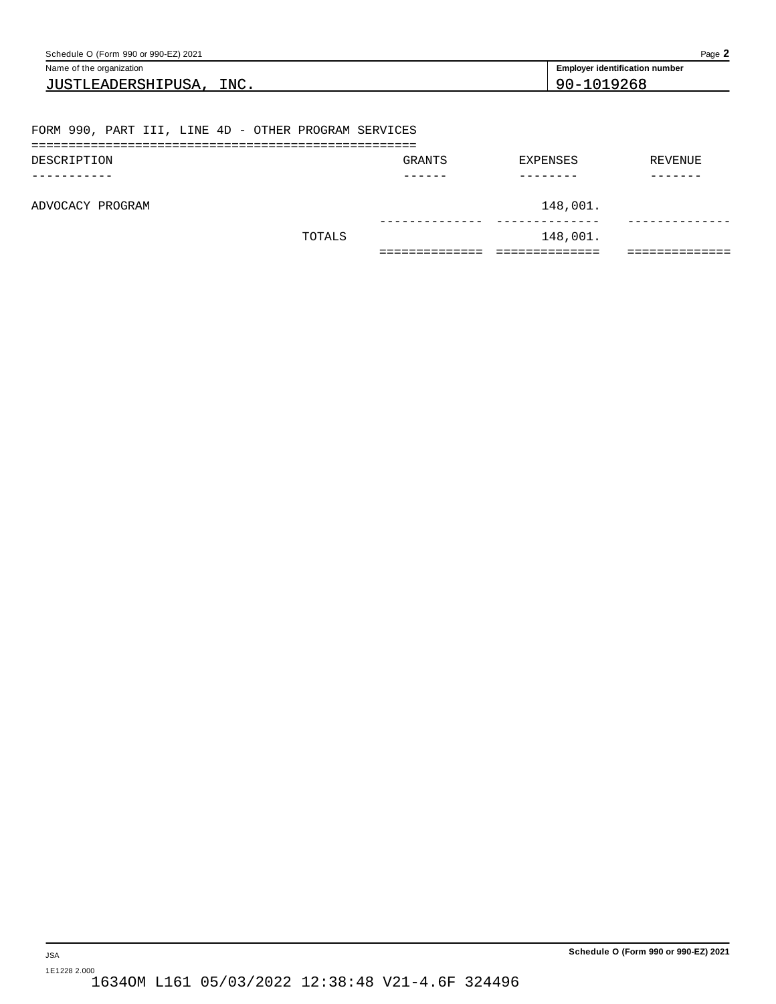| Schedule O (Form 990 or 990-EZ) 2021                 |                                       |            | Page 2  |  |  |  |
|------------------------------------------------------|---------------------------------------|------------|---------|--|--|--|
| Name of the organization                             | <b>Employer identification number</b> |            |         |  |  |  |
| JUSTLEADERSHIPUSA, INC.                              |                                       | 90-1019268 |         |  |  |  |
|                                                      |                                       |            |         |  |  |  |
| FORM 990, PART III, LINE 4D - OTHER PROGRAM SERVICES |                                       |            |         |  |  |  |
| DESCRIPTION                                          | GRANTS                                | EXPENSES   | REVENUE |  |  |  |
|                                                      |                                       |            |         |  |  |  |
| ADVOCACY PROGRAM                                     |                                       | 148,001.   |         |  |  |  |
| TOTALS                                               |                                       | 148,001.   |         |  |  |  |
|                                                      | ------------                          | ========== | ======= |  |  |  |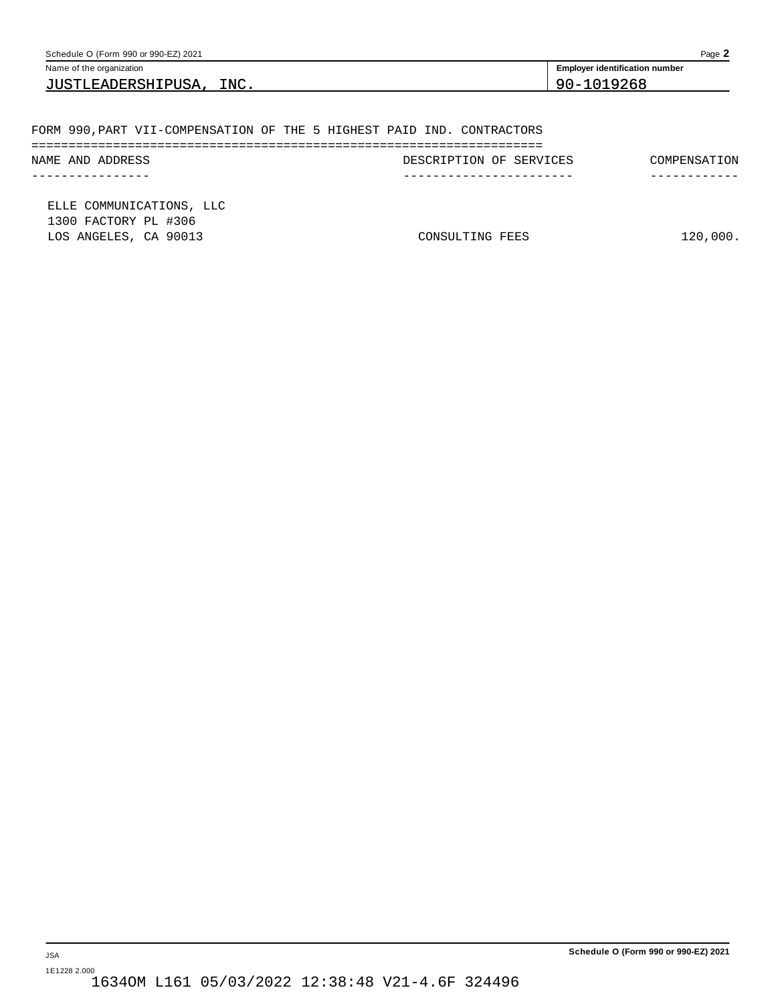| Schedule O (Form 990 or 990-EZ) 2021                                   |                         | Page 2                                |
|------------------------------------------------------------------------|-------------------------|---------------------------------------|
| Name of the organization                                               |                         | <b>Employer identification number</b> |
| JUSTLEADERSHIPUSA, INC.                                                |                         | 90-1019268                            |
|                                                                        |                         |                                       |
| FORM 990, PART VII-COMPENSATION OF THE 5 HIGHEST PAID IND. CONTRACTORS |                         |                                       |
| NAME AND ADDRESS                                                       | DESCRIPTION OF SERVICES | COMPENSATION                          |
| -----------                                                            | ------------------      | --------                              |
| ELLE COMMUNICATIONS, LLC<br>1300 FACTORY PL #306                       |                         |                                       |
| LOS ANGELES, CA 90013                                                  | CONSULTING FEES         | 120,000.                              |